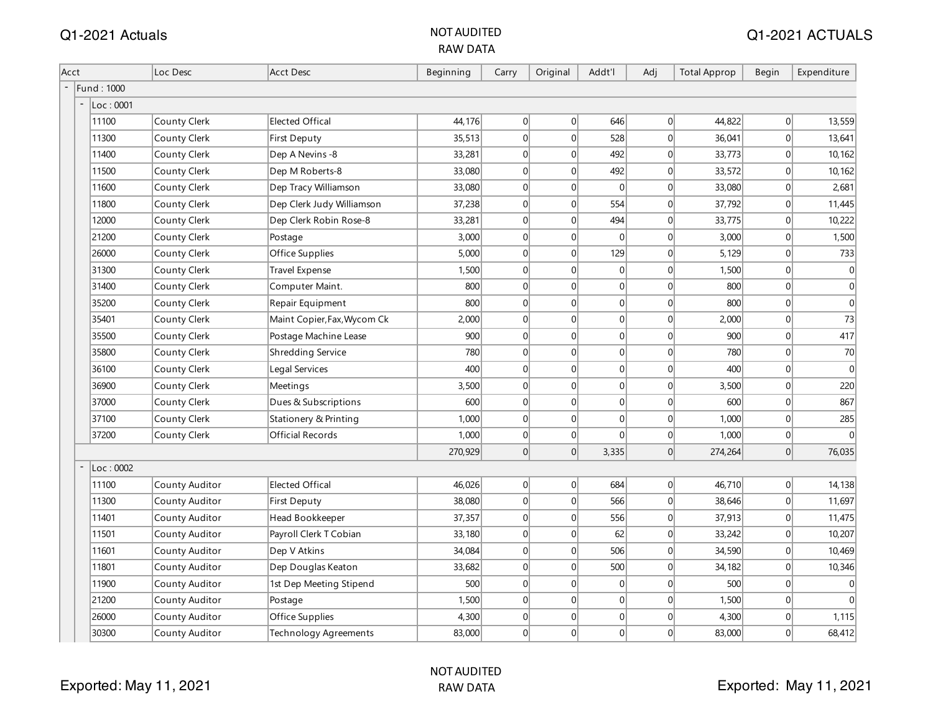|      |                   |                |                             | <b>RAW DATA</b> |                |          |                |                |                     |              |             |
|------|-------------------|----------------|-----------------------------|-----------------|----------------|----------|----------------|----------------|---------------------|--------------|-------------|
| Acct |                   | Loc Desc       | <b>Acct Desc</b>            | Beginning       | Carry          | Original | Addt'l         | Adj            | <b>Total Approp</b> | <b>Begin</b> | Expenditure |
|      | Fund: 1000        |                |                             |                 |                |          |                |                |                     |              |             |
|      | $\vert$ Loc: 0001 |                |                             |                 |                |          |                |                |                     |              |             |
|      | 11100             | County Clerk   | <b>Elected Offical</b>      | 44,176          | 0              | 0        | 646            | 0              | 44,822              | 0            | 13,559      |
|      | 11300             | County Clerk   | First Deputy                | 35,513          | 0              | 0        | 528            | 0              | 36,041              | 0            | 13,641      |
|      | 11400             | County Clerk   | Dep A Nevins -8             | 33,281          | 0              | 0        | 492            | 0              | 33,773              | 0            | 10, 162     |
|      | 11500             | County Clerk   | Dep M Roberts-8             | 33,080          | $\overline{0}$ | 0        | 492            | 0              | 33,572              | 0            | 10, 162     |
|      | 11600             | County Clerk   | Dep Tracy Williamson        | 33,080          | $\overline{0}$ | 0        | $\Omega$       | $\Omega$       | 33,080              | 0            | 2,681       |
|      | 11800             | County Clerk   | Dep Clerk Judy Williamson   | 37,238          | $\overline{0}$ | 0        | 554            | $\overline{0}$ | 37,792              | 0            | 11,445      |
|      | 12000             | County Clerk   | Dep Clerk Robin Rose-8      | 33,281          | $\overline{0}$ | 0        | 494            | 0              | 33,775              | 0            | 10,222      |
|      | 21200             | County Clerk   | Postage                     | 3,000           | $\overline{0}$ | 0        | $\Omega$       | 0              | 3,000               | 0            | 1,500       |
|      | 26000             | County Clerk   | Office Supplies             | 5,000           | $\Omega$       | 0        | 129            | $\Omega$       | 5,129               | 0            | 733         |
|      | 31300             | County Clerk   | <b>Travel Expense</b>       | 1,500           | $\overline{0}$ | 0        | $\overline{0}$ | $\overline{0}$ | 1,500               | 0            | 0           |
|      | 31400             | County Clerk   | Computer Maint.             | 800             | $\overline{0}$ | 0        | $\mathbf{0}$   | 0              | 800                 | 0            | 0           |
|      | 35200             | County Clerk   | Repair Equipment            | 800             | $\overline{0}$ | 0        | $\overline{0}$ | $\Omega$       | 800                 | 0            | 0           |
|      | 35401             | County Clerk   | Maint Copier, Fax, Wycom Ck | 2,000           | 0              | 0        | $\overline{0}$ | 0              | 2,000               | 0            | 73          |
|      | 35500             | County Clerk   | Postage Machine Lease       | 900             | 0              | 0        | $\overline{0}$ | $\overline{0}$ | 900                 | 0            | 417         |
|      | 35800             | County Clerk   | Shredding Service           | 780             | $\overline{0}$ | 0        | $\overline{0}$ | $\overline{0}$ | 780                 | 0            | 70          |
|      | 36100             | County Clerk   | Legal Services              | 400             | $\overline{0}$ | 0        | 0              | 0              | 400                 | 0            | 0           |
|      | 36900             | County Clerk   | Meetings                    | 3,500           | 0              | 0        | $\overline{0}$ | 0              | 3,500               | 0            | 220         |
|      | 37000             | County Clerk   | Dues & Subscriptions        | 600             | 0              | 0        | $\overline{0}$ | $\overline{0}$ | 600                 | 0            | 867         |
|      | 37100             | County Clerk   | Stationery & Printing       | 1,000           | $\overline{0}$ | 0        | $\overline{0}$ | $\overline{0}$ | 1,000               | 0            | 285         |
|      | 37200             | County Clerk   | Official Records            | 1,000           | 0              | 0        | $\Omega$       | 0              | 1,000               | 0            | 0           |
|      |                   |                |                             | 270,929         | 0              | 0        | 3,335          | 0              | 274,264             | 0            | 76,035      |
|      | Loc: 0002         |                |                             |                 |                |          |                |                |                     |              |             |
|      | 11100             | County Auditor | <b>Elected Offical</b>      | 46,026          | 0              | 0        | 684            | $\overline{0}$ | 46,710              | 0            | 14, 138     |
|      | 11300             | County Auditor | First Deputy                | 38,080          | $\overline{0}$ | 0        | 566            | 0              | 38,646              | 0            | 11,697      |
|      | 11401             | County Auditor | Head Bookkeeper             | 37,357          | $\overline{0}$ | 0        | 556            | $\overline{0}$ | 37,913              | 0            | 11,475      |
|      | 11501             | County Auditor | Payroll Clerk T Cobian      | 33,180          | $\overline{0}$ | 0        | 62             | $\Omega$       | 33,242              | 0            | 10,207      |
|      | 11601             | County Auditor | Dep V Atkins                | 34,084          | $\overline{0}$ | 0        | 506            | $\Omega$       | 34,590              | 0            | 10,469      |
|      | 11801             | County Auditor | Dep Douglas Keaton          | 33,682          | 0              | 0        | 500            | $\overline{0}$ | 34,182              | 0            | 10,346      |
|      | 11900             | County Auditor | 1st Dep Meeting Stipend     | 500             | 0              | 0        | $\overline{0}$ | $\overline{0}$ | 500                 | 0            | 0           |
|      | 21200             | County Auditor | Postage                     | 1,500           | $\overline{0}$ | 0        | $\overline{0}$ | $\overline{0}$ | 1,500               | 0            | 0           |
|      | 26000             | County Auditor | Office Supplies             | 4,300           | $\overline{0}$ | 0        | $\overline{0}$ | 0              | 4,300               | 0            | 1,115       |
|      | 30300             | County Auditor | Technology Agreements       | 83,000          | 0              | 0        | 0              | 0              | 83,000              | 0            | 68,412      |

Q1-2021 Actuals NOT AUDITED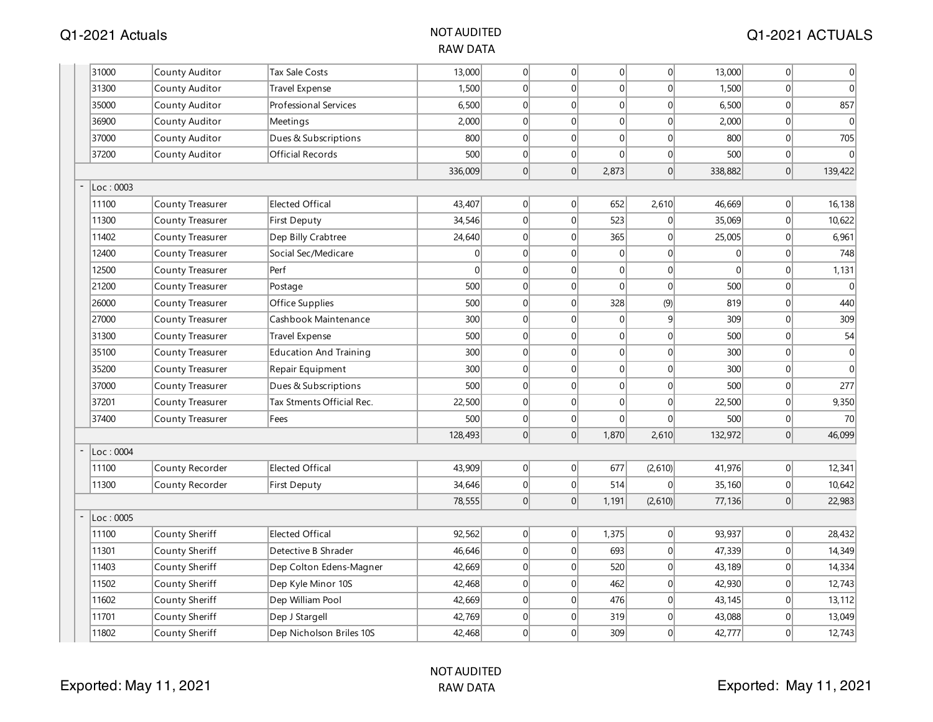| 31000     | County Auditor          | Tax Sale Costs                | 13,000         | 0              | $\overline{0}$ | 0            | $\vert 0 \vert$ | 13,000         | 0 | $\boldsymbol{0}$ |
|-----------|-------------------------|-------------------------------|----------------|----------------|----------------|--------------|-----------------|----------------|---|------------------|
| 31300     | County Auditor          | <b>Travel Expense</b>         | 1,500          | 0              | $\mathbf 0$    | 0            | $\Omega$        | 1,500          | 0 | $\mathbf 0$      |
| 35000     | County Auditor          | <b>Professional Services</b>  | 6,500          | 0              | $\mathbf 0$    | 0            | $\Omega$        | 6,500          | 0 | 857              |
| 36900     | County Auditor          | Meetings                      | 2,000          | 0              | $\mathbf 0$    | 0            | $\overline{0}$  | 2,000          | 0 | $\mathbf{0}$     |
| 37000     | County Auditor          | Dues & Subscriptions          | 800            | 0              | $\mathbf 0$    | 0            | $\overline{0}$  | 800            | 0 | 705              |
| 37200     | County Auditor          | Official Records              | 500            | 0              | $\mathbf 0$    | $\mathbf 0$  | 0               | 500            | 0 | $\theta$         |
|           |                         |                               | 336,009        | 0              | $\overline{0}$ | 2,873        | 0               | 338,882        | 0 | 139,422          |
| Loc: 0003 |                         |                               |                |                |                |              |                 |                |   |                  |
| 11100     | County Treasurer        | <b>Elected Offical</b>        | 43,407         | 0              | $\overline{0}$ | 652          | 2,610           | 46,669         | 0 | 16,138           |
| 11300     | <b>County Treasurer</b> | <b>First Deputy</b>           | 34,546         | 0              | $\mathbf 0$    | 523          | 0               | 35,069         | 0 | 10,622           |
| 11402     | <b>County Treasurer</b> | Dep Billy Crabtree            | 24,640         | 0              | $\mathbf 0$    | 365          | 0               | 25,005         | 0 | 6,961            |
| 12400     | County Treasurer        | Social Sec/Medicare           | $\overline{0}$ | 0              | $\mathbf 0$    | 0            | $\vert 0 \vert$ | $\overline{0}$ | 0 | 748              |
| 12500     | <b>County Treasurer</b> | Perf                          | $\Omega$       | $\overline{0}$ | $\mathbf 0$    | 0            | 0               | $\Omega$       | 0 | 1,131            |
| 21200     | <b>County Treasurer</b> | Postage                       | 500            | 0              | $\mathbf 0$    | 0            | $\Omega$        | 500            | 0 | $\Omega$         |
| 26000     | County Treasurer        | Office Supplies               | 500            | 0              | $\mathbf 0$    | 328          | (9)             | 819            | 0 | 440              |
| 27000     | <b>County Treasurer</b> | Cashbook Maintenance          | 300            | 0              | $\mathbf{0}$   | 0            | 9               | 309            | 0 | 309              |
| 31300     | County Treasurer        | Travel Expense                | 500            | $\overline{0}$ | $\mathbf{0}$   | 0            | $\Omega$        | 500            | 0 | 54               |
| 35100     | County Treasurer        | <b>Education And Training</b> | 300            | 0              | $\mathbf 0$    | 0            | $\overline{0}$  | 300            | 0 | $\mathbf 0$      |
| 35200     | County Treasurer        | Repair Equipment              | 300            | 0              | $\mathbf 0$    | 0            | $\overline{0}$  | 300            | 0 | $\mathbf{0}$     |
| 37000     | <b>County Treasurer</b> | Dues & Subscriptions          | 500            | 0              | $\mathbf{0}$   | 0            | 0               | 500            | 0 | 277              |
| 37201     | County Treasurer        | Tax Stments Official Rec.     | 22,500         | 0              | $\mathbf 0$    | 0            | 0               | 22,500         | 0 | 9,350            |
| 37400     | County Treasurer        | Fees                          | 500            | 0              | $\mathbf 0$    | $\mathbf{0}$ | $\overline{0}$  | 500            | 0 | 70               |
|           |                         |                               | 128,493        | 0              | $\overline{0}$ | 1,870        | 2,610           | 132,972        | 0 | 46,099           |
| Loc: 0004 |                         |                               |                |                |                |              |                 |                |   |                  |
| 11100     | County Recorder         | <b>Elected Offical</b>        | 43,909         | 0              | $\overline{0}$ | 677          | (2,610)         | 41,976         | 0 | 12,341           |
| 11300     | County Recorder         | <b>First Deputy</b>           | 34,646         | 0              | $\mathbf 0$    | 514          | $\Omega$        | 35,160         | 0 | 10,642           |
|           |                         |                               | 78,555         | 0              | $\Omega$       | 1,191        | (2,610)         | 77,136         | 0 | 22,983           |
| Loc: 0005 |                         |                               |                |                |                |              |                 |                |   |                  |
| 11100     | County Sheriff          | <b>Elected Offical</b>        | 92,562         | 0              | 0              | 1,375        | 0               | 93,937         | 0 | 28,432           |
| 11301     | County Sheriff          | Detective B Shrader           | 46,646         | 0              | $\mathbf{0}$   | 693          | 0               | 47,339         | 0 | 14,349           |
| 11403     | County Sheriff          | Dep Colton Edens-Magner       | 42,669         | 0              | $\Omega$       | 520          | $\Omega$        | 43,189         | 0 | 14,334           |
| 11502     | County Sheriff          | Dep Kyle Minor 10S            | 42,468         | 0              | $\mathbf 0$    | 462          | 0               | 42,930         | 0 | 12,743           |
| 11602     | County Sheriff          | Dep William Pool              | 42,669         | 0              | $\mathbf 0$    | 476          | $\overline{0}$  | 43,145         | 0 | 13,112           |
| 11701     | County Sheriff          | Dep J Stargell                | 42,769         | $\overline{0}$ | $\mathbf{0}$   | 319          | $\Omega$        | 43,088         | 0 | 13,049           |
| 11802     | County Sheriff          | Dep Nicholson Briles 10S      | 42,468         | 0              | $\mathbf{0}$   | 309          | $\Omega$        | 42,777         | 0 | 12,743           |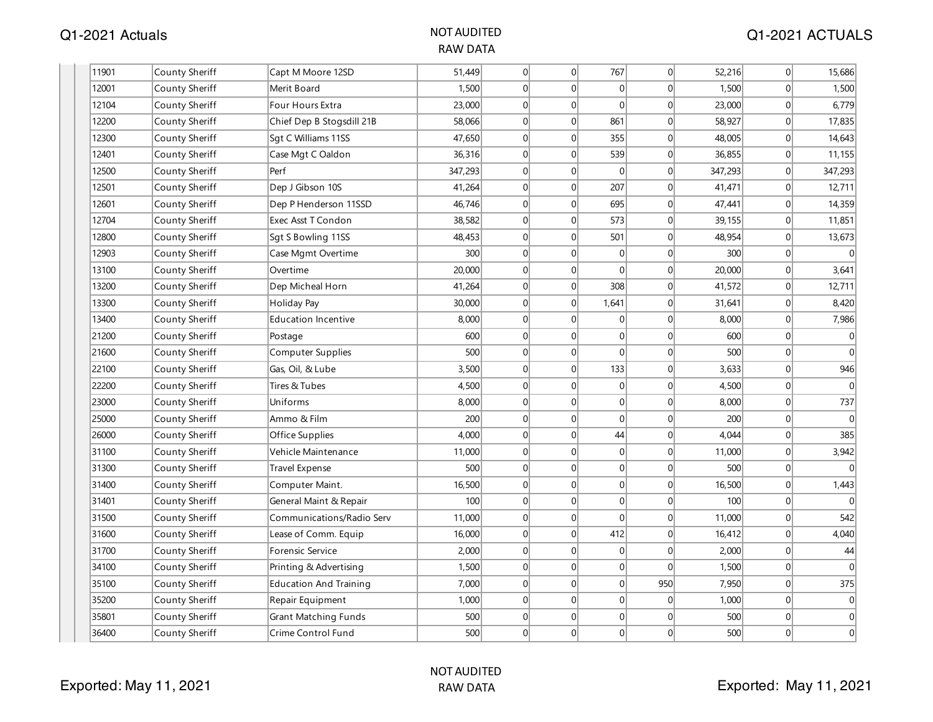| 11901 | County Sheriff | Capt M Moore 12SD             | 51,449  | 0               | 0            | 767            | $\vert 0 \vert$ | 52,216  | 0                | 15,686       |
|-------|----------------|-------------------------------|---------|-----------------|--------------|----------------|-----------------|---------|------------------|--------------|
| 12001 | County Sheriff | Merit Board                   | 1,500   | $\Omega$        | $\Omega$     | $\Omega$       | $\Omega$        | 1,500   | $\Omega$         | 1,500        |
| 12104 | County Sheriff | Four Hours Extra              | 23,000  | $\overline{0}$  | 0            | $\Omega$       | $\mathbf{0}$    | 23,000  | $\overline{0}$   | 6,779        |
| 12200 | County Sheriff | Chief Dep B Stogsdill 21B     | 58,066  | 0               | 0            | 861            | $\mathbf{0}$    | 58,927  | 0                | 17,835       |
| 12300 | County Sheriff | Sqt C Williams 11SS           | 47,650  | $\vert 0 \vert$ | $\Omega$     | 355            | $\mathbf{0}$    | 48,005  | $\overline{0}$   | 14,643       |
| 12401 | County Sheriff | Case Mgt C Oaldon             | 36,316  | $\Omega$        | $\Omega$     | 539            | 0               | 36,855  | 0                | 11,155       |
| 12500 | County Sheriff | Perf                          | 347,293 | 0               | 0            | $\overline{0}$ | 0               | 347,293 | 0                | 347,293      |
| 12501 | County Sheriff | Dep J Gibson 10S              | 41,264  | $\vert 0 \vert$ | $\mathbf 0$  | 207            | 0               | 41,471  | $\overline{0}$   | 12,711       |
| 12601 | County Sheriff | Dep P Henderson 11SSD         | 46,746  | 0               | 0            | 695            | 0               | 47,441  | 0                | 14,359       |
| 12704 | County Sheriff | Exec Asst T Condon            | 38,582  | 0               | $\mathbf 0$  | 573            | $\mathbf 0$     | 39,155  | 0                | 11,851       |
| 12800 | County Sheriff | Sgt S Bowling 11SS            | 48,453  | $\vert 0 \vert$ | 0            | 501            | $\mathbf 0$     | 48,954  | 0                | 13,673       |
| 12903 | County Sheriff | Case Mgmt Overtime            | 300     | 0               | $\mathbf{0}$ | $\Omega$       | 0               | 300     | $\overline{0}$   | $\Omega$     |
| 13100 | County Sheriff | Overtime                      | 20,000  | $\vert 0 \vert$ | $\Omega$     | $\Omega$       | $\vert 0 \vert$ | 20,000  | 0                | 3,641        |
| 13200 | County Sheriff | Dep Micheal Horn              | 41,264  | $\vert 0 \vert$ | 0            | 308            | 0               | 41,572  | $\boldsymbol{0}$ | 12,711       |
| 13300 | County Sheriff | Holiday Pay                   | 30,000  | 0               | 0            | 1,641          | 0               | 31,641  | 0                | 8,420        |
| 13400 | County Sheriff | Education Incentive           | 8,000   | 0               | 0            | $\overline{0}$ | $\mathbf 0$     | 8,000   | 0                | 7,986        |
| 21200 | County Sheriff | Postage                       | 600     | $\vert 0 \vert$ | $\Omega$     | $\Omega$       | $\mathbf{0}$    | 600     | $\overline{0}$   | $\mathbf{0}$ |
| 21600 | County Sheriff | Computer Supplies             | 500     | $\overline{0}$  | 0            | $\Omega$       | $\mathbf{0}$    | 500     | $\overline{0}$   | $\mathbf{0}$ |
| 22100 | County Sheriff | Gas, Oil, & Lube              | 3,500   | 0               | $\mathbf 0$  | 133            | $\mathbf 0$     | 3,633   | 0                | 946          |
| 22200 | County Sheriff | Tires & Tubes                 | 4,500   | $\overline{0}$  | $\mathbf 0$  | $\overline{0}$ | $\mathbf{0}$    | 4,500   | $\overline{0}$   | $\Omega$     |
| 23000 | County Sheriff | Uniforms                      | 8,000   | $\overline{0}$  | $\Omega$     | $\Omega$       | $\mathbf{0}$    | 8,000   | 0                | 737          |
| 25000 | County Sheriff | Ammo & Film                   | 200     | $\vert 0 \vert$ | 0            | $\Omega$       | 0               | 200     | $\overline{0}$   | $\Omega$     |
| 26000 | County Sheriff | Office Supplies               | 4,000   | 0               | $\mathbf 0$  | 44             | $\mathbf 0$     | 4,044   | 0                | 385          |
| 31100 | County Sheriff | Vehicle Maintenance           | 11,000  | $\vert 0 \vert$ | $\mathbf 0$  | $\overline{0}$ | $\mathbf{0}$    | 11,000  | 0                | 3,942        |
| 31300 | County Sheriff | <b>Travel Expense</b>         | 500     | $\overline{0}$  | $\mathbf{0}$ | $\Omega$       | $\mathbf{0}$    | 500     | 0                | $\Omega$     |
| 31400 | County Sheriff | Computer Maint.               | 16,500  | 0               | 0            | $\Omega$       | $\mathbf{0}$    | 16,500  | $\overline{0}$   | 1,443        |
| 31401 | County Sheriff | General Maint & Repair        | 100     | 0               | $\Omega$     | $\Omega$       | $\mathbf 0$     | 100     | $\overline{0}$   | $\Omega$     |
| 31500 | County Sheriff | Communications/Radio Serv     | 11,000  | $\vert 0 \vert$ | 0            | $\Omega$       | 0               | 11,000  | 0                | 542          |
| 31600 | County Sheriff | Lease of Comm. Equip          | 16,000  | $\vert 0 \vert$ | 0            | 412            | 0               | 16,412  | 0                | 4,040        |
| 31700 | County Sheriff | Forensic Service              | 2,000   | 0               | $\mathbf{0}$ | $\overline{0}$ | 0               | 2,000   | $\overline{0}$   | 44           |
| 34100 | County Sheriff | Printing & Advertising        | 1,500   | 0               | $\Omega$     | $\overline{0}$ | $\mathbf 0$     | 1,500   | 0                | $\Omega$     |
| 35100 | County Sheriff | <b>Education And Training</b> | 7,000   | 0               | 0            | $\overline{0}$ | 950             | 7,950   | 0                | 375          |
| 35200 | County Sheriff | Repair Equipment              | 1,000   | $\vert 0 \vert$ | $\mathbf 0$  | $\overline{0}$ | $\mathbf{0}$    | 1,000   | 0                | $\mathbf{0}$ |
| 35801 | County Sheriff | <b>Grant Matching Funds</b>   | 500     | 0               | $\Omega$     | $\vert$ 0      | $\mathbf{0}$    | 500     | $\overline{0}$   | $\mathbf 0$  |
| 36400 | County Sheriff | Crime Control Fund            | 500     | $\Omega$        | $\Omega$     | $\overline{0}$ | $\mathbf{0}$    | 500     | $\overline{0}$   | $\mathbf{0}$ |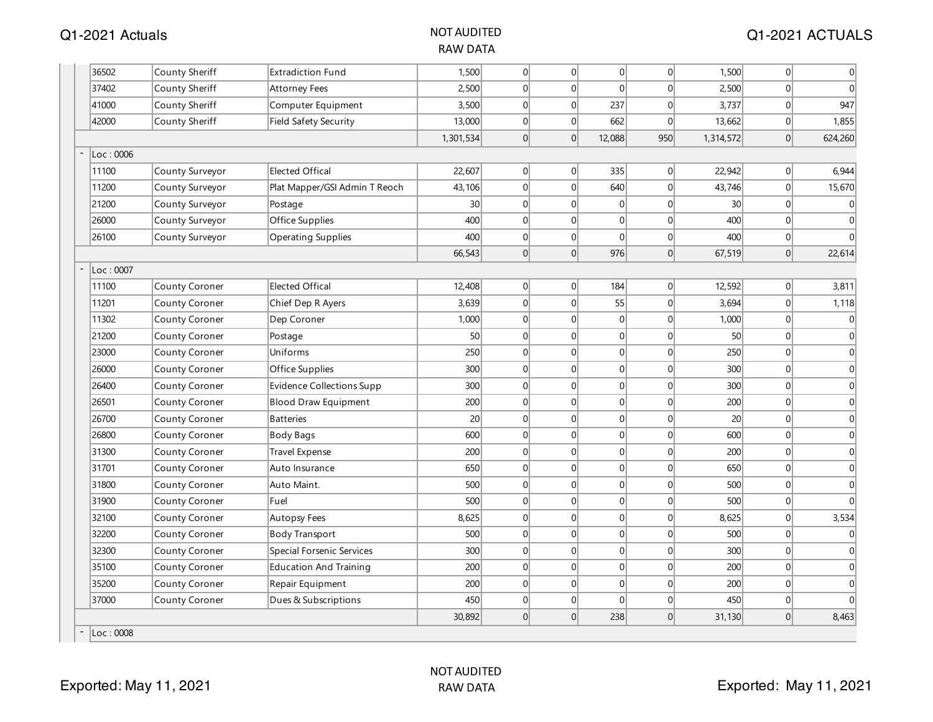| 36502     | County Sheriff        | <b>Extradiction Fund</b>      | 1,500           | 0        | 0                | 0              | 0               | 1,500           | 0              | 0                |
|-----------|-----------------------|-------------------------------|-----------------|----------|------------------|----------------|-----------------|-----------------|----------------|------------------|
| 37402     | County Sheriff        | <b>Attorney Fees</b>          | 2,500           | 0        | $\mathbf{0}$     | $\overline{0}$ | $\vert 0 \vert$ | 2,500           | 0              | $\overline{0}$   |
| 41000     | County Sheriff        | Computer Equipment            | 3,500           | 0        | $\mathbf{0}$     | 237            | 0               | 3,737           | $\overline{0}$ | 947              |
| 42000     | County Sheriff        | Field Safety Security         | 13,000          | 0        | $\mathbf 0$      | 662            | 0               | 13,662          | 0              | 1,855            |
|           |                       |                               | 1,301,534       | 0        | $\mathbf{0}$     | 12,088         | 950             | 1,314,572       | 0              | 624,260          |
| Loc:0006  |                       |                               |                 |          |                  |                |                 |                 |                |                  |
| 11100     | County Surveyor       | <b>Elected Offical</b>        | 22,607          | 0        | $\boldsymbol{0}$ | 335            | 0               | 22,942          | 0              | 6,944            |
| 11200     | County Surveyor       | Plat Mapper/GSI Admin T Reoch | 43,106          | 0        | $\mathbf 0$      | 640            | $\vert 0 \vert$ | 43,746          | 0              | 15,670           |
| 21200     | County Surveyor       | Postage                       | 30 <sup>1</sup> | 0        | $\mathbf{0}$     | $\overline{0}$ | $\overline{0}$  | 30 <sup>2</sup> | $\overline{0}$ | 0                |
| 26000     | County Surveyor       | Office Supplies               | 400             | 0        | 0                | $\overline{0}$ | $\overline{0}$  | 400             | $\overline{0}$ | $\mathbf{0}$     |
| 26100     | County Surveyor       | <b>Operating Supplies</b>     | 400             | 0        | $\mathbf 0$      | $\overline{0}$ | $\vert 0 \vert$ | 400             | $\overline{0}$ | $\Omega$         |
|           |                       |                               | 66,543          | 0        | $\mathbf 0$      | 976            | 0               | 67,519          | 0              | 22,614           |
| Loc: 0007 |                       |                               |                 |          |                  |                |                 |                 |                |                  |
| 11100     | County Coroner        | <b>Elected Offical</b>        | 12,408          | 0        | $\mathbf 0$      | 184            | 0               | 12,592          | 0              | 3,811            |
| 11201     | County Coroner        | Chief Dep R Ayers             | 3,639           | 0        | $\mathbf 0$      | 55             | $\Omega$        | 3,694           | $\overline{0}$ | 1,118            |
| 11302     | County Coroner        | Dep Coroner                   | 1,000           | 0        | $\mathbf 0$      | 0              | $\overline{0}$  | 1,000           | $\overline{0}$ | 0                |
| 21200     | County Coroner        | Postage                       | 50 <sup>1</sup> | 0        | $\mathbf{0}$     | 0              | $\overline{0}$  | 50              | $\overline{0}$ | 0                |
| 23000     | <b>County Coroner</b> | Uniforms                      | 250             | 0        | $\mathbf 0$      | 0              | $\overline{0}$  | 250             | $\overline{0}$ | 0                |
| 26000     | County Coroner        | Office Supplies               | 300             | 0        | $\mathbf 0$      | 0              | 0               | 300             | 0              | $\mathbf 0$      |
| 26400     | County Coroner        | Evidence Collections Supp     | 300             | 0        | $\mathbf 0$      | 0              | 0               | 300             | $\overline{0}$ | $\mathbf 0$      |
| 26501     | County Coroner        | <b>Blood Draw Equipment</b>   | 200             | 0        | $\mathbf{0}$     | 0              | $\overline{0}$  | 200             | $\overline{0}$ | $\mathbf 0$      |
| 26700     | County Coroner        | <b>Batteries</b>              | 20 <sup>1</sup> | 0        | $\mathbf{0}$     | 0              | $\overline{0}$  | 20              | $\overline{0}$ | $\mathbf{0}$     |
| 26800     | County Coroner        | <b>Body Bags</b>              | 600             | 0        | $\mathbf 0$      | 0              | $\overline{0}$  | 600             | $\overline{0}$ | $\mathbf 0$      |
| 31300     | County Coroner        | Travel Expense                | 200             | 0        | $\mathbf{0}$     | 0              | $\overline{0}$  | 200             | $\overline{0}$ | $\boldsymbol{0}$ |
| 31701     | <b>County Coroner</b> | Auto Insurance                | 650             | 0        | $\mathbf{0}$     | 0              | $\overline{0}$  | 650             | $\overline{0}$ | 0                |
| 31800     | County Coroner        | Auto Maint.                   | 500             | 0        | $\mathbf 0$      | 0              | $\Omega$        | 500             | $\Omega$       | $\mathbf 0$      |
| 31900     | County Coroner        | Fuel                          | 500             | 0        | $\mathbf 0$      | 0              | $\vert 0 \vert$ | 500             | 0              | $\Omega$         |
| 32100     | County Coroner        | <b>Autopsy Fees</b>           | 8,625           | 0        | $\mathbf{0}$     | 0              | $\vert 0 \vert$ | 8,625           | 0              | 3,534            |
| 32200     | <b>County Coroner</b> | <b>Body Transport</b>         | 500             | 0        | $\mathbf{0}$     | 0              | $\overline{0}$  | 500             | 0              | $\mathbf 0$      |
| 32300     | County Coroner        | Special Forsenic Services     | 300             | 0        | $\mathbf{0}$     | 0              | $\Omega$        | 300             | $\overline{0}$ | $\mathbf 0$      |
| 35100     | County Coroner        | <b>Education And Training</b> | 200             | 0        | $\mathbf 0$      | 0              | $\overline{0}$  | 200             | $\overline{0}$ | 0                |
| 35200     | County Coroner        | Repair Equipment              | 200             | 0        | $\mathbf{0}$     | 0              | 0               | 200             | $\overline{0}$ | 0                |
| 37000     | <b>County Coroner</b> | Dues & Subscriptions          | 450             | 0        | $\mathbf 0$      | $\overline{0}$ | $\overline{0}$  | 450             | $\overline{0}$ | $\mathbf 0$      |
|           |                       |                               | 30,892          | $\Omega$ | $\Omega$         | 238            | $\Omega$        | 31,130          | 0              | 8,463            |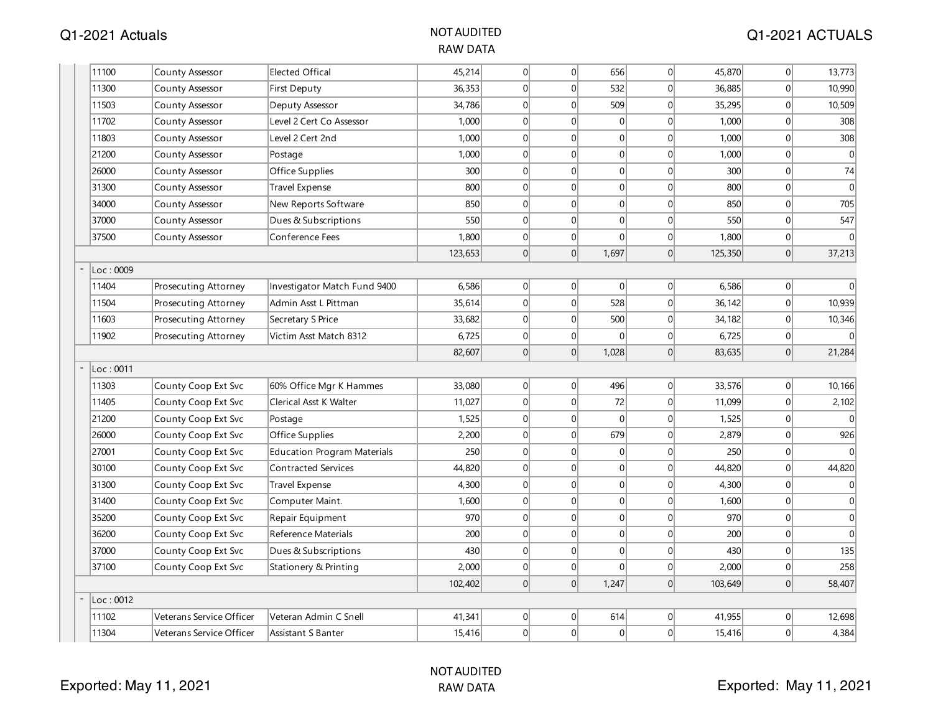| 11100<br>45,214<br>656<br>45,870<br><b>Elected Offical</b><br> 0 <br> 0 <br> 0 <br>County Assessor<br>36,353<br>$\Omega$<br>$\overline{0}$<br>532<br>11300<br>County Assessor<br>First Deputy<br>$\vert 0 \vert$<br>36,885<br>11503<br>34,786<br> 0 <br>$\overline{0}$<br>509<br>35,295<br>County Assessor<br>Deputy Assessor<br> 0 <br> 0 <br> 0 <br>11702<br>Level 2 Cert Co Assessor<br>1,000<br>$\overline{0}$<br>$\overline{0}$<br>1,000<br>County Assessor<br> 0 <br>1,000<br> 0 <br>$\overline{0}$<br>1,000<br>11803<br>Level 2 Cert 2nd<br>$\overline{0}$<br>County Assessor<br> 0 <br> 0 <br>$\overline{0}$<br>21200<br>County Assessor<br>1,000<br>$\overline{0}$<br>1,000<br>Postage<br>300<br> 0 <br>$\overline{0}$<br> 0 <br>300<br>26000<br>Office Supplies<br>$\overline{0}$<br>County Assessor<br> 0 <br>800<br> 0 <br>$\overline{0}$<br>800<br>31300<br><b>Travel Expense</b><br>$\overline{0}$<br>County Assessor<br> 0 <br>$\overline{0}$<br>34000<br>850<br> 0 <br>$\overline{0}$<br>850<br>County Assessor<br>New Reports Software<br> 0 <br>37000<br>550<br> 0 <br>$\overline{0}$<br>550<br>County Assessor<br>Dues & Subscriptions<br>$\overline{0}$<br>37500<br>1,800<br> 0 <br>$\overline{0}$<br> 0 <br>1,800<br>County Assessor<br>Conference Fees<br> 0 <br> 0 <br> 0 <br>1,697<br>123,653<br> 0 <br>125,350<br>Loc: 0009<br> 0 <br>6,586<br> 0 <br> 0 <br> 0 <br>6,586<br>11404<br>Prosecuting Attorney<br>Investigator Match Fund 9400<br> 0 <br>528<br>35,614<br>$\overline{0}$<br>36,142<br>11504<br>Admin Asst L Pittman<br> 0 <br>Prosecuting Attorney<br>Secretary S Price<br>33,682<br> 0 <br>$\overline{0}$<br>500<br>11603<br>Prosecuting Attorney<br>$\overline{0}$<br>34,182<br>6,725<br>$\overline{0}$<br>11902<br> 0 <br> 0 <br>$\vert 0 \vert$<br>6,725<br>Prosecuting Attorney<br>Victim Asst Match 8312<br>$\overline{0}$<br>82,607<br>$\Omega$<br>1,028<br> 0 <br>83,635<br>Loc: 0011<br>33,080<br>11303<br>County Coop Ext Svc<br>60% Office Mgr K Hammes<br> 0 <br>$\overline{0}$<br>496<br>33,576<br> 0 <br> 0 <br>11,027<br>$\overline{0}$<br>72<br>$\Omega$<br>11,099<br>11405<br>County Coop Ext Svc<br><b>Clerical Asst K Walter</b><br> 0 <br>$\overline{0}$<br> 0 <br>County Coop Ext Svc<br>1,525<br>$\vert 0 \vert$<br>21200<br>1,525<br>Postage<br> 0 <br>$\overline{0}$<br>679<br>26000<br>County Coop Ext Svc<br>Office Supplies<br>2,200<br>$\overline{0}$<br>2,879<br>250<br>250<br>27001<br> 0 <br>$\overline{0}$<br> 0 <br>County Coop Ext Svc<br><b>Education Program Materials</b><br>$\overline{0}$<br>Contracted Services<br> 0 <br>30100<br>44,820<br>$\overline{0}$<br>$\overline{0}$<br>$\overline{0}$<br>44,820<br>County Coop Ext Svc<br> 0 <br>31300<br>4,300<br>$\Omega$<br>$\overline{0}$<br>$\Omega$<br>4,300<br>County Coop Ext Svc<br><b>Travel Expense</b><br> 0 <br>31400<br> 0 <br>$\overline{0}$<br>1,600<br>$\overline{0}$<br>1,600<br>County Coop Ext Svc<br>Computer Maint.<br>35200<br>970<br> 0 <br>$\overline{0}$<br> 0 <br>970<br>County Coop Ext Svc<br>$\overline{0}$<br>Repair Equipment<br> 0 <br>200<br>36200<br>200<br> 0 <br>$\overline{0}$<br>$\overline{0}$<br>County Coop Ext Svc<br>Reference Materials<br> 0 <br>37000<br>430<br> 0 <br>$\overline{0}$<br>430<br>County Coop Ext Svc<br>$\overline{0}$<br>Dues & Subscriptions<br>$\Omega$<br>2,000<br> 0 <br>$\overline{0}$<br>2,000<br>37100<br>County Coop Ext Svc<br> 0 <br>Stationery & Printing |       |                          |                       |         |   |                  |       |                 |         |                |              |
|------------------------------------------------------------------------------------------------------------------------------------------------------------------------------------------------------------------------------------------------------------------------------------------------------------------------------------------------------------------------------------------------------------------------------------------------------------------------------------------------------------------------------------------------------------------------------------------------------------------------------------------------------------------------------------------------------------------------------------------------------------------------------------------------------------------------------------------------------------------------------------------------------------------------------------------------------------------------------------------------------------------------------------------------------------------------------------------------------------------------------------------------------------------------------------------------------------------------------------------------------------------------------------------------------------------------------------------------------------------------------------------------------------------------------------------------------------------------------------------------------------------------------------------------------------------------------------------------------------------------------------------------------------------------------------------------------------------------------------------------------------------------------------------------------------------------------------------------------------------------------------------------------------------------------------------------------------------------------------------------------------------------------------------------------------------------------------------------------------------------------------------------------------------------------------------------------------------------------------------------------------------------------------------------------------------------------------------------------------------------------------------------------------------------------------------------------------------------------------------------------------------------------------------------------------------------------------------------------------------------------------------------------------------------------------------------------------------------------------------------------------------------------------------------------------------------------------------------------------------------------------------------------------------------------------------------------------------------------------------------------------------------------------------------------------------------------------------------------------------------------------------------------------------------------------------------------------------------------------------------------------------------------------------------------------------------------------------------------------------------------------------------------------------------------------------------------------|-------|--------------------------|-----------------------|---------|---|------------------|-------|-----------------|---------|----------------|--------------|
|                                                                                                                                                                                                                                                                                                                                                                                                                                                                                                                                                                                                                                                                                                                                                                                                                                                                                                                                                                                                                                                                                                                                                                                                                                                                                                                                                                                                                                                                                                                                                                                                                                                                                                                                                                                                                                                                                                                                                                                                                                                                                                                                                                                                                                                                                                                                                                                                                                                                                                                                                                                                                                                                                                                                                                                                                                                                                                                                                                                                                                                                                                                                                                                                                                                                                                                                                                                                                                                            |       |                          |                       |         |   |                  |       |                 |         | 0              | 13,773       |
|                                                                                                                                                                                                                                                                                                                                                                                                                                                                                                                                                                                                                                                                                                                                                                                                                                                                                                                                                                                                                                                                                                                                                                                                                                                                                                                                                                                                                                                                                                                                                                                                                                                                                                                                                                                                                                                                                                                                                                                                                                                                                                                                                                                                                                                                                                                                                                                                                                                                                                                                                                                                                                                                                                                                                                                                                                                                                                                                                                                                                                                                                                                                                                                                                                                                                                                                                                                                                                                            |       |                          |                       |         |   |                  |       |                 |         | 0              | 10,990       |
|                                                                                                                                                                                                                                                                                                                                                                                                                                                                                                                                                                                                                                                                                                                                                                                                                                                                                                                                                                                                                                                                                                                                                                                                                                                                                                                                                                                                                                                                                                                                                                                                                                                                                                                                                                                                                                                                                                                                                                                                                                                                                                                                                                                                                                                                                                                                                                                                                                                                                                                                                                                                                                                                                                                                                                                                                                                                                                                                                                                                                                                                                                                                                                                                                                                                                                                                                                                                                                                            |       |                          |                       |         |   |                  |       |                 |         | $\overline{0}$ | 10,509       |
|                                                                                                                                                                                                                                                                                                                                                                                                                                                                                                                                                                                                                                                                                                                                                                                                                                                                                                                                                                                                                                                                                                                                                                                                                                                                                                                                                                                                                                                                                                                                                                                                                                                                                                                                                                                                                                                                                                                                                                                                                                                                                                                                                                                                                                                                                                                                                                                                                                                                                                                                                                                                                                                                                                                                                                                                                                                                                                                                                                                                                                                                                                                                                                                                                                                                                                                                                                                                                                                            |       |                          |                       |         |   |                  |       |                 |         | 0              | 308          |
|                                                                                                                                                                                                                                                                                                                                                                                                                                                                                                                                                                                                                                                                                                                                                                                                                                                                                                                                                                                                                                                                                                                                                                                                                                                                                                                                                                                                                                                                                                                                                                                                                                                                                                                                                                                                                                                                                                                                                                                                                                                                                                                                                                                                                                                                                                                                                                                                                                                                                                                                                                                                                                                                                                                                                                                                                                                                                                                                                                                                                                                                                                                                                                                                                                                                                                                                                                                                                                                            |       |                          |                       |         |   |                  |       |                 |         | 0              | 308          |
|                                                                                                                                                                                                                                                                                                                                                                                                                                                                                                                                                                                                                                                                                                                                                                                                                                                                                                                                                                                                                                                                                                                                                                                                                                                                                                                                                                                                                                                                                                                                                                                                                                                                                                                                                                                                                                                                                                                                                                                                                                                                                                                                                                                                                                                                                                                                                                                                                                                                                                                                                                                                                                                                                                                                                                                                                                                                                                                                                                                                                                                                                                                                                                                                                                                                                                                                                                                                                                                            |       |                          |                       |         |   |                  |       |                 |         | 0              | $\Omega$     |
|                                                                                                                                                                                                                                                                                                                                                                                                                                                                                                                                                                                                                                                                                                                                                                                                                                                                                                                                                                                                                                                                                                                                                                                                                                                                                                                                                                                                                                                                                                                                                                                                                                                                                                                                                                                                                                                                                                                                                                                                                                                                                                                                                                                                                                                                                                                                                                                                                                                                                                                                                                                                                                                                                                                                                                                                                                                                                                                                                                                                                                                                                                                                                                                                                                                                                                                                                                                                                                                            |       |                          |                       |         |   |                  |       |                 |         | 0              | 74           |
|                                                                                                                                                                                                                                                                                                                                                                                                                                                                                                                                                                                                                                                                                                                                                                                                                                                                                                                                                                                                                                                                                                                                                                                                                                                                                                                                                                                                                                                                                                                                                                                                                                                                                                                                                                                                                                                                                                                                                                                                                                                                                                                                                                                                                                                                                                                                                                                                                                                                                                                                                                                                                                                                                                                                                                                                                                                                                                                                                                                                                                                                                                                                                                                                                                                                                                                                                                                                                                                            |       |                          |                       |         |   |                  |       |                 |         | $\overline{0}$ | $\mathbf{0}$ |
|                                                                                                                                                                                                                                                                                                                                                                                                                                                                                                                                                                                                                                                                                                                                                                                                                                                                                                                                                                                                                                                                                                                                                                                                                                                                                                                                                                                                                                                                                                                                                                                                                                                                                                                                                                                                                                                                                                                                                                                                                                                                                                                                                                                                                                                                                                                                                                                                                                                                                                                                                                                                                                                                                                                                                                                                                                                                                                                                                                                                                                                                                                                                                                                                                                                                                                                                                                                                                                                            |       |                          |                       |         |   |                  |       |                 |         | 0              | 705          |
|                                                                                                                                                                                                                                                                                                                                                                                                                                                                                                                                                                                                                                                                                                                                                                                                                                                                                                                                                                                                                                                                                                                                                                                                                                                                                                                                                                                                                                                                                                                                                                                                                                                                                                                                                                                                                                                                                                                                                                                                                                                                                                                                                                                                                                                                                                                                                                                                                                                                                                                                                                                                                                                                                                                                                                                                                                                                                                                                                                                                                                                                                                                                                                                                                                                                                                                                                                                                                                                            |       |                          |                       |         |   |                  |       |                 |         | 0              | 547          |
|                                                                                                                                                                                                                                                                                                                                                                                                                                                                                                                                                                                                                                                                                                                                                                                                                                                                                                                                                                                                                                                                                                                                                                                                                                                                                                                                                                                                                                                                                                                                                                                                                                                                                                                                                                                                                                                                                                                                                                                                                                                                                                                                                                                                                                                                                                                                                                                                                                                                                                                                                                                                                                                                                                                                                                                                                                                                                                                                                                                                                                                                                                                                                                                                                                                                                                                                                                                                                                                            |       |                          |                       |         |   |                  |       |                 |         | 0              | $\Omega$     |
|                                                                                                                                                                                                                                                                                                                                                                                                                                                                                                                                                                                                                                                                                                                                                                                                                                                                                                                                                                                                                                                                                                                                                                                                                                                                                                                                                                                                                                                                                                                                                                                                                                                                                                                                                                                                                                                                                                                                                                                                                                                                                                                                                                                                                                                                                                                                                                                                                                                                                                                                                                                                                                                                                                                                                                                                                                                                                                                                                                                                                                                                                                                                                                                                                                                                                                                                                                                                                                                            |       |                          |                       |         |   |                  |       |                 |         | 0              | 37,213       |
|                                                                                                                                                                                                                                                                                                                                                                                                                                                                                                                                                                                                                                                                                                                                                                                                                                                                                                                                                                                                                                                                                                                                                                                                                                                                                                                                                                                                                                                                                                                                                                                                                                                                                                                                                                                                                                                                                                                                                                                                                                                                                                                                                                                                                                                                                                                                                                                                                                                                                                                                                                                                                                                                                                                                                                                                                                                                                                                                                                                                                                                                                                                                                                                                                                                                                                                                                                                                                                                            |       |                          |                       |         |   |                  |       |                 |         |                |              |
|                                                                                                                                                                                                                                                                                                                                                                                                                                                                                                                                                                                                                                                                                                                                                                                                                                                                                                                                                                                                                                                                                                                                                                                                                                                                                                                                                                                                                                                                                                                                                                                                                                                                                                                                                                                                                                                                                                                                                                                                                                                                                                                                                                                                                                                                                                                                                                                                                                                                                                                                                                                                                                                                                                                                                                                                                                                                                                                                                                                                                                                                                                                                                                                                                                                                                                                                                                                                                                                            |       |                          |                       |         |   |                  |       |                 |         | 0              |              |
|                                                                                                                                                                                                                                                                                                                                                                                                                                                                                                                                                                                                                                                                                                                                                                                                                                                                                                                                                                                                                                                                                                                                                                                                                                                                                                                                                                                                                                                                                                                                                                                                                                                                                                                                                                                                                                                                                                                                                                                                                                                                                                                                                                                                                                                                                                                                                                                                                                                                                                                                                                                                                                                                                                                                                                                                                                                                                                                                                                                                                                                                                                                                                                                                                                                                                                                                                                                                                                                            |       |                          |                       |         |   |                  |       |                 |         | 0              | 10,939       |
|                                                                                                                                                                                                                                                                                                                                                                                                                                                                                                                                                                                                                                                                                                                                                                                                                                                                                                                                                                                                                                                                                                                                                                                                                                                                                                                                                                                                                                                                                                                                                                                                                                                                                                                                                                                                                                                                                                                                                                                                                                                                                                                                                                                                                                                                                                                                                                                                                                                                                                                                                                                                                                                                                                                                                                                                                                                                                                                                                                                                                                                                                                                                                                                                                                                                                                                                                                                                                                                            |       |                          |                       |         |   |                  |       |                 |         | 0              | 10,346       |
|                                                                                                                                                                                                                                                                                                                                                                                                                                                                                                                                                                                                                                                                                                                                                                                                                                                                                                                                                                                                                                                                                                                                                                                                                                                                                                                                                                                                                                                                                                                                                                                                                                                                                                                                                                                                                                                                                                                                                                                                                                                                                                                                                                                                                                                                                                                                                                                                                                                                                                                                                                                                                                                                                                                                                                                                                                                                                                                                                                                                                                                                                                                                                                                                                                                                                                                                                                                                                                                            |       |                          |                       |         |   |                  |       |                 |         | 0              |              |
|                                                                                                                                                                                                                                                                                                                                                                                                                                                                                                                                                                                                                                                                                                                                                                                                                                                                                                                                                                                                                                                                                                                                                                                                                                                                                                                                                                                                                                                                                                                                                                                                                                                                                                                                                                                                                                                                                                                                                                                                                                                                                                                                                                                                                                                                                                                                                                                                                                                                                                                                                                                                                                                                                                                                                                                                                                                                                                                                                                                                                                                                                                                                                                                                                                                                                                                                                                                                                                                            |       |                          |                       |         |   |                  |       |                 |         | 0              | 21,284       |
|                                                                                                                                                                                                                                                                                                                                                                                                                                                                                                                                                                                                                                                                                                                                                                                                                                                                                                                                                                                                                                                                                                                                                                                                                                                                                                                                                                                                                                                                                                                                                                                                                                                                                                                                                                                                                                                                                                                                                                                                                                                                                                                                                                                                                                                                                                                                                                                                                                                                                                                                                                                                                                                                                                                                                                                                                                                                                                                                                                                                                                                                                                                                                                                                                                                                                                                                                                                                                                                            |       |                          |                       |         |   |                  |       |                 |         |                |              |
|                                                                                                                                                                                                                                                                                                                                                                                                                                                                                                                                                                                                                                                                                                                                                                                                                                                                                                                                                                                                                                                                                                                                                                                                                                                                                                                                                                                                                                                                                                                                                                                                                                                                                                                                                                                                                                                                                                                                                                                                                                                                                                                                                                                                                                                                                                                                                                                                                                                                                                                                                                                                                                                                                                                                                                                                                                                                                                                                                                                                                                                                                                                                                                                                                                                                                                                                                                                                                                                            |       |                          |                       |         |   |                  |       |                 |         | 0              | 10,166       |
|                                                                                                                                                                                                                                                                                                                                                                                                                                                                                                                                                                                                                                                                                                                                                                                                                                                                                                                                                                                                                                                                                                                                                                                                                                                                                                                                                                                                                                                                                                                                                                                                                                                                                                                                                                                                                                                                                                                                                                                                                                                                                                                                                                                                                                                                                                                                                                                                                                                                                                                                                                                                                                                                                                                                                                                                                                                                                                                                                                                                                                                                                                                                                                                                                                                                                                                                                                                                                                                            |       |                          |                       |         |   |                  |       |                 |         | 0              | 2,102        |
|                                                                                                                                                                                                                                                                                                                                                                                                                                                                                                                                                                                                                                                                                                                                                                                                                                                                                                                                                                                                                                                                                                                                                                                                                                                                                                                                                                                                                                                                                                                                                                                                                                                                                                                                                                                                                                                                                                                                                                                                                                                                                                                                                                                                                                                                                                                                                                                                                                                                                                                                                                                                                                                                                                                                                                                                                                                                                                                                                                                                                                                                                                                                                                                                                                                                                                                                                                                                                                                            |       |                          |                       |         |   |                  |       |                 |         | 0              |              |
|                                                                                                                                                                                                                                                                                                                                                                                                                                                                                                                                                                                                                                                                                                                                                                                                                                                                                                                                                                                                                                                                                                                                                                                                                                                                                                                                                                                                                                                                                                                                                                                                                                                                                                                                                                                                                                                                                                                                                                                                                                                                                                                                                                                                                                                                                                                                                                                                                                                                                                                                                                                                                                                                                                                                                                                                                                                                                                                                                                                                                                                                                                                                                                                                                                                                                                                                                                                                                                                            |       |                          |                       |         |   |                  |       |                 |         | $\overline{0}$ | 926          |
|                                                                                                                                                                                                                                                                                                                                                                                                                                                                                                                                                                                                                                                                                                                                                                                                                                                                                                                                                                                                                                                                                                                                                                                                                                                                                                                                                                                                                                                                                                                                                                                                                                                                                                                                                                                                                                                                                                                                                                                                                                                                                                                                                                                                                                                                                                                                                                                                                                                                                                                                                                                                                                                                                                                                                                                                                                                                                                                                                                                                                                                                                                                                                                                                                                                                                                                                                                                                                                                            |       |                          |                       |         |   |                  |       |                 |         | 0              |              |
|                                                                                                                                                                                                                                                                                                                                                                                                                                                                                                                                                                                                                                                                                                                                                                                                                                                                                                                                                                                                                                                                                                                                                                                                                                                                                                                                                                                                                                                                                                                                                                                                                                                                                                                                                                                                                                                                                                                                                                                                                                                                                                                                                                                                                                                                                                                                                                                                                                                                                                                                                                                                                                                                                                                                                                                                                                                                                                                                                                                                                                                                                                                                                                                                                                                                                                                                                                                                                                                            |       |                          |                       |         |   |                  |       |                 |         | 0              | 44,820       |
|                                                                                                                                                                                                                                                                                                                                                                                                                                                                                                                                                                                                                                                                                                                                                                                                                                                                                                                                                                                                                                                                                                                                                                                                                                                                                                                                                                                                                                                                                                                                                                                                                                                                                                                                                                                                                                                                                                                                                                                                                                                                                                                                                                                                                                                                                                                                                                                                                                                                                                                                                                                                                                                                                                                                                                                                                                                                                                                                                                                                                                                                                                                                                                                                                                                                                                                                                                                                                                                            |       |                          |                       |         |   |                  |       |                 |         | 0              | $\mathbf 0$  |
|                                                                                                                                                                                                                                                                                                                                                                                                                                                                                                                                                                                                                                                                                                                                                                                                                                                                                                                                                                                                                                                                                                                                                                                                                                                                                                                                                                                                                                                                                                                                                                                                                                                                                                                                                                                                                                                                                                                                                                                                                                                                                                                                                                                                                                                                                                                                                                                                                                                                                                                                                                                                                                                                                                                                                                                                                                                                                                                                                                                                                                                                                                                                                                                                                                                                                                                                                                                                                                                            |       |                          |                       |         |   |                  |       |                 |         | 0              | $\mathbf 0$  |
|                                                                                                                                                                                                                                                                                                                                                                                                                                                                                                                                                                                                                                                                                                                                                                                                                                                                                                                                                                                                                                                                                                                                                                                                                                                                                                                                                                                                                                                                                                                                                                                                                                                                                                                                                                                                                                                                                                                                                                                                                                                                                                                                                                                                                                                                                                                                                                                                                                                                                                                                                                                                                                                                                                                                                                                                                                                                                                                                                                                                                                                                                                                                                                                                                                                                                                                                                                                                                                                            |       |                          |                       |         |   |                  |       |                 |         | $\overline{0}$ | $\mathbf{0}$ |
|                                                                                                                                                                                                                                                                                                                                                                                                                                                                                                                                                                                                                                                                                                                                                                                                                                                                                                                                                                                                                                                                                                                                                                                                                                                                                                                                                                                                                                                                                                                                                                                                                                                                                                                                                                                                                                                                                                                                                                                                                                                                                                                                                                                                                                                                                                                                                                                                                                                                                                                                                                                                                                                                                                                                                                                                                                                                                                                                                                                                                                                                                                                                                                                                                                                                                                                                                                                                                                                            |       |                          |                       |         |   |                  |       |                 |         | 0              | $\theta$     |
|                                                                                                                                                                                                                                                                                                                                                                                                                                                                                                                                                                                                                                                                                                                                                                                                                                                                                                                                                                                                                                                                                                                                                                                                                                                                                                                                                                                                                                                                                                                                                                                                                                                                                                                                                                                                                                                                                                                                                                                                                                                                                                                                                                                                                                                                                                                                                                                                                                                                                                                                                                                                                                                                                                                                                                                                                                                                                                                                                                                                                                                                                                                                                                                                                                                                                                                                                                                                                                                            |       |                          |                       |         |   |                  |       |                 |         | 0              | 135          |
|                                                                                                                                                                                                                                                                                                                                                                                                                                                                                                                                                                                                                                                                                                                                                                                                                                                                                                                                                                                                                                                                                                                                                                                                                                                                                                                                                                                                                                                                                                                                                                                                                                                                                                                                                                                                                                                                                                                                                                                                                                                                                                                                                                                                                                                                                                                                                                                                                                                                                                                                                                                                                                                                                                                                                                                                                                                                                                                                                                                                                                                                                                                                                                                                                                                                                                                                                                                                                                                            |       |                          |                       |         |   |                  |       |                 |         | 0              | 258          |
|                                                                                                                                                                                                                                                                                                                                                                                                                                                                                                                                                                                                                                                                                                                                                                                                                                                                                                                                                                                                                                                                                                                                                                                                                                                                                                                                                                                                                                                                                                                                                                                                                                                                                                                                                                                                                                                                                                                                                                                                                                                                                                                                                                                                                                                                                                                                                                                                                                                                                                                                                                                                                                                                                                                                                                                                                                                                                                                                                                                                                                                                                                                                                                                                                                                                                                                                                                                                                                                            |       |                          |                       | 102,402 | 0 | 0                | 1,247 | $\vert 0 \vert$ | 103,649 | 0              | 58,407       |
| Loc: 0012                                                                                                                                                                                                                                                                                                                                                                                                                                                                                                                                                                                                                                                                                                                                                                                                                                                                                                                                                                                                                                                                                                                                                                                                                                                                                                                                                                                                                                                                                                                                                                                                                                                                                                                                                                                                                                                                                                                                                                                                                                                                                                                                                                                                                                                                                                                                                                                                                                                                                                                                                                                                                                                                                                                                                                                                                                                                                                                                                                                                                                                                                                                                                                                                                                                                                                                                                                                                                                                  |       |                          |                       |         |   |                  |       |                 |         |                |              |
|                                                                                                                                                                                                                                                                                                                                                                                                                                                                                                                                                                                                                                                                                                                                                                                                                                                                                                                                                                                                                                                                                                                                                                                                                                                                                                                                                                                                                                                                                                                                                                                                                                                                                                                                                                                                                                                                                                                                                                                                                                                                                                                                                                                                                                                                                                                                                                                                                                                                                                                                                                                                                                                                                                                                                                                                                                                                                                                                                                                                                                                                                                                                                                                                                                                                                                                                                                                                                                                            | 11102 | Veterans Service Officer | Veteran Admin C Snell | 41,341  | 0 | $\boldsymbol{0}$ | 614   | $\overline{0}$  | 41,955  | 0              | 12,698       |
|                                                                                                                                                                                                                                                                                                                                                                                                                                                                                                                                                                                                                                                                                                                                                                                                                                                                                                                                                                                                                                                                                                                                                                                                                                                                                                                                                                                                                                                                                                                                                                                                                                                                                                                                                                                                                                                                                                                                                                                                                                                                                                                                                                                                                                                                                                                                                                                                                                                                                                                                                                                                                                                                                                                                                                                                                                                                                                                                                                                                                                                                                                                                                                                                                                                                                                                                                                                                                                                            | 11304 | Veterans Service Officer | Assistant S Banter    | 15,416  | 0 | $\overline{0}$   | 0     | $\overline{0}$  | 15,416  | 0              | 4,384        |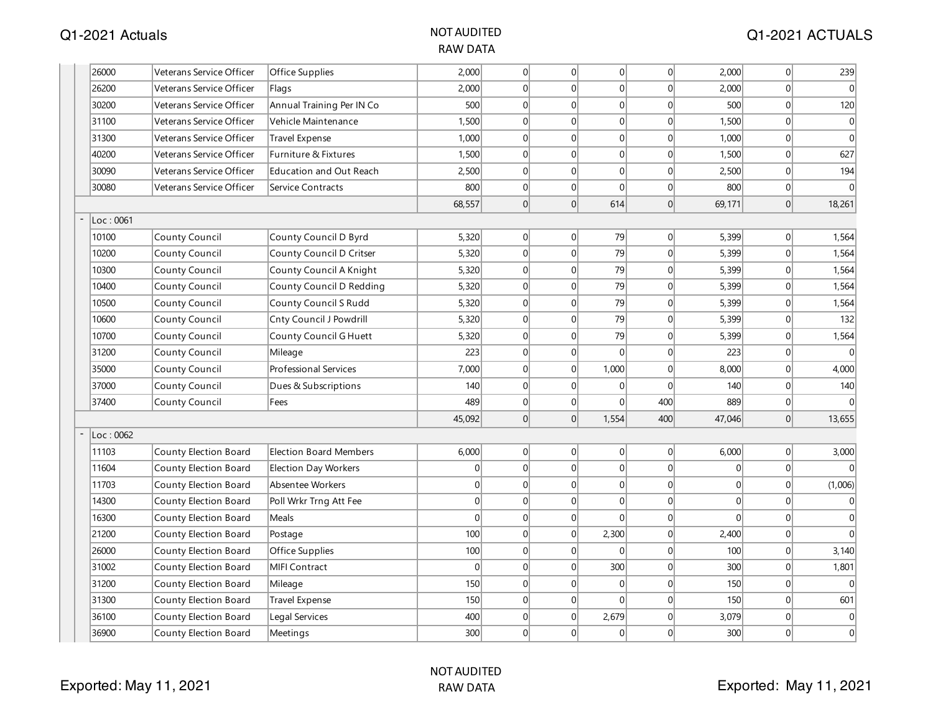| 26000     | Veterans Service Officer | Office Supplies                | 2,000    | 0               | 0              | 0              | 0              | 2,000          | 0              | 239              |
|-----------|--------------------------|--------------------------------|----------|-----------------|----------------|----------------|----------------|----------------|----------------|------------------|
| 26200     | Veterans Service Officer | Flags                          | 2,000    | $\Omega$        | 0              | 0              | $\Omega$       | 2,000          | 0              | $\Omega$         |
| 30200     | Veterans Service Officer | Annual Training Per IN Co      | 500      | 0               | 0              | 0              | $\overline{0}$ | 500            | 0              | 120              |
| 31100     | Veterans Service Officer | Vehicle Maintenance            | 1,500    | 0               | $\overline{0}$ | 0              | $\overline{0}$ | 1,500          | 0              | $\mathbf{0}$     |
| 31300     | Veterans Service Officer | <b>Travel Expense</b>          | 1,000    | $\Omega$        | $\Omega$       | 0              | $\Omega$       | 1,000          | $\overline{0}$ | $\theta$         |
| 40200     | Veterans Service Officer | Furniture & Fixtures           | 1,500    | 0               | 0              | 0              | $\overline{0}$ | 1,500          | 0              | 627              |
| 30090     | Veterans Service Officer | <b>Education and Out Reach</b> | 2,500    | $\Omega$        | 0              | 0              | $\Omega$       | 2,500          | $\overline{0}$ | 194              |
| 30080     | Veterans Service Officer | Service Contracts              | 800      | $\Omega$        | 0              | $\overline{0}$ | $\Omega$       | 800            | 0              | $\theta$         |
|           |                          |                                | 68,557   | $\Omega$        | 0              | 614            | 0              | 69,171         | 0              | 18,261           |
| Loc: 0061 |                          |                                |          |                 |                |                |                |                |                |                  |
| 10100     | County Council           | County Council D Byrd          | 5,320    | 0               | 0              | 79             | 0              | 5,399          | 0              | 1,564            |
| 10200     | County Council           | County Council D Critser       | 5,320    | 0               | $\overline{0}$ | 79             | 0              | 5,399          | 0              | 1,564            |
| 10300     | County Council           | County Council A Knight        | 5,320    | 0               | 0              | 79             | 0              | 5,399          | 0              | 1,564            |
| 10400     | County Council           | County Council D Redding       | 5,320    | 0               | 0              | 79             | $\overline{0}$ | 5,399          | 0              | 1,564            |
| 10500     | <b>County Council</b>    | County Council S Rudd          | 5,320    | $\Omega$        | 0              | 79             | $\overline{0}$ | 5,399          | 0              | 1,564            |
| 10600     | County Council           | Cnty Council J Powdrill        | 5,320    | $\Omega$        | 0              | 79             | $\Omega$       | 5,399          | 0              | 132              |
| 10700     | County Council           | County Council G Huett         | 5,320    | $\vert 0 \vert$ | 0              | 79             | $\overline{0}$ | 5,399          | 0              | 1,564            |
| 31200     | <b>County Council</b>    | Mileage                        | 223      | $\Omega$        | 0              | $\Omega$       | $\overline{0}$ | 223            | $\overline{0}$ |                  |
| 35000     | County Council           | <b>Professional Services</b>   | 7,000    | 0               | 0              | 1,000          | 0              | 8,000          | 0              | 4,000            |
| 37000     | County Council           | Dues & Subscriptions           | 140      | 0               | 0              | 0              | $\overline{0}$ | 140            | 0              | 140              |
| 37400     | County Council           | Fees                           | 489      | 0               | 0              | 0              | 400            | 889            | 0              |                  |
|           |                          |                                | 45,092   | 0               | 0              | 1,554          | 400            | 47,046         | 0              | 13,655           |
| Loc: 0062 |                          |                                |          |                 |                |                |                |                |                |                  |
| 11103     | County Election Board    | <b>Election Board Members</b>  | 6,000    | 0               | 0              | 0              | 0              | 6,000          | 0              | 3,000            |
| 11604     | County Election Board    | Election Day Workers           | 0        | $\vert 0 \vert$ | 0              | 0              | $\overline{0}$ | $\overline{0}$ | 0              | $\theta$         |
| 11703     | County Election Board    | Absentee Workers               | 0        | $\Omega$        | 0              | 0              | $\overline{0}$ | $\overline{0}$ | 0              | (1,006)          |
| 14300     | County Election Board    | Poll Wrkr Trng Att Fee         | $\Omega$ | $\Omega$        | $\Omega$       | $\Omega$       | $\Omega$       | $\Omega$       | 0              | $\Omega$         |
| 16300     | County Election Board    | Meals                          | 0        | 0               | 0              | $\Omega$       | 0              | $\Omega$       | 0              | $\Omega$         |
| 21200     | County Election Board    | Postage                        | 100      | 0               | 0              | 2,300          | 0              | 2,400          | $\overline{0}$ | $\Omega$         |
| 26000     | County Election Board    | Office Supplies                | 100      | 0               | 0              | 0              | $\overline{0}$ | 100            | 0              | 3,140            |
| 31002     | County Election Board    | <b>MIFI Contract</b>           | $\Omega$ | $\Omega$        | 0              | 300            | $\overline{0}$ | 300            | 0              | 1,801            |
| 31200     | County Election Board    | Mileage                        | 150      | $\Omega$        | 0              | 0              | $\Omega$       | 150            | $\overline{0}$ | $\Omega$         |
| 31300     | County Election Board    | Travel Expense                 | 150      | $\Omega$        | 0              | $\Omega$       | $\overline{0}$ | 150            | 0              | 601              |
| 36100     | County Election Board    | Legal Services                 | 400      | $\Omega$        | 0              | 2,679          | $\overline{0}$ | 3,079          | 0              | $\mathbf 0$      |
| 36900     | County Election Board    | Meetings                       | 300      | $\Omega$        | $\Omega$       | 0              | $\Omega$       | 300            | 0              | $\boldsymbol{0}$ |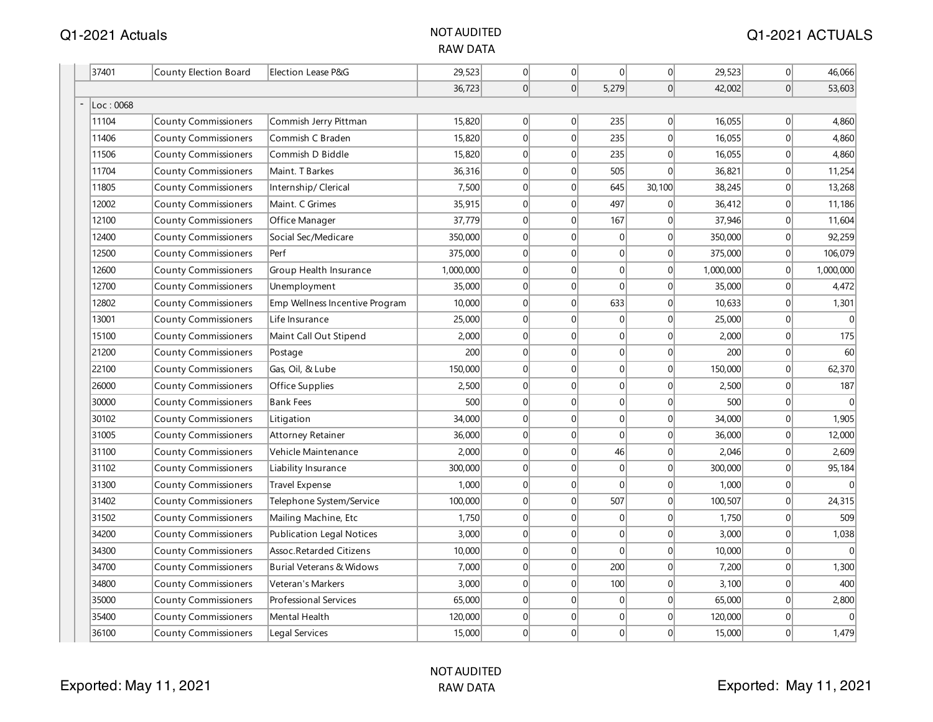| 37401 |           | County Election Board       | Election Lease P&G               | 29,523    | 0              | $\overline{0}$   | 0              | 0               | 29,523    | 0              | 46,066    |
|-------|-----------|-----------------------------|----------------------------------|-----------|----------------|------------------|----------------|-----------------|-----------|----------------|-----------|
|       |           |                             |                                  | 36,723    | 0              | 0                | 5,279          | 0               | 42,002    | 0              | 53,603    |
|       | Loc: 0068 |                             |                                  |           |                |                  |                |                 |           |                |           |
| 11104 |           | County Commissioners        | Commish Jerry Pittman            | 15,820    | $\overline{0}$ | 0                | 235            | $\Omega$        | 16,055    | $\overline{0}$ | 4,860     |
| 11406 |           | County Commissioners        | Commish C Braden                 | 15,820    | 0              | $\mathbf 0$      | 235            | $\Omega$        | 16,055    | $\overline{0}$ | 4,860     |
| 11506 |           | County Commissioners        | Commish D Biddle                 | 15,820    | 0              | $\mathbf 0$      | 235            | $\Omega$        | 16,055    | 0              | 4,860     |
| 11704 |           | <b>County Commissioners</b> | Maint. T Barkes                  | 36,316    | 0              | $\mathbf 0$      | 505            | 0               | 36,821    | 0              | 11,254    |
| 11805 |           | <b>County Commissioners</b> | Internship/Clerical              | 7,500     | 0              | $\mathbf 0$      | 645            | 30,100          | 38,245    | 0              | 13,268    |
| 12002 |           | <b>County Commissioners</b> | Maint. C Grimes                  | 35,915    | 0              | $\boldsymbol{0}$ | 497            | $\overline{0}$  | 36,412    | 0              | 11,186    |
| 12100 |           | <b>County Commissioners</b> | Office Manager                   | 37,779    | $\overline{0}$ | $\mathbf 0$      | 167            | $\overline{0}$  | 37,946    | 0              | 11,604    |
| 12400 |           | <b>County Commissioners</b> | Social Sec/Medicare              | 350,000   | 0              | $\mathbf 0$      | 0              | $\Omega$        | 350,000   | $\overline{0}$ | 92,259    |
| 12500 |           | County Commissioners        | Perf                             | 375,000   | 0              | $\Omega$         | 0              | $\overline{0}$  | 375,000   | $\overline{0}$ | 106,079   |
| 12600 |           | County Commissioners        | Group Health Insurance           | 1,000,000 | 0              | $\Omega$         | 0              | 0               | 1,000,000 | 0              | 1,000,000 |
| 12700 |           | County Commissioners        | Unemployment                     | 35,000    | 0              | $\mathbf 0$      | $\overline{0}$ | $\overline{0}$  | 35,000    | 0              | 4,472     |
| 12802 |           | County Commissioners        | Emp Wellness Incentive Program   | 10,000    | 0              | $\mathbf 0$      | 633            | 0               | 10,633    | 0              | 1,301     |
| 13001 |           | <b>County Commissioners</b> | Life Insurance                   | 25,000    | 0              | $\mathbf 0$      | 0              | $\vert 0 \vert$ | 25,000    | 0              |           |
| 15100 |           | <b>County Commissioners</b> | Maint Call Out Stipend           | 2,000     | 0              | $\overline{0}$   | 0              | $\overline{0}$  | 2,000     | 0              | 175       |
| 21200 |           | <b>County Commissioners</b> | Postage                          | 200       | 0              | $\mathbf 0$      | 0              | $\Omega$        | 200       | $\overline{0}$ | 60        |
| 22100 |           | County Commissioners        | Gas, Oil, & Lube                 | 150,000   | 0              | $\Omega$         | 0              | $\Omega$        | 150,000   | $\overline{0}$ | 62,370    |
| 26000 |           | <b>County Commissioners</b> | Office Supplies                  | 2,500     | 0              | $\mathbf 0$      | 0              | $\Omega$        | 2,500     | $\overline{0}$ | 187       |
| 30000 |           | <b>County Commissioners</b> | <b>Bank Fees</b>                 | 500       | 0              | $\Omega$         | 0              | $\Omega$        | 500       | 0              | $\Omega$  |
| 30102 |           | <b>County Commissioners</b> | Litigation                       | 34,000    | 0              | $\mathbf 0$      | 0              | 0               | 34,000    | 0              | 1,905     |
| 31005 |           | <b>County Commissioners</b> | <b>Attorney Retainer</b>         | 36,000    | 0              | $\mathbf 0$      | 0              | $\vert 0 \vert$ | 36,000    | 0              | 12,000    |
| 31100 |           | <b>County Commissioners</b> | Vehicle Maintenance              | 2,000     | 0              | $\mathbf 0$      | 46             | $\overline{0}$  | 2,046     | 0              | 2,609     |
| 31102 |           | <b>County Commissioners</b> | Liability Insurance              | 300,000   | $\overline{0}$ | $\mathbf 0$      | 0              | 0               | 300,000   | $\overline{0}$ | 95,184    |
| 31300 |           | County Commissioners        | <b>Travel Expense</b>            | 1,000     | 0              | $\mathbf 0$      | $\overline{0}$ | $\overline{0}$  | 1,000     | $\overline{0}$ | $\Omega$  |
| 31402 |           | <b>County Commissioners</b> | Telephone System/Service         | 100,000   | 0              | $\mathbf 0$      | 507            | 0               | 100,507   | $\overline{0}$ | 24,315    |
| 31502 |           | <b>County Commissioners</b> | Mailing Machine, Etc             | 1,750     | 0              | $\Omega$         | 0              | $\Omega$        | 1,750     | 0              | 509       |
| 34200 |           | <b>County Commissioners</b> | <b>Publication Legal Notices</b> | 3,000     | 0              | $\mathbf 0$      | 0              | 0               | 3,000     | 0              | 1,038     |
| 34300 |           | <b>County Commissioners</b> | Assoc.Retarded Citizens          | 10,000    | 0              | $\mathbf 0$      | 0              | 0               | 10,000    | 0              |           |
| 34700 |           | County Commissioners        | Burial Veterans & Widows         | 7,000     | 0              | $\mathbf 0$      | 200            | $\vert 0 \vert$ | 7,200     | 0              | 1,300     |
| 34800 |           | <b>County Commissioners</b> | Veteran's Markers                | 3,000     | $\overline{0}$ | $\overline{0}$   | 100            | 0               | 3,100     | 0              | 400       |
| 35000 |           | <b>County Commissioners</b> | Professional Services            | 65,000    | 0              | $\mathbf 0$      | 0              | $\Omega$        | 65,000    | $\overline{0}$ | 2,800     |
| 35400 |           | <b>County Commissioners</b> | Mental Health                    | 120,000   | $\overline{0}$ | 0                | 0              | $\Omega$        | 120,000   | $\overline{0}$ |           |
| 36100 |           | <b>County Commissioners</b> | Legal Services                   | 15,000    | $\Omega$       | $\mathbf 0$      | 0              | $\Omega$        | 15,000    | $\overline{0}$ | 1,479     |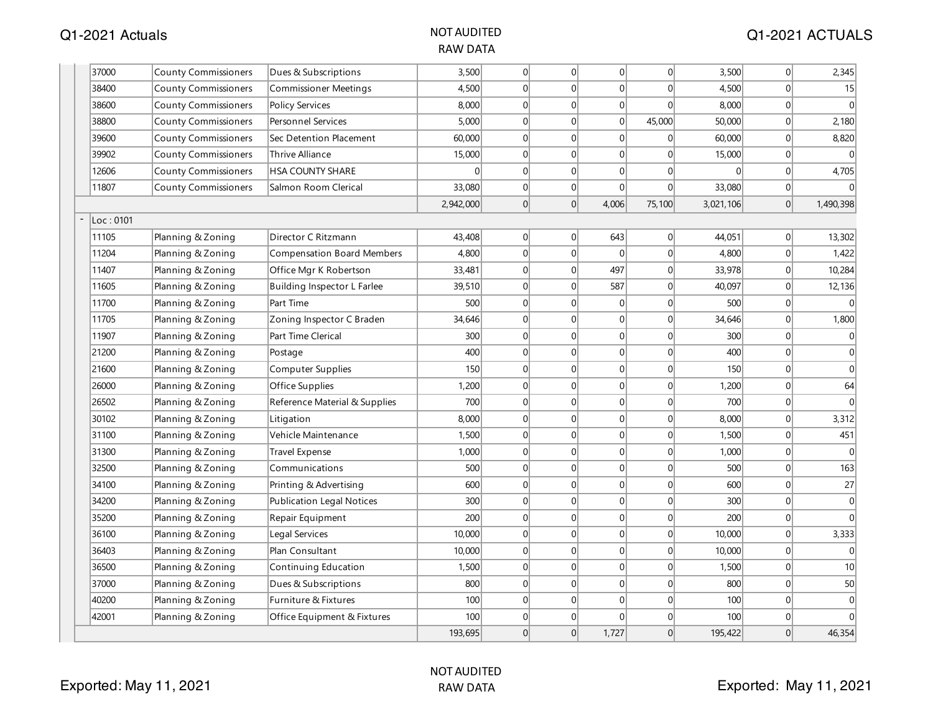| 37000<br>3,500<br> 0 <br> 0 <br>$\overline{0}$<br>$\overline{0}$<br>3,500<br><b>County Commissioners</b><br>Dues & Subscriptions<br> 0 <br>4,500<br>$\Omega$<br> 0 <br>$\overline{0}$<br>38400<br><b>County Commissioners</b><br><b>Commissioner Meetings</b><br>4,500<br> 0 <br>8,000<br> 0 <br> 0 <br>$\vert 0 \vert$<br>8,000<br>38600<br><b>County Commissioners</b><br><b>Policy Services</b><br> 0 <br> 0 <br><b>Personnel Services</b><br>5,000<br>$\overline{0}$<br>45,000<br>50,000<br>38800<br><b>County Commissioners</b><br>60,000<br> 0 <br>$\overline{0}$<br> 0 <br>60,000<br>39600<br><b>County Commissioners</b><br>Sec Detention Placement<br>$\overline{0}$<br>39902<br>15,000<br> 0 <br> 0 <br> 0 <br>$\overline{0}$<br>15,000<br><b>County Commissioners</b><br>Thrive Alliance<br>12606<br>$\Omega$<br> 0 <br>$\Omega$<br>$\Omega$<br>$\Omega$<br><b>County Commissioners</b><br><b>HSA COUNTY SHARE</b><br>$\Omega$<br> 0 <br> 0 <br>$\overline{0}$<br>11807<br><b>County Commissioners</b><br>33,080<br> 0 <br>33,080<br>Salmon Room Clerical<br>$\Omega$<br>2,942,000<br>$\Omega$<br>4,006<br>75,100<br>3,021,106<br>Loc: 0101<br>11105<br>Planning & Zoning<br>Director C Ritzmann<br>43,408<br>$\overline{0}$<br> 0 <br>643<br> 0 <br>44,051<br>4,800<br> 0 <br> 0 <br> 0 <br> 0 <br>4,800<br>11204<br>Planning & Zoning<br><b>Compensation Board Members</b><br>33,481<br> 0 <br> 0 <br>497<br> 0 <br>33,978<br>11407<br>Planning & Zoning<br>Office Mgr K Robertson<br> 0 <br>587<br> 0 <br>11605<br>39,510<br>$\Omega$<br>40,097<br>Planning & Zoning<br>Building Inspector L Farlee<br>500<br> 0 <br> 0 <br>$\overline{0}$<br>500<br>11700<br>Planning & Zoning<br>Part Time<br>$\overline{0}$<br> 0 <br>$\Omega$<br>$\overline{0}$<br>11705<br>Zoning Inspector C Braden<br>34,646<br>$\Omega$<br>34,646<br>Planning & Zoning<br>300<br>$\overline{0}$<br> 0 <br>$\overline{0}$<br>11907<br>Planning & Zoning<br>Part Time Clerical<br>$\overline{0}$<br>300<br>400<br> 0 <br>21200<br> 0 <br>$\overline{0}$<br>$\overline{0}$<br>400<br>Planning & Zoning<br>Postage<br>150<br> 0 <br> 0 <br>$\overline{0}$<br>21600<br>Planning & Zoning<br>Computer Supplies<br>$\overline{0}$<br>150<br> 0 <br> 0 <br>26000<br>1,200<br>$\Omega$<br>$\overline{0}$<br>1,200<br>Planning & Zoning<br>Office Supplies<br> 0 <br> 0 <br>$\overline{0}$<br>26502<br>700<br>$\overline{0}$<br>700<br>Planning & Zoning<br>Reference Material & Supplies<br>30102<br>8,000<br> 0 <br>$\overline{0}$<br> 0 <br>$\overline{0}$<br>8,000<br>Planning & Zoning<br>Litigation<br> 0 <br>$\vert 0 \vert$<br>31100<br>Vehicle Maintenance<br>1,500<br>$\overline{0}$<br> 0 <br>1,500<br>Planning & Zoning<br>31300<br>1,000<br> 0 <br> 0 <br> 0 <br>$\overline{0}$<br>1,000<br>Planning & Zoning<br>Travel Expense<br>$\overline{0}$<br> 0 <br>$\overline{0}$<br>32500<br>Communications<br>500<br> 0 <br>500<br>Planning & Zoning<br>34100<br>600<br>$\Omega$<br>$\Omega$<br>$\overline{0}$<br>600<br>Printing & Advertising<br>$\Omega$<br>Planning & Zoning<br>34200<br>300<br> 0 <br>$\overline{0}$<br> 0 <br>$\overline{0}$<br>300<br>Planning & Zoning<br><b>Publication Legal Notices</b><br>200<br>$\Omega$<br>$\Omega$<br> 0 <br>$\vert 0 \vert$<br>200<br>35200<br>Planning & Zoning<br>Repair Equipment<br> 0 <br>10,000<br> 0 <br> 0 <br> 0 <br>36100<br>Planning & Zoning<br>Legal Services<br>10,000<br>10,000<br>$\overline{0}$<br>$\overline{0}$<br> 0 <br> 0 <br>10,000<br>36403<br>Planning & Zoning<br>Plan Consultant<br> 0 <br> 0 <br> 0 <br>36500<br>Planning & Zoning<br>Continuing Education<br>1,500<br>$\overline{0}$<br>1,500<br> 0 <br>37000<br>800<br> 0 <br> 0 <br>$\vert 0 \vert$<br>800<br>Planning & Zoning<br>Dues & Subscriptions<br>40200<br>100<br> 0 <br> 0 <br>$\overline{0}$<br>Planning & Zoning<br>Furniture & Fixtures<br>$\Omega$<br>100<br>42001<br>Planning & Zoning<br>100<br>$\overline{0}$<br>$\Omega$<br>100<br>Office Equipment & Fixtures<br>$\overline{0}$<br>$\overline{0}$ |  |         |          |          |       |   |         |                |                |
|-----------------------------------------------------------------------------------------------------------------------------------------------------------------------------------------------------------------------------------------------------------------------------------------------------------------------------------------------------------------------------------------------------------------------------------------------------------------------------------------------------------------------------------------------------------------------------------------------------------------------------------------------------------------------------------------------------------------------------------------------------------------------------------------------------------------------------------------------------------------------------------------------------------------------------------------------------------------------------------------------------------------------------------------------------------------------------------------------------------------------------------------------------------------------------------------------------------------------------------------------------------------------------------------------------------------------------------------------------------------------------------------------------------------------------------------------------------------------------------------------------------------------------------------------------------------------------------------------------------------------------------------------------------------------------------------------------------------------------------------------------------------------------------------------------------------------------------------------------------------------------------------------------------------------------------------------------------------------------------------------------------------------------------------------------------------------------------------------------------------------------------------------------------------------------------------------------------------------------------------------------------------------------------------------------------------------------------------------------------------------------------------------------------------------------------------------------------------------------------------------------------------------------------------------------------------------------------------------------------------------------------------------------------------------------------------------------------------------------------------------------------------------------------------------------------------------------------------------------------------------------------------------------------------------------------------------------------------------------------------------------------------------------------------------------------------------------------------------------------------------------------------------------------------------------------------------------------------------------------------------------------------------------------------------------------------------------------------------------------------------------------------------------------------------------------------------------------------------------------------------------------------------------------------------------------------------------------------------------------------------------------------------------------------------------------------------------------------------------------------------------------------------------------------------------------------------------------------------------------------------------------------------------------------------------------------------------------------------------------------------------------------------------------------|--|---------|----------|----------|-------|---|---------|----------------|----------------|
|                                                                                                                                                                                                                                                                                                                                                                                                                                                                                                                                                                                                                                                                                                                                                                                                                                                                                                                                                                                                                                                                                                                                                                                                                                                                                                                                                                                                                                                                                                                                                                                                                                                                                                                                                                                                                                                                                                                                                                                                                                                                                                                                                                                                                                                                                                                                                                                                                                                                                                                                                                                                                                                                                                                                                                                                                                                                                                                                                                                                                                                                                                                                                                                                                                                                                                                                                                                                                                                                                                                                                                                                                                                                                                                                                                                                                                                                                                                                                                                                                                         |  |         |          |          |       |   |         | 0              | 2,345          |
|                                                                                                                                                                                                                                                                                                                                                                                                                                                                                                                                                                                                                                                                                                                                                                                                                                                                                                                                                                                                                                                                                                                                                                                                                                                                                                                                                                                                                                                                                                                                                                                                                                                                                                                                                                                                                                                                                                                                                                                                                                                                                                                                                                                                                                                                                                                                                                                                                                                                                                                                                                                                                                                                                                                                                                                                                                                                                                                                                                                                                                                                                                                                                                                                                                                                                                                                                                                                                                                                                                                                                                                                                                                                                                                                                                                                                                                                                                                                                                                                                                         |  |         |          |          |       |   |         | $\overline{0}$ | 15             |
|                                                                                                                                                                                                                                                                                                                                                                                                                                                                                                                                                                                                                                                                                                                                                                                                                                                                                                                                                                                                                                                                                                                                                                                                                                                                                                                                                                                                                                                                                                                                                                                                                                                                                                                                                                                                                                                                                                                                                                                                                                                                                                                                                                                                                                                                                                                                                                                                                                                                                                                                                                                                                                                                                                                                                                                                                                                                                                                                                                                                                                                                                                                                                                                                                                                                                                                                                                                                                                                                                                                                                                                                                                                                                                                                                                                                                                                                                                                                                                                                                                         |  |         |          |          |       |   |         | $\overline{0}$ | $\Omega$       |
|                                                                                                                                                                                                                                                                                                                                                                                                                                                                                                                                                                                                                                                                                                                                                                                                                                                                                                                                                                                                                                                                                                                                                                                                                                                                                                                                                                                                                                                                                                                                                                                                                                                                                                                                                                                                                                                                                                                                                                                                                                                                                                                                                                                                                                                                                                                                                                                                                                                                                                                                                                                                                                                                                                                                                                                                                                                                                                                                                                                                                                                                                                                                                                                                                                                                                                                                                                                                                                                                                                                                                                                                                                                                                                                                                                                                                                                                                                                                                                                                                                         |  |         |          |          |       |   |         | $\overline{0}$ | 2,180          |
|                                                                                                                                                                                                                                                                                                                                                                                                                                                                                                                                                                                                                                                                                                                                                                                                                                                                                                                                                                                                                                                                                                                                                                                                                                                                                                                                                                                                                                                                                                                                                                                                                                                                                                                                                                                                                                                                                                                                                                                                                                                                                                                                                                                                                                                                                                                                                                                                                                                                                                                                                                                                                                                                                                                                                                                                                                                                                                                                                                                                                                                                                                                                                                                                                                                                                                                                                                                                                                                                                                                                                                                                                                                                                                                                                                                                                                                                                                                                                                                                                                         |  |         |          |          |       |   |         | 0              | 8,820          |
|                                                                                                                                                                                                                                                                                                                                                                                                                                                                                                                                                                                                                                                                                                                                                                                                                                                                                                                                                                                                                                                                                                                                                                                                                                                                                                                                                                                                                                                                                                                                                                                                                                                                                                                                                                                                                                                                                                                                                                                                                                                                                                                                                                                                                                                                                                                                                                                                                                                                                                                                                                                                                                                                                                                                                                                                                                                                                                                                                                                                                                                                                                                                                                                                                                                                                                                                                                                                                                                                                                                                                                                                                                                                                                                                                                                                                                                                                                                                                                                                                                         |  |         |          |          |       |   |         | 0              |                |
|                                                                                                                                                                                                                                                                                                                                                                                                                                                                                                                                                                                                                                                                                                                                                                                                                                                                                                                                                                                                                                                                                                                                                                                                                                                                                                                                                                                                                                                                                                                                                                                                                                                                                                                                                                                                                                                                                                                                                                                                                                                                                                                                                                                                                                                                                                                                                                                                                                                                                                                                                                                                                                                                                                                                                                                                                                                                                                                                                                                                                                                                                                                                                                                                                                                                                                                                                                                                                                                                                                                                                                                                                                                                                                                                                                                                                                                                                                                                                                                                                                         |  |         |          |          |       |   |         | $\Omega$       | 4,705          |
|                                                                                                                                                                                                                                                                                                                                                                                                                                                                                                                                                                                                                                                                                                                                                                                                                                                                                                                                                                                                                                                                                                                                                                                                                                                                                                                                                                                                                                                                                                                                                                                                                                                                                                                                                                                                                                                                                                                                                                                                                                                                                                                                                                                                                                                                                                                                                                                                                                                                                                                                                                                                                                                                                                                                                                                                                                                                                                                                                                                                                                                                                                                                                                                                                                                                                                                                                                                                                                                                                                                                                                                                                                                                                                                                                                                                                                                                                                                                                                                                                                         |  |         |          |          |       |   |         | 0              | $\Omega$       |
|                                                                                                                                                                                                                                                                                                                                                                                                                                                                                                                                                                                                                                                                                                                                                                                                                                                                                                                                                                                                                                                                                                                                                                                                                                                                                                                                                                                                                                                                                                                                                                                                                                                                                                                                                                                                                                                                                                                                                                                                                                                                                                                                                                                                                                                                                                                                                                                                                                                                                                                                                                                                                                                                                                                                                                                                                                                                                                                                                                                                                                                                                                                                                                                                                                                                                                                                                                                                                                                                                                                                                                                                                                                                                                                                                                                                                                                                                                                                                                                                                                         |  |         |          |          |       |   |         | 0              | 1,490,398      |
|                                                                                                                                                                                                                                                                                                                                                                                                                                                                                                                                                                                                                                                                                                                                                                                                                                                                                                                                                                                                                                                                                                                                                                                                                                                                                                                                                                                                                                                                                                                                                                                                                                                                                                                                                                                                                                                                                                                                                                                                                                                                                                                                                                                                                                                                                                                                                                                                                                                                                                                                                                                                                                                                                                                                                                                                                                                                                                                                                                                                                                                                                                                                                                                                                                                                                                                                                                                                                                                                                                                                                                                                                                                                                                                                                                                                                                                                                                                                                                                                                                         |  |         |          |          |       |   |         |                |                |
|                                                                                                                                                                                                                                                                                                                                                                                                                                                                                                                                                                                                                                                                                                                                                                                                                                                                                                                                                                                                                                                                                                                                                                                                                                                                                                                                                                                                                                                                                                                                                                                                                                                                                                                                                                                                                                                                                                                                                                                                                                                                                                                                                                                                                                                                                                                                                                                                                                                                                                                                                                                                                                                                                                                                                                                                                                                                                                                                                                                                                                                                                                                                                                                                                                                                                                                                                                                                                                                                                                                                                                                                                                                                                                                                                                                                                                                                                                                                                                                                                                         |  |         |          |          |       |   |         | 0              | 13,302         |
|                                                                                                                                                                                                                                                                                                                                                                                                                                                                                                                                                                                                                                                                                                                                                                                                                                                                                                                                                                                                                                                                                                                                                                                                                                                                                                                                                                                                                                                                                                                                                                                                                                                                                                                                                                                                                                                                                                                                                                                                                                                                                                                                                                                                                                                                                                                                                                                                                                                                                                                                                                                                                                                                                                                                                                                                                                                                                                                                                                                                                                                                                                                                                                                                                                                                                                                                                                                                                                                                                                                                                                                                                                                                                                                                                                                                                                                                                                                                                                                                                                         |  |         |          |          |       |   |         | $\overline{0}$ | 1,422          |
|                                                                                                                                                                                                                                                                                                                                                                                                                                                                                                                                                                                                                                                                                                                                                                                                                                                                                                                                                                                                                                                                                                                                                                                                                                                                                                                                                                                                                                                                                                                                                                                                                                                                                                                                                                                                                                                                                                                                                                                                                                                                                                                                                                                                                                                                                                                                                                                                                                                                                                                                                                                                                                                                                                                                                                                                                                                                                                                                                                                                                                                                                                                                                                                                                                                                                                                                                                                                                                                                                                                                                                                                                                                                                                                                                                                                                                                                                                                                                                                                                                         |  |         |          |          |       |   |         | 0              | 10,284         |
|                                                                                                                                                                                                                                                                                                                                                                                                                                                                                                                                                                                                                                                                                                                                                                                                                                                                                                                                                                                                                                                                                                                                                                                                                                                                                                                                                                                                                                                                                                                                                                                                                                                                                                                                                                                                                                                                                                                                                                                                                                                                                                                                                                                                                                                                                                                                                                                                                                                                                                                                                                                                                                                                                                                                                                                                                                                                                                                                                                                                                                                                                                                                                                                                                                                                                                                                                                                                                                                                                                                                                                                                                                                                                                                                                                                                                                                                                                                                                                                                                                         |  |         |          |          |       |   |         | 0              | 12,136         |
|                                                                                                                                                                                                                                                                                                                                                                                                                                                                                                                                                                                                                                                                                                                                                                                                                                                                                                                                                                                                                                                                                                                                                                                                                                                                                                                                                                                                                                                                                                                                                                                                                                                                                                                                                                                                                                                                                                                                                                                                                                                                                                                                                                                                                                                                                                                                                                                                                                                                                                                                                                                                                                                                                                                                                                                                                                                                                                                                                                                                                                                                                                                                                                                                                                                                                                                                                                                                                                                                                                                                                                                                                                                                                                                                                                                                                                                                                                                                                                                                                                         |  |         |          |          |       |   |         | 0              |                |
|                                                                                                                                                                                                                                                                                                                                                                                                                                                                                                                                                                                                                                                                                                                                                                                                                                                                                                                                                                                                                                                                                                                                                                                                                                                                                                                                                                                                                                                                                                                                                                                                                                                                                                                                                                                                                                                                                                                                                                                                                                                                                                                                                                                                                                                                                                                                                                                                                                                                                                                                                                                                                                                                                                                                                                                                                                                                                                                                                                                                                                                                                                                                                                                                                                                                                                                                                                                                                                                                                                                                                                                                                                                                                                                                                                                                                                                                                                                                                                                                                                         |  |         |          |          |       |   |         | $\Omega$       | 1,800          |
|                                                                                                                                                                                                                                                                                                                                                                                                                                                                                                                                                                                                                                                                                                                                                                                                                                                                                                                                                                                                                                                                                                                                                                                                                                                                                                                                                                                                                                                                                                                                                                                                                                                                                                                                                                                                                                                                                                                                                                                                                                                                                                                                                                                                                                                                                                                                                                                                                                                                                                                                                                                                                                                                                                                                                                                                                                                                                                                                                                                                                                                                                                                                                                                                                                                                                                                                                                                                                                                                                                                                                                                                                                                                                                                                                                                                                                                                                                                                                                                                                                         |  |         |          |          |       |   |         | 0              | $\Omega$       |
|                                                                                                                                                                                                                                                                                                                                                                                                                                                                                                                                                                                                                                                                                                                                                                                                                                                                                                                                                                                                                                                                                                                                                                                                                                                                                                                                                                                                                                                                                                                                                                                                                                                                                                                                                                                                                                                                                                                                                                                                                                                                                                                                                                                                                                                                                                                                                                                                                                                                                                                                                                                                                                                                                                                                                                                                                                                                                                                                                                                                                                                                                                                                                                                                                                                                                                                                                                                                                                                                                                                                                                                                                                                                                                                                                                                                                                                                                                                                                                                                                                         |  |         |          |          |       |   |         | 0              | $\overline{0}$ |
|                                                                                                                                                                                                                                                                                                                                                                                                                                                                                                                                                                                                                                                                                                                                                                                                                                                                                                                                                                                                                                                                                                                                                                                                                                                                                                                                                                                                                                                                                                                                                                                                                                                                                                                                                                                                                                                                                                                                                                                                                                                                                                                                                                                                                                                                                                                                                                                                                                                                                                                                                                                                                                                                                                                                                                                                                                                                                                                                                                                                                                                                                                                                                                                                                                                                                                                                                                                                                                                                                                                                                                                                                                                                                                                                                                                                                                                                                                                                                                                                                                         |  |         |          |          |       |   |         | $\overline{0}$ | $\overline{0}$ |
|                                                                                                                                                                                                                                                                                                                                                                                                                                                                                                                                                                                                                                                                                                                                                                                                                                                                                                                                                                                                                                                                                                                                                                                                                                                                                                                                                                                                                                                                                                                                                                                                                                                                                                                                                                                                                                                                                                                                                                                                                                                                                                                                                                                                                                                                                                                                                                                                                                                                                                                                                                                                                                                                                                                                                                                                                                                                                                                                                                                                                                                                                                                                                                                                                                                                                                                                                                                                                                                                                                                                                                                                                                                                                                                                                                                                                                                                                                                                                                                                                                         |  |         |          |          |       |   |         | $\overline{0}$ | 64             |
|                                                                                                                                                                                                                                                                                                                                                                                                                                                                                                                                                                                                                                                                                                                                                                                                                                                                                                                                                                                                                                                                                                                                                                                                                                                                                                                                                                                                                                                                                                                                                                                                                                                                                                                                                                                                                                                                                                                                                                                                                                                                                                                                                                                                                                                                                                                                                                                                                                                                                                                                                                                                                                                                                                                                                                                                                                                                                                                                                                                                                                                                                                                                                                                                                                                                                                                                                                                                                                                                                                                                                                                                                                                                                                                                                                                                                                                                                                                                                                                                                                         |  |         |          |          |       |   |         | $\overline{0}$ |                |
|                                                                                                                                                                                                                                                                                                                                                                                                                                                                                                                                                                                                                                                                                                                                                                                                                                                                                                                                                                                                                                                                                                                                                                                                                                                                                                                                                                                                                                                                                                                                                                                                                                                                                                                                                                                                                                                                                                                                                                                                                                                                                                                                                                                                                                                                                                                                                                                                                                                                                                                                                                                                                                                                                                                                                                                                                                                                                                                                                                                                                                                                                                                                                                                                                                                                                                                                                                                                                                                                                                                                                                                                                                                                                                                                                                                                                                                                                                                                                                                                                                         |  |         |          |          |       |   |         | 0              | 3,312          |
|                                                                                                                                                                                                                                                                                                                                                                                                                                                                                                                                                                                                                                                                                                                                                                                                                                                                                                                                                                                                                                                                                                                                                                                                                                                                                                                                                                                                                                                                                                                                                                                                                                                                                                                                                                                                                                                                                                                                                                                                                                                                                                                                                                                                                                                                                                                                                                                                                                                                                                                                                                                                                                                                                                                                                                                                                                                                                                                                                                                                                                                                                                                                                                                                                                                                                                                                                                                                                                                                                                                                                                                                                                                                                                                                                                                                                                                                                                                                                                                                                                         |  |         |          |          |       |   |         | 0              | 451            |
|                                                                                                                                                                                                                                                                                                                                                                                                                                                                                                                                                                                                                                                                                                                                                                                                                                                                                                                                                                                                                                                                                                                                                                                                                                                                                                                                                                                                                                                                                                                                                                                                                                                                                                                                                                                                                                                                                                                                                                                                                                                                                                                                                                                                                                                                                                                                                                                                                                                                                                                                                                                                                                                                                                                                                                                                                                                                                                                                                                                                                                                                                                                                                                                                                                                                                                                                                                                                                                                                                                                                                                                                                                                                                                                                                                                                                                                                                                                                                                                                                                         |  |         |          |          |       |   |         | $\overline{0}$ | $\overline{0}$ |
|                                                                                                                                                                                                                                                                                                                                                                                                                                                                                                                                                                                                                                                                                                                                                                                                                                                                                                                                                                                                                                                                                                                                                                                                                                                                                                                                                                                                                                                                                                                                                                                                                                                                                                                                                                                                                                                                                                                                                                                                                                                                                                                                                                                                                                                                                                                                                                                                                                                                                                                                                                                                                                                                                                                                                                                                                                                                                                                                                                                                                                                                                                                                                                                                                                                                                                                                                                                                                                                                                                                                                                                                                                                                                                                                                                                                                                                                                                                                                                                                                                         |  |         |          |          |       |   |         | 0              | 163            |
|                                                                                                                                                                                                                                                                                                                                                                                                                                                                                                                                                                                                                                                                                                                                                                                                                                                                                                                                                                                                                                                                                                                                                                                                                                                                                                                                                                                                                                                                                                                                                                                                                                                                                                                                                                                                                                                                                                                                                                                                                                                                                                                                                                                                                                                                                                                                                                                                                                                                                                                                                                                                                                                                                                                                                                                                                                                                                                                                                                                                                                                                                                                                                                                                                                                                                                                                                                                                                                                                                                                                                                                                                                                                                                                                                                                                                                                                                                                                                                                                                                         |  |         |          |          |       |   |         | $\vert$ 0      | 27             |
|                                                                                                                                                                                                                                                                                                                                                                                                                                                                                                                                                                                                                                                                                                                                                                                                                                                                                                                                                                                                                                                                                                                                                                                                                                                                                                                                                                                                                                                                                                                                                                                                                                                                                                                                                                                                                                                                                                                                                                                                                                                                                                                                                                                                                                                                                                                                                                                                                                                                                                                                                                                                                                                                                                                                                                                                                                                                                                                                                                                                                                                                                                                                                                                                                                                                                                                                                                                                                                                                                                                                                                                                                                                                                                                                                                                                                                                                                                                                                                                                                                         |  |         |          |          |       |   |         | 0              | $\overline{0}$ |
|                                                                                                                                                                                                                                                                                                                                                                                                                                                                                                                                                                                                                                                                                                                                                                                                                                                                                                                                                                                                                                                                                                                                                                                                                                                                                                                                                                                                                                                                                                                                                                                                                                                                                                                                                                                                                                                                                                                                                                                                                                                                                                                                                                                                                                                                                                                                                                                                                                                                                                                                                                                                                                                                                                                                                                                                                                                                                                                                                                                                                                                                                                                                                                                                                                                                                                                                                                                                                                                                                                                                                                                                                                                                                                                                                                                                                                                                                                                                                                                                                                         |  |         |          |          |       |   |         | $\Omega$       | $\Omega$       |
|                                                                                                                                                                                                                                                                                                                                                                                                                                                                                                                                                                                                                                                                                                                                                                                                                                                                                                                                                                                                                                                                                                                                                                                                                                                                                                                                                                                                                                                                                                                                                                                                                                                                                                                                                                                                                                                                                                                                                                                                                                                                                                                                                                                                                                                                                                                                                                                                                                                                                                                                                                                                                                                                                                                                                                                                                                                                                                                                                                                                                                                                                                                                                                                                                                                                                                                                                                                                                                                                                                                                                                                                                                                                                                                                                                                                                                                                                                                                                                                                                                         |  |         |          |          |       |   |         | $\overline{0}$ | 3,333          |
|                                                                                                                                                                                                                                                                                                                                                                                                                                                                                                                                                                                                                                                                                                                                                                                                                                                                                                                                                                                                                                                                                                                                                                                                                                                                                                                                                                                                                                                                                                                                                                                                                                                                                                                                                                                                                                                                                                                                                                                                                                                                                                                                                                                                                                                                                                                                                                                                                                                                                                                                                                                                                                                                                                                                                                                                                                                                                                                                                                                                                                                                                                                                                                                                                                                                                                                                                                                                                                                                                                                                                                                                                                                                                                                                                                                                                                                                                                                                                                                                                                         |  |         |          |          |       |   |         | 0              | $\Omega$       |
|                                                                                                                                                                                                                                                                                                                                                                                                                                                                                                                                                                                                                                                                                                                                                                                                                                                                                                                                                                                                                                                                                                                                                                                                                                                                                                                                                                                                                                                                                                                                                                                                                                                                                                                                                                                                                                                                                                                                                                                                                                                                                                                                                                                                                                                                                                                                                                                                                                                                                                                                                                                                                                                                                                                                                                                                                                                                                                                                                                                                                                                                                                                                                                                                                                                                                                                                                                                                                                                                                                                                                                                                                                                                                                                                                                                                                                                                                                                                                                                                                                         |  |         |          |          |       |   |         | 0              | 10             |
|                                                                                                                                                                                                                                                                                                                                                                                                                                                                                                                                                                                                                                                                                                                                                                                                                                                                                                                                                                                                                                                                                                                                                                                                                                                                                                                                                                                                                                                                                                                                                                                                                                                                                                                                                                                                                                                                                                                                                                                                                                                                                                                                                                                                                                                                                                                                                                                                                                                                                                                                                                                                                                                                                                                                                                                                                                                                                                                                                                                                                                                                                                                                                                                                                                                                                                                                                                                                                                                                                                                                                                                                                                                                                                                                                                                                                                                                                                                                                                                                                                         |  |         |          |          |       |   |         | $\overline{0}$ | 50             |
|                                                                                                                                                                                                                                                                                                                                                                                                                                                                                                                                                                                                                                                                                                                                                                                                                                                                                                                                                                                                                                                                                                                                                                                                                                                                                                                                                                                                                                                                                                                                                                                                                                                                                                                                                                                                                                                                                                                                                                                                                                                                                                                                                                                                                                                                                                                                                                                                                                                                                                                                                                                                                                                                                                                                                                                                                                                                                                                                                                                                                                                                                                                                                                                                                                                                                                                                                                                                                                                                                                                                                                                                                                                                                                                                                                                                                                                                                                                                                                                                                                         |  |         |          |          |       |   |         | $\Omega$       | $\Omega$       |
|                                                                                                                                                                                                                                                                                                                                                                                                                                                                                                                                                                                                                                                                                                                                                                                                                                                                                                                                                                                                                                                                                                                                                                                                                                                                                                                                                                                                                                                                                                                                                                                                                                                                                                                                                                                                                                                                                                                                                                                                                                                                                                                                                                                                                                                                                                                                                                                                                                                                                                                                                                                                                                                                                                                                                                                                                                                                                                                                                                                                                                                                                                                                                                                                                                                                                                                                                                                                                                                                                                                                                                                                                                                                                                                                                                                                                                                                                                                                                                                                                                         |  |         |          |          |       |   |         | 0              | $\Omega$       |
|                                                                                                                                                                                                                                                                                                                                                                                                                                                                                                                                                                                                                                                                                                                                                                                                                                                                                                                                                                                                                                                                                                                                                                                                                                                                                                                                                                                                                                                                                                                                                                                                                                                                                                                                                                                                                                                                                                                                                                                                                                                                                                                                                                                                                                                                                                                                                                                                                                                                                                                                                                                                                                                                                                                                                                                                                                                                                                                                                                                                                                                                                                                                                                                                                                                                                                                                                                                                                                                                                                                                                                                                                                                                                                                                                                                                                                                                                                                                                                                                                                         |  | 193,695 | $\Omega$ | $\Omega$ | 1,727 | 0 | 195,422 | $\Omega$       | 46,354         |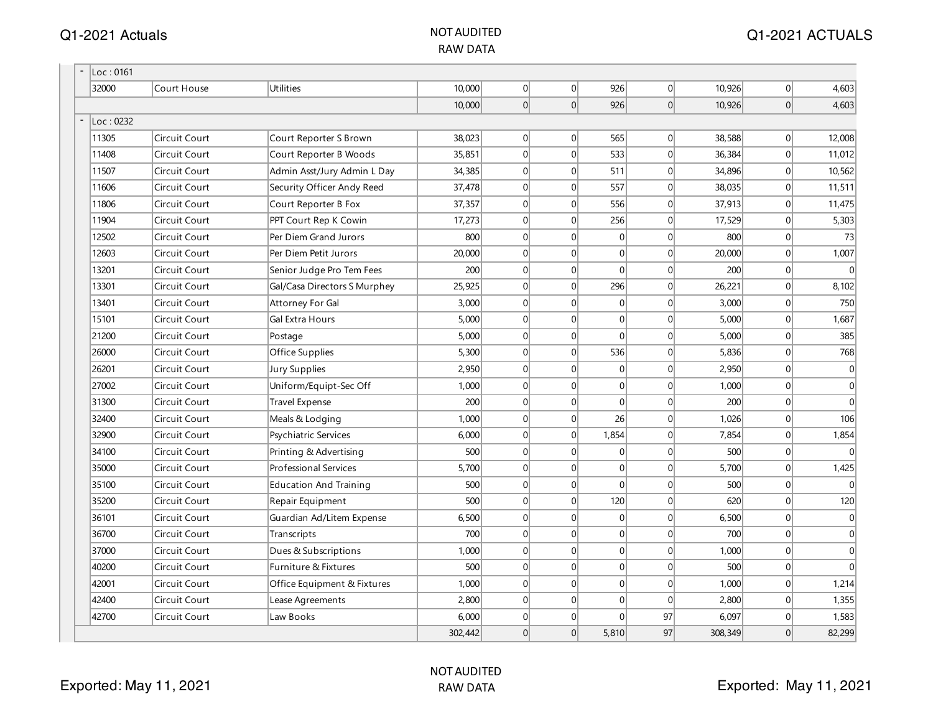| Loc: 0161 |               |                               |         |   |                |              |                |         |                |                |
|-----------|---------------|-------------------------------|---------|---|----------------|--------------|----------------|---------|----------------|----------------|
| 32000     | Court House   | Utilities                     | 10,000  | 0 | 0              | 926          | 0              | 10,926  | 0              | 4,603          |
|           |               |                               | 10,000  | 0 | 0              | 926          | 0              | 10,926  | 0              | 4,603          |
| Loc: 0232 |               |                               |         |   |                |              |                |         |                |                |
| 11305     | Circuit Court | Court Reporter S Brown        | 38,023  | 0 | $\overline{0}$ | 565          | 0              | 38,588  | 0              | 12,008         |
| 11408     | Circuit Court | Court Reporter B Woods        | 35,851  | 0 | $\overline{0}$ | 533          | 0              | 36,384  | 0              | 11,012         |
| 11507     | Circuit Court | Admin Asst/Jury Admin L Day   | 34,385  | 0 | $\overline{0}$ | 511          | 0              | 34,896  | 0              | 10,562         |
| 11606     | Circuit Court | Security Officer Andy Reed    | 37,478  | 0 | $\mathbf 0$    | 557          | 0              | 38,035  | 0              | 11,511         |
| 11806     | Circuit Court | Court Reporter B Fox          | 37,357  | 0 | $\overline{0}$ | 556          | 0              | 37,913  | 0              | 11,475         |
| 11904     | Circuit Court | PPT Court Rep K Cowin         | 17,273  | 0 | $\overline{0}$ | 256          | $\overline{0}$ | 17,529  | 0              | 5,303          |
| 12502     | Circuit Court | Per Diem Grand Jurors         | 800     | 0 | $\overline{0}$ | 0            | $\Omega$       | 800     | 0              | 73             |
| 12603     | Circuit Court | Per Diem Petit Jurors         | 20,000  | 0 | $\overline{0}$ | 0            | $\overline{0}$ | 20,000  | 0              | 1,007          |
| 13201     | Circuit Court | Senior Judge Pro Tem Fees     | 200     | 0 | $\overline{0}$ | $\mathbf 0$  | 0              | 200     | 0              | $\mathbf{0}$   |
| 13301     | Circuit Court | Gal/Casa Directors S Murphey  | 25,925  | 0 | $\overline{0}$ | 296          | 0              | 26,221  | 0              | 8,102          |
| 13401     | Circuit Court | Attorney For Gal              | 3,000   | 0 | $\mathbf 0$    | 0            | 0              | 3,000   | 0              | 750            |
| 15101     | Circuit Court | Gal Extra Hours               | 5,000   | 0 | $\overline{0}$ | 0            | 0              | 5,000   | 0              | 1,687          |
| 21200     | Circuit Court | Postage                       | 5,000   | 0 | $\overline{0}$ | $\mathbf{0}$ | 0              | 5,000   | 0              | 385            |
| 26000     | Circuit Court | Office Supplies               | 5,300   | 0 | $\overline{0}$ | 536          | $\Omega$       | 5,836   | 0              | 768            |
| 26201     | Circuit Court | Jury Supplies                 | 2,950   | 0 | $\overline{0}$ | 0            | $\Omega$       | 2,950   | $\overline{0}$ | $\overline{0}$ |
| 27002     | Circuit Court | Uniform/Equipt-Sec Off        | 1,000   | 0 | $\overline{0}$ | 0            | $\Omega$       | 1,000   | 0              | $\overline{0}$ |
| 31300     | Circuit Court | Travel Expense                | 200     | 0 | $\overline{0}$ | 0            | 0              | 200     | 0              | $\Omega$       |
| 32400     | Circuit Court | Meals & Lodging               | 1,000   | 0 | $\overline{0}$ | 26           | 0              | 1,026   | 0              | 106            |
| 32900     | Circuit Court | Psychiatric Services          | 6,000   | 0 | $\overline{0}$ | 1,854        | 0              | 7,854   | 0              | 1,854          |
| 34100     | Circuit Court | Printing & Advertising        | 500     | 0 | $\overline{0}$ | 0            | 0              | 500     | 0              | $\overline{0}$ |
| 35000     | Circuit Court | Professional Services         | 5,700   | 0 | $\mathbf 0$    | 0            | $\overline{0}$ | 5,700   | 0              | 1,425          |
| 35100     | Circuit Court | <b>Education And Training</b> | 500     | 0 | $\overline{0}$ | 0            | $\overline{0}$ | 500     | 0              | $\overline{0}$ |
| 35200     | Circuit Court | Repair Equipment              | 500     | 0 | $\overline{0}$ | 120          | $\overline{0}$ | 620     | 0              | 120            |
| 36101     | Circuit Court | Guardian Ad/Litem Expense     | 6,500   | 0 | $\overline{0}$ | 0            | 0              | 6,500   | 0              | $\overline{0}$ |
| 36700     | Circuit Court | Transcripts                   | 700     | 0 | $\mathbf 0$    | 0            | 0              | 700     | 0              | $\overline{0}$ |
| 37000     | Circuit Court | Dues & Subscriptions          | 1,000   | 0 | $\overline{0}$ | 0            | 0              | 1,000   | $\overline{0}$ | $\overline{0}$ |
| 40200     | Circuit Court | Furniture & Fixtures          | 500     | 0 | $\overline{0}$ | 0            | 0              | 500     | $\overline{0}$ | $\Omega$       |
| 42001     | Circuit Court | Office Equipment & Fixtures   | 1,000   | 0 | $\overline{0}$ | 0            | $\Omega$       | 1,000   | 0              | 1,214          |
| 42400     | Circuit Court | Lease Agreements              | 2,800   | 0 | $\overline{0}$ | 0            | $\Omega$       | 2,800   | 0              | 1,355          |
| 42700     | Circuit Court | Law Books                     | 6,000   | 0 | $\mathbf 0$    | $\Omega$     | 97             | 6,097   | 0              | 1,583          |
|           |               |                               | 302,442 | 0 | 0              | 5,810        | 97             | 308,349 | 0              | 82,299         |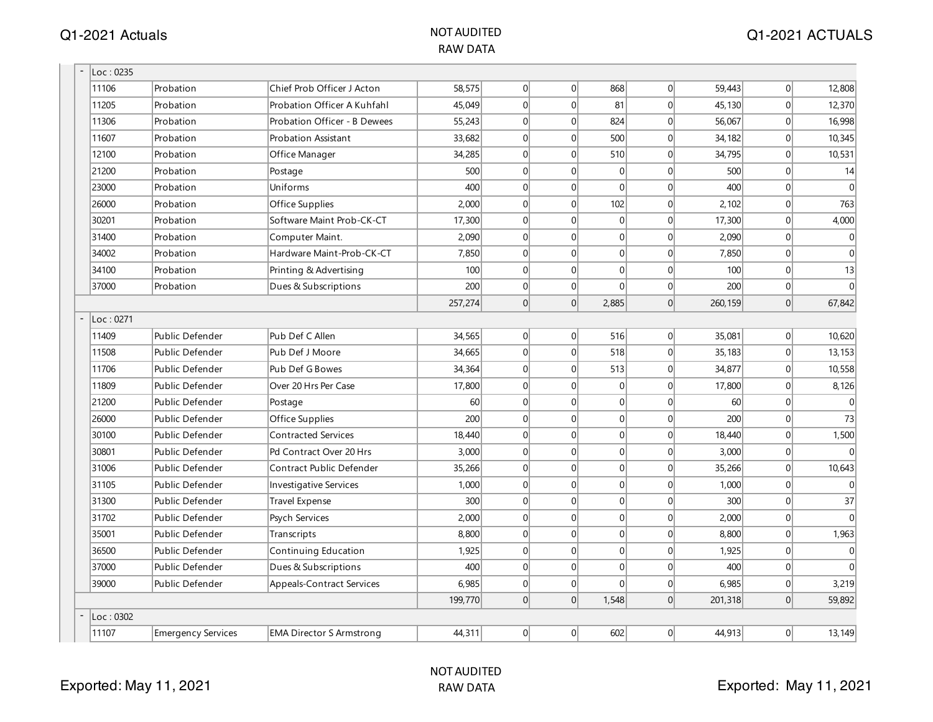| Loc: 0235 |                    |                                  |         |                |                |          |                |         |   |                |
|-----------|--------------------|----------------------------------|---------|----------------|----------------|----------|----------------|---------|---|----------------|
| 11106     | Probation          | Chief Prob Officer J Acton       | 58,575  | $\overline{0}$ | $\Omega$       | 868      | 0              | 59,443  | 0 | 12,808         |
| 11205     | Probation          | Probation Officer A Kuhfahl      | 45,049  | $\Omega$       | $\Omega$       | 81       | $\Omega$       | 45,130  | 0 | 12,370         |
| 11306     | Probation          | Probation Officer - B Dewees     | 55,243  | 0              | $\Omega$       | 824      | $\Omega$       | 56,067  | 0 | 16,998         |
| 11607     | Probation          | Probation Assistant              | 33,682  | 0              | $\mathbf 0$    | 500      | 0              | 34,182  | 0 | 10,345         |
| 12100     | Probation          | Office Manager                   | 34,285  | 0              | $\mathbf{0}$   | 510      | 0              | 34,795  | 0 | 10,531         |
| 21200     | Probation          | Postage                          | 500     | 0              | $\mathbf{0}$   | 0        | 0              | 500     | 0 | 14             |
| 23000     | Probation          | Uniforms                         | 400     | 0              | $\mathbf{0}$   | $\Omega$ | $\Omega$       | 400     | 0 | $\Omega$       |
| 26000     | Probation          | Office Supplies                  | 2,000   | 0              | $\mathbf 0$    | 102      | $\overline{0}$ | 2,102   | 0 | 763            |
| 30201     | Probation          | Software Maint Prob-CK-CT        | 17,300  | $\Omega$       | $\Omega$       | 0        | $\Omega$       | 17,300  | 0 | 4,000          |
| 31400     | Probation          | Computer Maint.                  | 2.090   | 0              | $\Omega$       | $\Omega$ | $\Omega$       | 2,090   | 0 | $\overline{0}$ |
| 34002     | Probation          | Hardware Maint-Prob-CK-CT        | 7,850   | $\Omega$       | $\Omega$       | $\Omega$ | $\Omega$       | 7,850   | 0 | $\theta$       |
| 34100     | Probation          | Printing & Advertising           | 100     | 0              | $\mathbf{0}$   | 0        | 0              | 100     | 0 | 13             |
| 37000     | Probation          | Dues & Subscriptions             | 200     | 0              | $\overline{0}$ | $\Omega$ | 0              | 200     | 0 | $\theta$       |
|           |                    |                                  | 257,274 | 0              | $\overline{0}$ | 2,885    | 0              | 260,159 | 0 | 67,842         |
| Loc: 0271 |                    |                                  |         |                |                |          |                |         |   |                |
| 11409     | Public Defender    | Pub Def C Allen                  | 34,565  | 0              | $\overline{0}$ | 516      | 0              | 35,081  | 0 | 10,620         |
| 11508     | Public Defender    | Pub Def J Moore                  | 34,665  | 0              | $\Omega$       | 518      | $\Omega$       | 35,183  | 0 | 13,153         |
| 11706     | Public Defender    | Pub Def G Bowes                  | 34,364  | 0              | $\Omega$       | 513      | $\Omega$       | 34,877  | 0 | 10,558         |
| 11809     | Public Defender    | Over 20 Hrs Per Case             | 17,800  | 0              | $\mathbf{0}$   | 0        | 0              | 17,800  | 0 | 8,126          |
| 21200     | Public Defender    | Postage                          | 60      | 0              | $\mathbf{0}$   | 0        | $\Omega$       | 60      | 0 | $\Omega$       |
| 26000     | Public Defender    | Office Supplies                  | 200     | 0              | $\mathbf{0}$   | 0        | 0              | 200     | 0 | 73             |
| 30100     | Public Defender    | <b>Contracted Services</b>       | 18,440  | 0              | $\mathbf 0$    | 0        | $\Omega$       | 18,440  | 0 | 1,500          |
| 30801     | Public Defender    | Pd Contract Over 20 Hrs          | 3,000   | 0              | $\mathbf 0$    | 0        | $\Omega$       | 3,000   | 0 | $\Omega$       |
| 31006     | Public Defender    | Contract Public Defender         | 35,266  | 0              | $\Omega$       | 0        | $\Omega$       | 35,266  | 0 | 10,643         |
| 31105     | Public Defender    | <b>Investigative Services</b>    | 1,000   | 0              | $\Omega$       | $\Omega$ | $\Omega$       | 1,000   | 0 | $\Omega$       |
| 31300     | Public Defender    | <b>Travel Expense</b>            | 300     | 0              | $\Omega$       | 0        | $\Omega$       | 300     | 0 | 37             |
| 31702     | Public Defender    | Psych Services                   | 2,000   | 0              | $\overline{0}$ | 0        | 0              | 2,000   | 0 | $\theta$       |
| 35001     | Public Defender    | Transcripts                      | 8,800   | 0              | $\mathbf{0}$   | 0        | 0              | 8,800   | 0 | 1,963          |
| 36500     | Public Defender    | Continuing Education             | 1,925   | 0              | $\mathbf{0}$   | 0        | 0              | 1,925   | 0 | $\Omega$       |
| 37000     | Public Defender    | Dues & Subscriptions             | 400     | 0              | $\mathbf{0}$   | 0        | $\overline{0}$ | 400     | 0 | $\Omega$       |
| 39000     | Public Defender    | <b>Appeals-Contract Services</b> | 6,985   | 0              | $\overline{0}$ | $\Omega$ | $\vert$ 0      | 6,985   | 0 | 3,219          |
|           |                    |                                  | 199,770 | $\Omega$       | $\Omega$       | 1,548    | $\Omega$       | 201,318 | 0 | 59,892         |
| Loc: 0302 |                    |                                  |         |                |                |          |                |         |   |                |
| 11107     | Emergency Services | <b>EMA Director S Armstrong</b>  | 44,311  | 0              | $\overline{0}$ | 602      | 0              | 44,913  | 0 | 13,149         |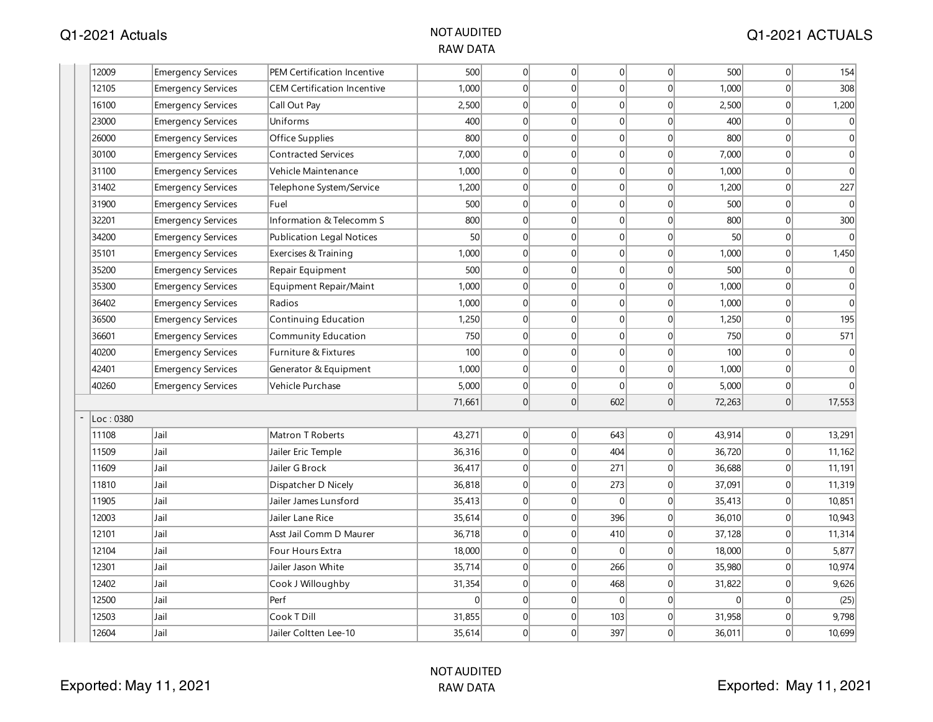| 12009<br>500<br> 0 <br> 0 <br> 0 <br>$\mathbf 0$<br>500<br>Emergency Services<br>PEM Certification Incentive<br>1,000<br>$\overline{0}$<br> 0 <br>$\overline{0}$<br>12105<br><b>CEM Certification Incentive</b><br>$\Omega$<br>1,000<br><b>Emergency Services</b><br> 0 <br> 0 <br>16100<br>Emergency Services<br>2,500<br>$\Omega$<br>$\mathbf{0}$<br>2,500<br>Call Out Pay<br> 0 <br> 0 <br>23000<br>Uniforms<br>400<br> 0 <br>$\mathbf{0}$<br>400<br><b>Emergency Services</b><br> 0 <br> 0 <br>$\mathbf 0$<br>26000<br><b>Emergency Services</b><br>Office Supplies<br>800<br>$\overline{0}$<br>800<br>7,000<br>$\overline{0}$<br> 0 <br>$\mathbf{0}$<br>7,000<br>30100<br>Emergency Services<br><b>Contracted Services</b><br>$\Omega$<br> 0 <br>$\mathbf 0$<br>Vehicle Maintenance<br>1,000<br> 0 <br> 0 <br>1,000<br>31100<br>Emergency Services<br> 0 <br>31402<br> 0 <br>$\overline{0}$<br><b>Emergency Services</b><br>1,200<br>$\Omega$<br>1,200<br>Telephone System/Service<br>31900<br>Fuel<br>500<br> 0 <br> 0 <br>$\mathbf{0}$<br>500<br>Emergency Services<br>$\Omega$<br> 0 <br>32201<br>Information & Telecomm S<br>800<br> 0 <br>$\overline{0}$<br>$\mathbf 0$<br>800<br>Emergency Services<br>50<br>$\overline{0}$<br> 0 <br>$\mathbf{0}$<br>50<br>34200<br>$\overline{0}$<br><b>Emergency Services</b><br><b>Publication Legal Notices</b><br> 0 <br>1,000<br>$\Omega$<br>$\Omega$<br> 0 <br>1,000<br>35101<br>Emergency Services<br>Exercises & Training<br> 0 <br> 0 <br>35200<br>Repair Equipment<br>500<br> 0 <br> 0 <br>500<br>Emergency Services<br>1,000<br>$\overline{0}$<br>$\overline{0}$<br> 0 <br>1,000<br>35300<br> 0 <br><b>Emergency Services</b><br>Equipment Repair/Maint<br> 0 <br>$\mathbf 0$<br>36402<br>Emergency Services<br>1,000<br> 0 <br> 0 <br>1,000<br>Radios<br>1,250<br> 0 <br> 0 <br>$\overline{0}$<br>36500<br>Continuing Education<br> 0 <br>1,250<br><b>Emergency Services</b><br>750<br> 0 <br> 0 <br>$\mathbf{0}$<br>36601<br><b>Emergency Services</b><br><b>Community Education</b><br>$\overline{0}$<br>750<br>40200<br>100<br>$\Omega$<br>$\Omega$<br>$\mathbf 0$<br>100<br>Emergency Services<br>Furniture & Fixtures<br>$\Omega$<br> 0 <br>$\mathbf 0$<br>1,000<br> 0 <br> 0 <br>42401<br><b>Emergency Services</b><br>Generator & Equipment<br>1,000<br>5,000<br> 0 <br> 0 <br>40260<br>Vehicle Purchase<br>$\overline{0}$<br>$\mathbf{0}$<br>5,000<br><b>Emergency Services</b><br> 0 <br> 0 <br>602<br> 0 <br>71,661<br>72,263<br>Loc:0380<br>Jail<br>Matron T Roberts<br>43,271<br> 0 <br> 0 <br> 0 <br>643<br>43,914<br>11108<br>Jail<br>36,316<br> 0 <br> 0 <br>404<br> 0 <br>36,720<br>11509<br>Jailer Eric Temple<br>Jailer G Brock<br> 0 <br>271<br>$\mathbf 0$<br>11609<br>Jail<br>36,417<br> 0 <br>36,688<br>11810<br>Jail<br>36,818<br>$\Omega$<br>$\mathbf{0}$<br>37,091<br>$\Omega$<br>273<br>Dispatcher D Nicely<br>11905<br>35,413<br> 0 <br> 0 <br>$\mathbf 0$<br>Jail<br>Jailer James Lunsford<br>$\Omega$<br>35,413<br> 0 <br>396<br> 0 <br>12003<br>Jail<br>Jailer Lane Rice<br>35,614<br> 0 <br>36,010<br>36,718<br> 0 <br> 0 <br>12101<br>Jail<br>$\overline{0}$<br>410<br>37,128<br>Asst Jail Comm D Maurer<br>12104<br>18,000<br> 0 <br> 0 <br> 0 <br>18,000<br>Jail<br>Four Hours Extra<br> 0 <br>35,714<br>266<br>Jail<br>Jailer Jason White<br> 0 <br>$\mathbf 0$<br>35,980<br>12301<br>$\vert 0 \vert$<br> 0 <br>468<br>$\vert 0 \vert$<br>31,822<br>12402<br>Jail<br>Cook J Willoughby<br>31,354<br>$\Omega$<br>$\Omega$<br> 0 <br> 0 <br>$\mathbf 0$<br>$\overline{0}$<br>12500<br>Jail<br>Perf<br>$\overline{0}$<br>Jail<br>Cook T Dill<br>12503<br>31,855<br>$\Omega$<br>$\overline{0}$<br>103<br>$\mathbf{0}$<br>31,958 |       |      |                       |        |          |                |     |              |        |           |                |
|-------------------------------------------------------------------------------------------------------------------------------------------------------------------------------------------------------------------------------------------------------------------------------------------------------------------------------------------------------------------------------------------------------------------------------------------------------------------------------------------------------------------------------------------------------------------------------------------------------------------------------------------------------------------------------------------------------------------------------------------------------------------------------------------------------------------------------------------------------------------------------------------------------------------------------------------------------------------------------------------------------------------------------------------------------------------------------------------------------------------------------------------------------------------------------------------------------------------------------------------------------------------------------------------------------------------------------------------------------------------------------------------------------------------------------------------------------------------------------------------------------------------------------------------------------------------------------------------------------------------------------------------------------------------------------------------------------------------------------------------------------------------------------------------------------------------------------------------------------------------------------------------------------------------------------------------------------------------------------------------------------------------------------------------------------------------------------------------------------------------------------------------------------------------------------------------------------------------------------------------------------------------------------------------------------------------------------------------------------------------------------------------------------------------------------------------------------------------------------------------------------------------------------------------------------------------------------------------------------------------------------------------------------------------------------------------------------------------------------------------------------------------------------------------------------------------------------------------------------------------------------------------------------------------------------------------------------------------------------------------------------------------------------------------------------------------------------------------------------------------------------------------------------------------------------------------------------------------------------------------------------------------------------------------------------------------------------------------------------------------------------------------------------------------------------------------------------------------------------------------------------------------------------------------------------------------------------------------------------------------------------------------------------------------------------------------------------------------------|-------|------|-----------------------|--------|----------|----------------|-----|--------------|--------|-----------|----------------|
|                                                                                                                                                                                                                                                                                                                                                                                                                                                                                                                                                                                                                                                                                                                                                                                                                                                                                                                                                                                                                                                                                                                                                                                                                                                                                                                                                                                                                                                                                                                                                                                                                                                                                                                                                                                                                                                                                                                                                                                                                                                                                                                                                                                                                                                                                                                                                                                                                                                                                                                                                                                                                                                                                                                                                                                                                                                                                                                                                                                                                                                                                                                                                                                                                                                                                                                                                                                                                                                                                                                                                                                                                                                                                                                         |       |      |                       |        |          |                |     |              |        | 0         | 154            |
|                                                                                                                                                                                                                                                                                                                                                                                                                                                                                                                                                                                                                                                                                                                                                                                                                                                                                                                                                                                                                                                                                                                                                                                                                                                                                                                                                                                                                                                                                                                                                                                                                                                                                                                                                                                                                                                                                                                                                                                                                                                                                                                                                                                                                                                                                                                                                                                                                                                                                                                                                                                                                                                                                                                                                                                                                                                                                                                                                                                                                                                                                                                                                                                                                                                                                                                                                                                                                                                                                                                                                                                                                                                                                                                         |       |      |                       |        |          |                |     |              |        | 0         | 308            |
|                                                                                                                                                                                                                                                                                                                                                                                                                                                                                                                                                                                                                                                                                                                                                                                                                                                                                                                                                                                                                                                                                                                                                                                                                                                                                                                                                                                                                                                                                                                                                                                                                                                                                                                                                                                                                                                                                                                                                                                                                                                                                                                                                                                                                                                                                                                                                                                                                                                                                                                                                                                                                                                                                                                                                                                                                                                                                                                                                                                                                                                                                                                                                                                                                                                                                                                                                                                                                                                                                                                                                                                                                                                                                                                         |       |      |                       |        |          |                |     |              |        | 0         | 1,200          |
|                                                                                                                                                                                                                                                                                                                                                                                                                                                                                                                                                                                                                                                                                                                                                                                                                                                                                                                                                                                                                                                                                                                                                                                                                                                                                                                                                                                                                                                                                                                                                                                                                                                                                                                                                                                                                                                                                                                                                                                                                                                                                                                                                                                                                                                                                                                                                                                                                                                                                                                                                                                                                                                                                                                                                                                                                                                                                                                                                                                                                                                                                                                                                                                                                                                                                                                                                                                                                                                                                                                                                                                                                                                                                                                         |       |      |                       |        |          |                |     |              |        | 0         | $\mathbf 0$    |
|                                                                                                                                                                                                                                                                                                                                                                                                                                                                                                                                                                                                                                                                                                                                                                                                                                                                                                                                                                                                                                                                                                                                                                                                                                                                                                                                                                                                                                                                                                                                                                                                                                                                                                                                                                                                                                                                                                                                                                                                                                                                                                                                                                                                                                                                                                                                                                                                                                                                                                                                                                                                                                                                                                                                                                                                                                                                                                                                                                                                                                                                                                                                                                                                                                                                                                                                                                                                                                                                                                                                                                                                                                                                                                                         |       |      |                       |        |          |                |     |              |        | 0         | $\overline{0}$ |
|                                                                                                                                                                                                                                                                                                                                                                                                                                                                                                                                                                                                                                                                                                                                                                                                                                                                                                                                                                                                                                                                                                                                                                                                                                                                                                                                                                                                                                                                                                                                                                                                                                                                                                                                                                                                                                                                                                                                                                                                                                                                                                                                                                                                                                                                                                                                                                                                                                                                                                                                                                                                                                                                                                                                                                                                                                                                                                                                                                                                                                                                                                                                                                                                                                                                                                                                                                                                                                                                                                                                                                                                                                                                                                                         |       |      |                       |        |          |                |     |              |        | $\vert$ 0 | $\mathbf{0}$   |
|                                                                                                                                                                                                                                                                                                                                                                                                                                                                                                                                                                                                                                                                                                                                                                                                                                                                                                                                                                                                                                                                                                                                                                                                                                                                                                                                                                                                                                                                                                                                                                                                                                                                                                                                                                                                                                                                                                                                                                                                                                                                                                                                                                                                                                                                                                                                                                                                                                                                                                                                                                                                                                                                                                                                                                                                                                                                                                                                                                                                                                                                                                                                                                                                                                                                                                                                                                                                                                                                                                                                                                                                                                                                                                                         |       |      |                       |        |          |                |     |              |        | 0         | $\mathbf 0$    |
|                                                                                                                                                                                                                                                                                                                                                                                                                                                                                                                                                                                                                                                                                                                                                                                                                                                                                                                                                                                                                                                                                                                                                                                                                                                                                                                                                                                                                                                                                                                                                                                                                                                                                                                                                                                                                                                                                                                                                                                                                                                                                                                                                                                                                                                                                                                                                                                                                                                                                                                                                                                                                                                                                                                                                                                                                                                                                                                                                                                                                                                                                                                                                                                                                                                                                                                                                                                                                                                                                                                                                                                                                                                                                                                         |       |      |                       |        |          |                |     |              |        | $\Omega$  | 227            |
|                                                                                                                                                                                                                                                                                                                                                                                                                                                                                                                                                                                                                                                                                                                                                                                                                                                                                                                                                                                                                                                                                                                                                                                                                                                                                                                                                                                                                                                                                                                                                                                                                                                                                                                                                                                                                                                                                                                                                                                                                                                                                                                                                                                                                                                                                                                                                                                                                                                                                                                                                                                                                                                                                                                                                                                                                                                                                                                                                                                                                                                                                                                                                                                                                                                                                                                                                                                                                                                                                                                                                                                                                                                                                                                         |       |      |                       |        |          |                |     |              |        | $\Omega$  | $\mathbf{0}$   |
|                                                                                                                                                                                                                                                                                                                                                                                                                                                                                                                                                                                                                                                                                                                                                                                                                                                                                                                                                                                                                                                                                                                                                                                                                                                                                                                                                                                                                                                                                                                                                                                                                                                                                                                                                                                                                                                                                                                                                                                                                                                                                                                                                                                                                                                                                                                                                                                                                                                                                                                                                                                                                                                                                                                                                                                                                                                                                                                                                                                                                                                                                                                                                                                                                                                                                                                                                                                                                                                                                                                                                                                                                                                                                                                         |       |      |                       |        |          |                |     |              |        | 0         | 300            |
|                                                                                                                                                                                                                                                                                                                                                                                                                                                                                                                                                                                                                                                                                                                                                                                                                                                                                                                                                                                                                                                                                                                                                                                                                                                                                                                                                                                                                                                                                                                                                                                                                                                                                                                                                                                                                                                                                                                                                                                                                                                                                                                                                                                                                                                                                                                                                                                                                                                                                                                                                                                                                                                                                                                                                                                                                                                                                                                                                                                                                                                                                                                                                                                                                                                                                                                                                                                                                                                                                                                                                                                                                                                                                                                         |       |      |                       |        |          |                |     |              |        | 0         | $\Omega$       |
|                                                                                                                                                                                                                                                                                                                                                                                                                                                                                                                                                                                                                                                                                                                                                                                                                                                                                                                                                                                                                                                                                                                                                                                                                                                                                                                                                                                                                                                                                                                                                                                                                                                                                                                                                                                                                                                                                                                                                                                                                                                                                                                                                                                                                                                                                                                                                                                                                                                                                                                                                                                                                                                                                                                                                                                                                                                                                                                                                                                                                                                                                                                                                                                                                                                                                                                                                                                                                                                                                                                                                                                                                                                                                                                         |       |      |                       |        |          |                |     |              |        | 0         | 1,450          |
|                                                                                                                                                                                                                                                                                                                                                                                                                                                                                                                                                                                                                                                                                                                                                                                                                                                                                                                                                                                                                                                                                                                                                                                                                                                                                                                                                                                                                                                                                                                                                                                                                                                                                                                                                                                                                                                                                                                                                                                                                                                                                                                                                                                                                                                                                                                                                                                                                                                                                                                                                                                                                                                                                                                                                                                                                                                                                                                                                                                                                                                                                                                                                                                                                                                                                                                                                                                                                                                                                                                                                                                                                                                                                                                         |       |      |                       |        |          |                |     |              |        | 0         | $\mathbf{0}$   |
|                                                                                                                                                                                                                                                                                                                                                                                                                                                                                                                                                                                                                                                                                                                                                                                                                                                                                                                                                                                                                                                                                                                                                                                                                                                                                                                                                                                                                                                                                                                                                                                                                                                                                                                                                                                                                                                                                                                                                                                                                                                                                                                                                                                                                                                                                                                                                                                                                                                                                                                                                                                                                                                                                                                                                                                                                                                                                                                                                                                                                                                                                                                                                                                                                                                                                                                                                                                                                                                                                                                                                                                                                                                                                                                         |       |      |                       |        |          |                |     |              |        | 0         | $\mathbf{0}$   |
|                                                                                                                                                                                                                                                                                                                                                                                                                                                                                                                                                                                                                                                                                                                                                                                                                                                                                                                                                                                                                                                                                                                                                                                                                                                                                                                                                                                                                                                                                                                                                                                                                                                                                                                                                                                                                                                                                                                                                                                                                                                                                                                                                                                                                                                                                                                                                                                                                                                                                                                                                                                                                                                                                                                                                                                                                                                                                                                                                                                                                                                                                                                                                                                                                                                                                                                                                                                                                                                                                                                                                                                                                                                                                                                         |       |      |                       |        |          |                |     |              |        | 0         | $\mathbf 0$    |
|                                                                                                                                                                                                                                                                                                                                                                                                                                                                                                                                                                                                                                                                                                                                                                                                                                                                                                                                                                                                                                                                                                                                                                                                                                                                                                                                                                                                                                                                                                                                                                                                                                                                                                                                                                                                                                                                                                                                                                                                                                                                                                                                                                                                                                                                                                                                                                                                                                                                                                                                                                                                                                                                                                                                                                                                                                                                                                                                                                                                                                                                                                                                                                                                                                                                                                                                                                                                                                                                                                                                                                                                                                                                                                                         |       |      |                       |        |          |                |     |              |        | 0         | 195            |
|                                                                                                                                                                                                                                                                                                                                                                                                                                                                                                                                                                                                                                                                                                                                                                                                                                                                                                                                                                                                                                                                                                                                                                                                                                                                                                                                                                                                                                                                                                                                                                                                                                                                                                                                                                                                                                                                                                                                                                                                                                                                                                                                                                                                                                                                                                                                                                                                                                                                                                                                                                                                                                                                                                                                                                                                                                                                                                                                                                                                                                                                                                                                                                                                                                                                                                                                                                                                                                                                                                                                                                                                                                                                                                                         |       |      |                       |        |          |                |     |              |        | $\Omega$  | 571            |
|                                                                                                                                                                                                                                                                                                                                                                                                                                                                                                                                                                                                                                                                                                                                                                                                                                                                                                                                                                                                                                                                                                                                                                                                                                                                                                                                                                                                                                                                                                                                                                                                                                                                                                                                                                                                                                                                                                                                                                                                                                                                                                                                                                                                                                                                                                                                                                                                                                                                                                                                                                                                                                                                                                                                                                                                                                                                                                                                                                                                                                                                                                                                                                                                                                                                                                                                                                                                                                                                                                                                                                                                                                                                                                                         |       |      |                       |        |          |                |     |              |        | $\Omega$  | 0              |
|                                                                                                                                                                                                                                                                                                                                                                                                                                                                                                                                                                                                                                                                                                                                                                                                                                                                                                                                                                                                                                                                                                                                                                                                                                                                                                                                                                                                                                                                                                                                                                                                                                                                                                                                                                                                                                                                                                                                                                                                                                                                                                                                                                                                                                                                                                                                                                                                                                                                                                                                                                                                                                                                                                                                                                                                                                                                                                                                                                                                                                                                                                                                                                                                                                                                                                                                                                                                                                                                                                                                                                                                                                                                                                                         |       |      |                       |        |          |                |     |              |        | 0         | $\mathbf 0$    |
|                                                                                                                                                                                                                                                                                                                                                                                                                                                                                                                                                                                                                                                                                                                                                                                                                                                                                                                                                                                                                                                                                                                                                                                                                                                                                                                                                                                                                                                                                                                                                                                                                                                                                                                                                                                                                                                                                                                                                                                                                                                                                                                                                                                                                                                                                                                                                                                                                                                                                                                                                                                                                                                                                                                                                                                                                                                                                                                                                                                                                                                                                                                                                                                                                                                                                                                                                                                                                                                                                                                                                                                                                                                                                                                         |       |      |                       |        |          |                |     |              |        | 0         | $\Omega$       |
|                                                                                                                                                                                                                                                                                                                                                                                                                                                                                                                                                                                                                                                                                                                                                                                                                                                                                                                                                                                                                                                                                                                                                                                                                                                                                                                                                                                                                                                                                                                                                                                                                                                                                                                                                                                                                                                                                                                                                                                                                                                                                                                                                                                                                                                                                                                                                                                                                                                                                                                                                                                                                                                                                                                                                                                                                                                                                                                                                                                                                                                                                                                                                                                                                                                                                                                                                                                                                                                                                                                                                                                                                                                                                                                         |       |      |                       |        |          |                |     |              |        | 0         | 17,553         |
|                                                                                                                                                                                                                                                                                                                                                                                                                                                                                                                                                                                                                                                                                                                                                                                                                                                                                                                                                                                                                                                                                                                                                                                                                                                                                                                                                                                                                                                                                                                                                                                                                                                                                                                                                                                                                                                                                                                                                                                                                                                                                                                                                                                                                                                                                                                                                                                                                                                                                                                                                                                                                                                                                                                                                                                                                                                                                                                                                                                                                                                                                                                                                                                                                                                                                                                                                                                                                                                                                                                                                                                                                                                                                                                         |       |      |                       |        |          |                |     |              |        |           |                |
|                                                                                                                                                                                                                                                                                                                                                                                                                                                                                                                                                                                                                                                                                                                                                                                                                                                                                                                                                                                                                                                                                                                                                                                                                                                                                                                                                                                                                                                                                                                                                                                                                                                                                                                                                                                                                                                                                                                                                                                                                                                                                                                                                                                                                                                                                                                                                                                                                                                                                                                                                                                                                                                                                                                                                                                                                                                                                                                                                                                                                                                                                                                                                                                                                                                                                                                                                                                                                                                                                                                                                                                                                                                                                                                         |       |      |                       |        |          |                |     |              |        | 0         | 13,291         |
|                                                                                                                                                                                                                                                                                                                                                                                                                                                                                                                                                                                                                                                                                                                                                                                                                                                                                                                                                                                                                                                                                                                                                                                                                                                                                                                                                                                                                                                                                                                                                                                                                                                                                                                                                                                                                                                                                                                                                                                                                                                                                                                                                                                                                                                                                                                                                                                                                                                                                                                                                                                                                                                                                                                                                                                                                                                                                                                                                                                                                                                                                                                                                                                                                                                                                                                                                                                                                                                                                                                                                                                                                                                                                                                         |       |      |                       |        |          |                |     |              |        | 0         | 11,162         |
|                                                                                                                                                                                                                                                                                                                                                                                                                                                                                                                                                                                                                                                                                                                                                                                                                                                                                                                                                                                                                                                                                                                                                                                                                                                                                                                                                                                                                                                                                                                                                                                                                                                                                                                                                                                                                                                                                                                                                                                                                                                                                                                                                                                                                                                                                                                                                                                                                                                                                                                                                                                                                                                                                                                                                                                                                                                                                                                                                                                                                                                                                                                                                                                                                                                                                                                                                                                                                                                                                                                                                                                                                                                                                                                         |       |      |                       |        |          |                |     |              |        | 0         | 11,191         |
|                                                                                                                                                                                                                                                                                                                                                                                                                                                                                                                                                                                                                                                                                                                                                                                                                                                                                                                                                                                                                                                                                                                                                                                                                                                                                                                                                                                                                                                                                                                                                                                                                                                                                                                                                                                                                                                                                                                                                                                                                                                                                                                                                                                                                                                                                                                                                                                                                                                                                                                                                                                                                                                                                                                                                                                                                                                                                                                                                                                                                                                                                                                                                                                                                                                                                                                                                                                                                                                                                                                                                                                                                                                                                                                         |       |      |                       |        |          |                |     |              |        | 0         | 11,319         |
|                                                                                                                                                                                                                                                                                                                                                                                                                                                                                                                                                                                                                                                                                                                                                                                                                                                                                                                                                                                                                                                                                                                                                                                                                                                                                                                                                                                                                                                                                                                                                                                                                                                                                                                                                                                                                                                                                                                                                                                                                                                                                                                                                                                                                                                                                                                                                                                                                                                                                                                                                                                                                                                                                                                                                                                                                                                                                                                                                                                                                                                                                                                                                                                                                                                                                                                                                                                                                                                                                                                                                                                                                                                                                                                         |       |      |                       |        |          |                |     |              |        | 0         | 10,851         |
|                                                                                                                                                                                                                                                                                                                                                                                                                                                                                                                                                                                                                                                                                                                                                                                                                                                                                                                                                                                                                                                                                                                                                                                                                                                                                                                                                                                                                                                                                                                                                                                                                                                                                                                                                                                                                                                                                                                                                                                                                                                                                                                                                                                                                                                                                                                                                                                                                                                                                                                                                                                                                                                                                                                                                                                                                                                                                                                                                                                                                                                                                                                                                                                                                                                                                                                                                                                                                                                                                                                                                                                                                                                                                                                         |       |      |                       |        |          |                |     |              |        | 0         | 10,943         |
|                                                                                                                                                                                                                                                                                                                                                                                                                                                                                                                                                                                                                                                                                                                                                                                                                                                                                                                                                                                                                                                                                                                                                                                                                                                                                                                                                                                                                                                                                                                                                                                                                                                                                                                                                                                                                                                                                                                                                                                                                                                                                                                                                                                                                                                                                                                                                                                                                                                                                                                                                                                                                                                                                                                                                                                                                                                                                                                                                                                                                                                                                                                                                                                                                                                                                                                                                                                                                                                                                                                                                                                                                                                                                                                         |       |      |                       |        |          |                |     |              |        | 0         | 11,314         |
|                                                                                                                                                                                                                                                                                                                                                                                                                                                                                                                                                                                                                                                                                                                                                                                                                                                                                                                                                                                                                                                                                                                                                                                                                                                                                                                                                                                                                                                                                                                                                                                                                                                                                                                                                                                                                                                                                                                                                                                                                                                                                                                                                                                                                                                                                                                                                                                                                                                                                                                                                                                                                                                                                                                                                                                                                                                                                                                                                                                                                                                                                                                                                                                                                                                                                                                                                                                                                                                                                                                                                                                                                                                                                                                         |       |      |                       |        |          |                |     |              |        | 0         | 5,877          |
|                                                                                                                                                                                                                                                                                                                                                                                                                                                                                                                                                                                                                                                                                                                                                                                                                                                                                                                                                                                                                                                                                                                                                                                                                                                                                                                                                                                                                                                                                                                                                                                                                                                                                                                                                                                                                                                                                                                                                                                                                                                                                                                                                                                                                                                                                                                                                                                                                                                                                                                                                                                                                                                                                                                                                                                                                                                                                                                                                                                                                                                                                                                                                                                                                                                                                                                                                                                                                                                                                                                                                                                                                                                                                                                         |       |      |                       |        |          |                |     |              |        | 0         | 10,974         |
|                                                                                                                                                                                                                                                                                                                                                                                                                                                                                                                                                                                                                                                                                                                                                                                                                                                                                                                                                                                                                                                                                                                                                                                                                                                                                                                                                                                                                                                                                                                                                                                                                                                                                                                                                                                                                                                                                                                                                                                                                                                                                                                                                                                                                                                                                                                                                                                                                                                                                                                                                                                                                                                                                                                                                                                                                                                                                                                                                                                                                                                                                                                                                                                                                                                                                                                                                                                                                                                                                                                                                                                                                                                                                                                         |       |      |                       |        |          |                |     |              |        | $\Omega$  | 9,626          |
|                                                                                                                                                                                                                                                                                                                                                                                                                                                                                                                                                                                                                                                                                                                                                                                                                                                                                                                                                                                                                                                                                                                                                                                                                                                                                                                                                                                                                                                                                                                                                                                                                                                                                                                                                                                                                                                                                                                                                                                                                                                                                                                                                                                                                                                                                                                                                                                                                                                                                                                                                                                                                                                                                                                                                                                                                                                                                                                                                                                                                                                                                                                                                                                                                                                                                                                                                                                                                                                                                                                                                                                                                                                                                                                         |       |      |                       |        |          |                |     |              |        | 0         | (25)           |
|                                                                                                                                                                                                                                                                                                                                                                                                                                                                                                                                                                                                                                                                                                                                                                                                                                                                                                                                                                                                                                                                                                                                                                                                                                                                                                                                                                                                                                                                                                                                                                                                                                                                                                                                                                                                                                                                                                                                                                                                                                                                                                                                                                                                                                                                                                                                                                                                                                                                                                                                                                                                                                                                                                                                                                                                                                                                                                                                                                                                                                                                                                                                                                                                                                                                                                                                                                                                                                                                                                                                                                                                                                                                                                                         |       |      |                       |        |          |                |     |              |        | 0         | 9,798          |
|                                                                                                                                                                                                                                                                                                                                                                                                                                                                                                                                                                                                                                                                                                                                                                                                                                                                                                                                                                                                                                                                                                                                                                                                                                                                                                                                                                                                                                                                                                                                                                                                                                                                                                                                                                                                                                                                                                                                                                                                                                                                                                                                                                                                                                                                                                                                                                                                                                                                                                                                                                                                                                                                                                                                                                                                                                                                                                                                                                                                                                                                                                                                                                                                                                                                                                                                                                                                                                                                                                                                                                                                                                                                                                                         | 12604 | Jail | Jailer Coltten Lee-10 | 35,614 | $\Omega$ | $\overline{0}$ | 397 | $\mathbf{0}$ | 36,011 | 0         | 10,699         |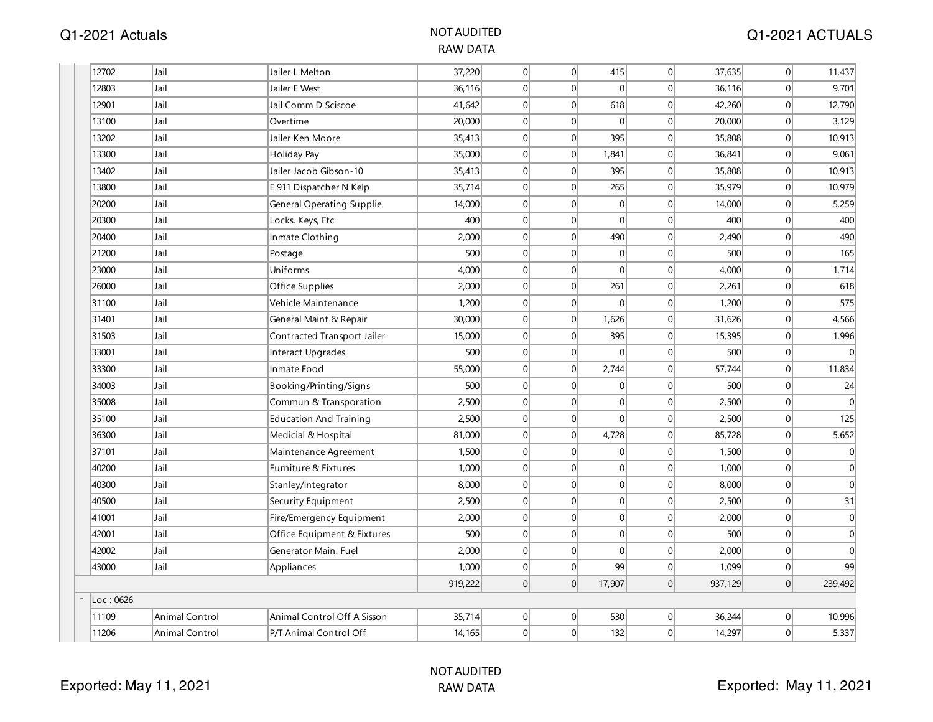| 12702     | Jail                  | Jailer L Melton                  | 37,220  | 0               | 0              | 415         | 0           | 37,635  | 0              | 11,437       |
|-----------|-----------------------|----------------------------------|---------|-----------------|----------------|-------------|-------------|---------|----------------|--------------|
| 12803     | Jail                  | Jailer E West                    | 36, 116 | $\Omega$        | $\Omega$       | $\Omega$    | 0           | 36,116  | 0              | 9,701        |
| 12901     | Jail                  | Jail Comm D Sciscoe              | 41,642  | $\vert 0 \vert$ | $\overline{0}$ | 618         | 0           | 42,260  | 0              | 12,790       |
| 13100     | Jail                  | Overtime                         | 20,000  | 0               | $\overline{0}$ | $\Omega$    | 0           | 20,000  | 0              | 3,129        |
| 13202     | Jail                  | Jailer Ken Moore                 | 35,413  | $\Omega$        | $\Omega$       | 395         | $\Omega$    | 35,808  | 0              | 10,913       |
| 13300     | Jail                  | <b>Holiday Pay</b>               | 35,000  | 0               | $\overline{0}$ | 1,841       | 0           | 36,841  | 0              | 9,061        |
| 13402     | Jail                  | Jailer Jacob Gibson-10           | 35,413  | $\Omega$        | $\Omega$       | 395         | 0           | 35,808  | 0              | 10,913       |
| 13800     | Jail                  | E 911 Dispatcher N Kelp          | 35,714  | 0               | $\overline{0}$ | 265         | 0           | 35,979  | 0              | 10,979       |
| 20200     | Jail                  | <b>General Operating Supplie</b> | 14,000  | $\Omega$        | $\Omega$       | $\Omega$    | 0           | 14,000  | 0              | 5,259        |
| 20300     | Jail                  | Locks, Keys, Etc                 | 400     | 0               | $\overline{0}$ | $\Omega$    | 0           | 400     | 0              | 400          |
| 20400     | Jail                  | Inmate Clothing                  | 2,000   | $\Omega$        | $\Omega$       | 490         | 0           | 2,490   | 0              | 490          |
| 21200     | Jail                  | Postage                          | 500     | $\vert 0 \vert$ | $\overline{0}$ | $\mathbf 0$ | 0           | 500     | 0              | 165          |
| 23000     | Jail                  | Uniforms                         | 4,000   | 0               | $\overline{0}$ | $\Omega$    | 0           | 4,000   | $\mathbf{0}$   | 1,714        |
| 26000     | Jail                  | Office Supplies                  | 2,000   | $\Omega$        | $\overline{0}$ | 261         | 0           | 2,261   | 0              | 618          |
| 31100     | Jail                  | Vehicle Maintenance              | 1,200   | 0               | $\overline{0}$ | 0           | 0           | 1,200   | 0              | 575          |
| 31401     | Jail                  | General Maint & Repair           | 30,000  | $\Omega$        | $\overline{0}$ | 1,626       | $\mathbf 0$ | 31,626  | 0              | 4,566        |
| 31503     | Jail                  | Contracted Transport Jailer      | 15,000  | $\vert 0 \vert$ | $\overline{0}$ | 395         | 0           | 15,395  | 0              | 1,996        |
| 33001     | Jail                  | Interact Upgrades                | 500     | $\Omega$        | $\Omega$       | $\Omega$    | $\Omega$    | 500     | $\overline{0}$ | $\Omega$     |
| 33300     | Jail                  | Inmate Food                      | 55,000  | $\vert 0 \vert$ | $\overline{0}$ | 2,744       | 0           | 57,744  | $\overline{0}$ | 11,834       |
| 34003     | Jail                  | Booking/Printing/Signs           | 500     | $\overline{0}$  | $\Omega$       | 0           | 0           | 500     | 0              | 24           |
| 35008     | Jail                  | Commun & Transporation           | 2,500   | 0               | $\overline{0}$ | 0           | 0           | 2,500   | 0              | $\Omega$     |
| 35100     | Jail                  | <b>Education And Training</b>    | 2,500   | 0               | $\overline{0}$ | 0           | 0           | 2,500   | $\mathbf{0}$   | 125          |
| 36300     | Jail                  | Medicial & Hospital              | 81,000  | $\Omega$        | $\Omega$       | 4,728       | 0           | 85,728  | 0              | 5,652        |
| 37101     | Jail                  | Maintenance Agreement            | 1,500   | $\vert 0 \vert$ | $\Omega$       | 0           | 0           | 1,500   | 0              | $\mathbf{0}$ |
| 40200     | Jail                  | Furniture & Fixtures             | 1,000   | $\Omega$        | $\Omega$       | 0           | 0           | 1,000   | 0              | $\mathbf 0$  |
| 40300     | Jail                  | Stanley/Integrator               | 8,000   | $\Omega$        | $\overline{0}$ | 0           | 0           | 8,000   | 0              | $\mathbf{0}$ |
| 40500     | Jail                  | Security Equipment               | 2,500   | $\Omega$        | $\overline{0}$ | 0           | 0           | 2,500   | 0              | 31           |
| 41001     | Jail                  | Fire/Emergency Equipment         | 2,000   | $\vert 0 \vert$ | $\overline{0}$ | 0           | 0           | 2,000   | 0              | $\mathbf 0$  |
| 42001     | Jail                  | Office Equipment & Fixtures      | 500     | $\vert 0 \vert$ | $\overline{0}$ | 0           | 0           | 500     | 0              | $\mathbf 0$  |
| 42002     | Jail                  | Generator Main. Fuel             | 2,000   | 0               | $\overline{0}$ | 0           | 0           | 2,000   | 0              | $\mathbf{0}$ |
| 43000     | Jail                  | Appliances                       | 1,000   | 0               | $\overline{0}$ | 99          | 0           | 1,099   | $\mathbf{0}$   | 99           |
|           |                       |                                  | 919,222 | 0               | $\overline{0}$ | 17,907      | 0           | 937,129 | 0              | 239,492      |
| Loc: 0626 |                       |                                  |         |                 |                |             |             |         |                |              |
| 11109     | <b>Animal Control</b> | Animal Control Off A Sisson      | 35,714  | 0               | 0              | 530         | 0           | 36,244  | 0              | 10,996       |
| 11206     | <b>Animal Control</b> | P/T Animal Control Off           | 14, 165 | $\Omega$        | $\overline{0}$ | 132         | 0           | 14,297  | $\overline{0}$ | 5,337        |
|           |                       |                                  |         |                 |                |             |             |         |                |              |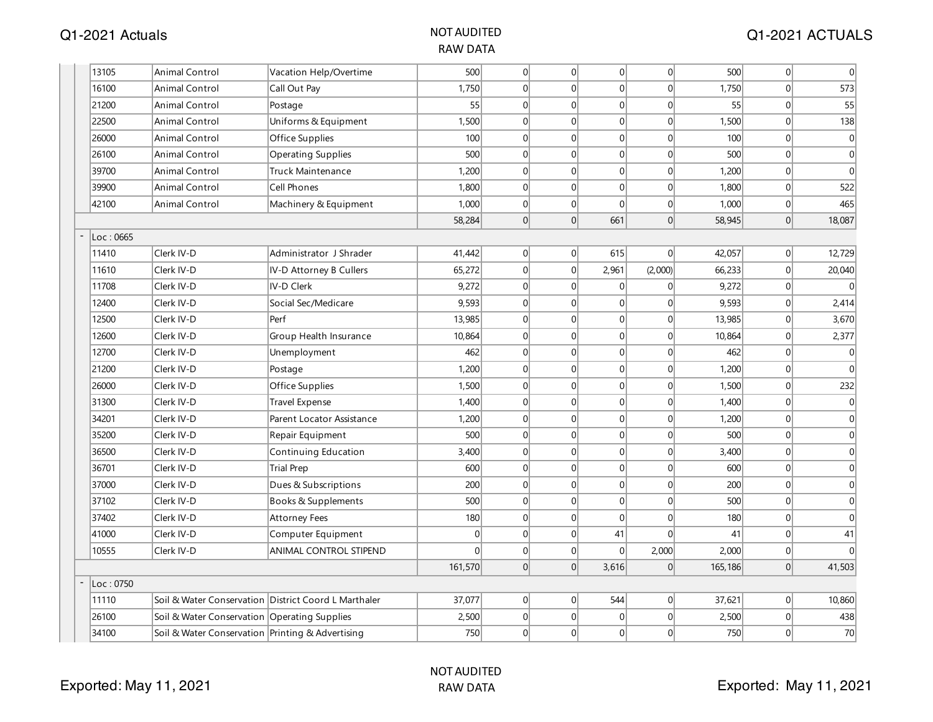| 13105    | Animal Control                                       | Vacation Help/Overtime    | 500     | $\Omega$ | 0              | 0              | $\overline{0}$  | 500     | 0        | 0                |
|----------|------------------------------------------------------|---------------------------|---------|----------|----------------|----------------|-----------------|---------|----------|------------------|
| 16100    | <b>Animal Control</b>                                | Call Out Pay              | 1,750   | 0        | $\overline{0}$ | 0              | 0               | 1,750   | 0        | 573              |
| 21200    | <b>Animal Control</b>                                | Postage                   | 55      | $\Omega$ | $\overline{0}$ | 0              | 0               | 55      | 0        | 55               |
| 22500    | <b>Animal Control</b>                                | Uniforms & Equipment      | 1,500   | 0        | $\overline{0}$ | 0              | $\overline{0}$  | 1,500   | 0        | 138              |
| 26000    | <b>Animal Control</b>                                | Office Supplies           | 100     | $\Omega$ | $\overline{0}$ | $\mathbf 0$    | $\overline{0}$  | 100     | 0        | $\mathbf 0$      |
| 26100    | <b>Animal Control</b>                                | <b>Operating Supplies</b> | 500     | $\Omega$ | $\overline{0}$ | 0              | $\overline{0}$  | 500     | 0        | $\boldsymbol{0}$ |
| 39700    | Animal Control                                       | <b>Truck Maintenance</b>  | 1,200   | $\Omega$ | $\overline{0}$ | $\mathbf 0$    | 0               | 1,200   | $\Omega$ | $\mathbf{0}$     |
| 39900    | Animal Control                                       | <b>Cell Phones</b>        | 1,800   | $\Omega$ | $\overline{0}$ | 0              | 0               | 1,800   | 0        | 522              |
| 42100    | Animal Control                                       | Machinery & Equipment     | 1,000   | $\Omega$ | $\overline{0}$ | $\overline{0}$ | 0               | 1,000   | 0        | 465              |
|          |                                                      |                           | 58,284  | $\Omega$ | 0              | 661            | $\vert 0 \vert$ | 58,945  | 0        | 18,087           |
| Loc:0665 |                                                      |                           |         |          |                |                |                 |         |          |                  |
| 11410    | Clerk IV-D                                           | Administrator J Shrader   | 41,442  | 0        | 0              | 615            | $\overline{0}$  | 42,057  | 0        | 12,729           |
| 11610    | Clerk IV-D                                           | IV-D Attorney B Cullers   | 65,272  | $\Omega$ | 0              | 2,961          | (2,000)         | 66,233  | 0        | 20,040           |
| 11708    | Clerk IV-D                                           | IV-D Clerk                | 9,272   | 0        | $\overline{0}$ | $\mathbf 0$    | $\overline{0}$  | 9,272   | 0        |                  |
| 12400    | Clerk IV-D                                           | Social Sec/Medicare       | 9,593   | $\Omega$ | $\overline{0}$ | $\overline{0}$ | $\overline{0}$  | 9,593   | 0        | 2,414            |
| 12500    | Clerk IV-D                                           | Perf                      | 13,985  | $\Omega$ | $\overline{0}$ | 0              | 0               | 13,985  | 0        | 3,670            |
| 12600    | Clerk IV-D                                           | Group Health Insurance    | 10,864  | $\Omega$ | $\overline{0}$ | 0              | $\overline{0}$  | 10,864  | 0        | 2,377            |
| 12700    | Clerk IV-D                                           | Unemployment              | 462     | $\Omega$ | $\overline{0}$ | 0              | $\overline{0}$  | 462     | 0        | 0                |
| 21200    | Clerk IV-D                                           | Postage                   | 1,200   | $\Omega$ | $\overline{0}$ | 0              | $\overline{0}$  | 1,200   | 0        | $\Omega$         |
| 26000    | Clerk IV-D                                           | Office Supplies           | 1,500   | $\Omega$ | $\overline{0}$ | 0              | 0               | 1,500   | 0        | 232              |
| 31300    | Clerk IV-D                                           | <b>Travel Expense</b>     | 1,400   | 0        | $\overline{0}$ | 0              | $\overline{0}$  | 1,400   | 0        | $\mathbf{0}$     |
| 34201    | Clerk IV-D                                           | Parent Locator Assistance | 1,200   | 0        | $\overline{0}$ | 0              | $\overline{0}$  | 1,200   | 0        | $\mathbf 0$      |
| 35200    | Clerk IV-D                                           | Repair Equipment          | 500     | $\Omega$ | $\overline{0}$ | 0              | $\overline{0}$  | 500     | 0        | 0                |
| 36500    | Clerk IV-D                                           | Continuing Education      | 3,400   | $\Omega$ | $\overline{0}$ | 0              | $\overline{0}$  | 3,400   | 0        | 0                |
| 36701    | Clerk IV-D                                           | <b>Trial Prep</b>         | 600     | $\Omega$ | $\overline{0}$ | 0              | $\overline{0}$  | 600     | $\Omega$ | 0                |
| 37000    | Clerk IV-D                                           | Dues & Subscriptions      | 200     | 0        | $\overline{0}$ | 0              | $\overline{0}$  | 200     | 0        | 0                |
| 37102    | Clerk IV-D                                           | Books & Supplements       | 500     | $\Omega$ | $\overline{0}$ | $\overline{0}$ | $\overline{0}$  | 500     | $\Omega$ | 0                |
| 37402    | Clerk IV-D                                           | <b>Attorney Fees</b>      | 180     | 0        | $\overline{0}$ | $\overline{0}$ | $\overline{0}$  | 180     | 0        | $\mathbf 0$      |
| 41000    | Clerk IV-D                                           | Computer Equipment        | 0       | $\Omega$ | $\overline{0}$ | 41             | $\Omega$        | 41      | 0        | 41               |
| 10555    | Clerk IV-D                                           | ANIMAL CONTROL STIPEND    | 0       | 0        | 0              | 0              | 2,000           | 2,000   | 0        | $\Omega$         |
|          |                                                      |                           | 161,570 | $\Omega$ | 0              | 3,616          | $\overline{0}$  | 165,186 | 0        | 41,503           |
| Loc:0750 |                                                      |                           |         |          |                |                |                 |         |          |                  |
| 11110    | Soil & Water Conservation District Coord L Marthaler |                           | 37,077  | 0        | 0              | 544            | 0               | 37,621  | 0        | 10,860           |
| 26100    | Soil & Water Conservation Operating Supplies         |                           | 2,500   | 0        | $\overline{0}$ | $\mathbf{0}$   | 0               | 2,500   | 0        | 438              |
| 34100    | Soil & Water Conservation Printing & Advertising     |                           | 750     | $\Omega$ | $\overline{0}$ | 0              | $\Omega$        | 750     | 0        | 70               |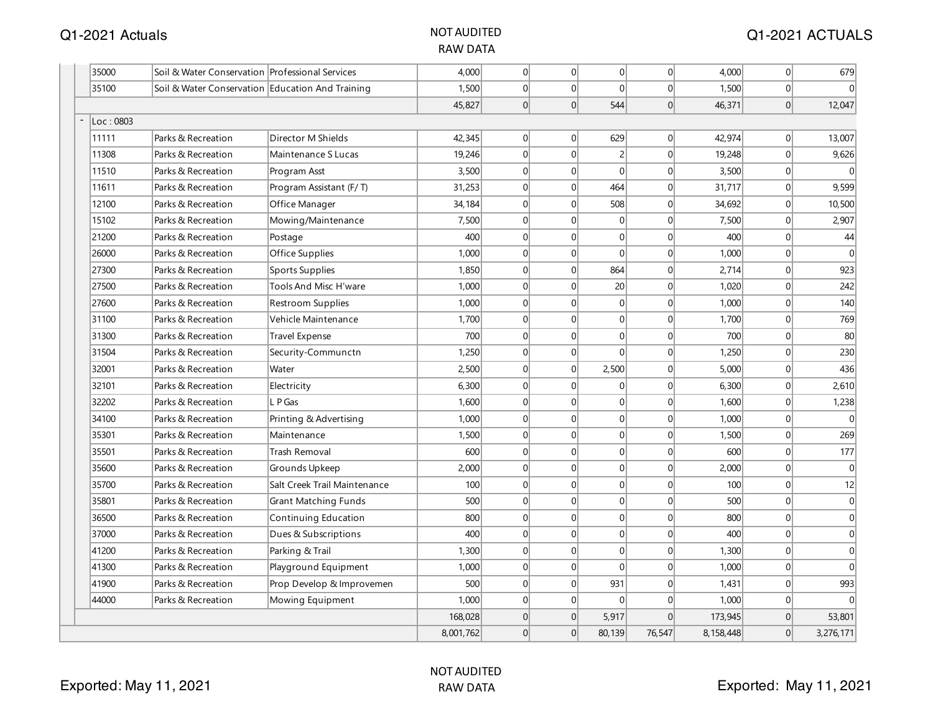| 35000     | Soil & Water Conservation Professional Services  |                              | 4.000     | 0              | 0              | 0               | $\Omega$       | 4,000     | 0              | 679          |
|-----------|--------------------------------------------------|------------------------------|-----------|----------------|----------------|-----------------|----------------|-----------|----------------|--------------|
| 35100     | Soil & Water Conservation Education And Training |                              | 1,500     | 0              | $\Omega$       | $\Omega$        | $\Omega$       | 1,500     | 0              |              |
|           |                                                  |                              | 45,827    | $\overline{0}$ | $\overline{0}$ | 544             | $\Omega$       | 46,371    | 0              | 12,047       |
| Loc: 0803 |                                                  |                              |           |                |                |                 |                |           |                |              |
| 11111     | Parks & Recreation                               | Director M Shields           | 42,345    | $\overline{0}$ | $\Omega$       | 629             | $\Omega$       | 42,974    | 0              | 13,007       |
| 11308     | Parks & Recreation                               | Maintenance S Lucas          | 19,246    | 0              | $\mathbf{0}$   | $\overline{2}$  | $\Omega$       | 19,248    | 0              | 9,626        |
| 11510     | Parks & Recreation                               | Program Asst                 | 3,500     | 0              | $\overline{0}$ | $\Omega$        | $\Omega$       | 3,500     | 0              |              |
| 11611     | Parks & Recreation                               | Program Assistant (F/T)      | 31,253    | 0              | $\mathbf 0$    | 464             | $\Omega$       | 31,717    | 0              | 9,599        |
| 12100     | Parks & Recreation                               | Office Manager               | 34,184    | 0              | $\mathbf{0}$   | 508             | $\Omega$       | 34,692    | 0              | 10,500       |
| 15102     | Parks & Recreation                               | Mowing/Maintenance           | 7,500     | 0              | $\mathbf{0}$   | 0               | $\Omega$       | 7,500     | 0              | 2,907        |
| 21200     | Parks & Recreation                               | Postage                      | 400       | 0              | $\overline{0}$ | $\Omega$        | $\Omega$       | 400       | 0              | 44           |
| 26000     | Parks & Recreation                               | Office Supplies              | 1.000     | 0              | $\Omega$       | $\Omega$        | $\Omega$       | 1,000     | 0              | $\Omega$     |
| 27300     | Parks & Recreation                               | <b>Sports Supplies</b>       | 1,850     | 0              | $\mathbf 0$    | 864             | $\overline{0}$ | 2,714     | 0              | 923          |
| 27500     | Parks & Recreation                               | Tools And Misc H'ware        | 1,000     | 0              | $\mathbf{0}$   | 20 <sup>2</sup> | $\overline{0}$ | 1,020     | 0              | 242          |
| 27600     | Parks & Recreation                               | Restroom Supplies            | 1,000     | 0              | $\mathbf{0}$   | 0               | $\Omega$       | 1,000     | 0              | 140          |
| 31100     | Parks & Recreation                               | Vehicle Maintenance          | 1,700     | 0              | $\Omega$       | 0               | $\Omega$       | 1,700     | 0              | 769          |
| 31300     | Parks & Recreation                               | <b>Travel Expense</b>        | 700       | $\overline{0}$ | $\Omega$       | 0               | $\Omega$       | 700       | 0              | 80           |
| 31504     | Parks & Recreation                               | Security-Communctn           | 1,250     | $\Omega$       | $\Omega$       | $\Omega$        | $\Omega$       | 1,250     | $\Omega$       | 230          |
| 32001     | Parks & Recreation                               | Water                        | 2,500     | 0              | $\mathbf{0}$   | 2,500           | $\Omega$       | 5,000     | 0              | 436          |
| 32101     | Parks & Recreation                               | Electricity                  | 6,300     | 0              | $\Omega$       | 0               | $\Omega$       | 6,300     | 0              | 2,610        |
| 32202     | Parks & Recreation                               | L P Gas                      | 1,600     | 0              | $\mathbf{0}$   | 0               | $\Omega$       | 1,600     | $\overline{0}$ | 1,238        |
| 34100     | Parks & Recreation                               | Printing & Advertising       | 1,000     | 0              | $\mathbf{0}$   | 0               | $\Omega$       | 1,000     | 0              | $\Omega$     |
| 35301     | Parks & Recreation                               | Maintenance                  | 1,500     | 0              | $\mathbf{0}$   | 0               | $\Omega$       | 1,500     | 0              | 269          |
| 35501     | Parks & Recreation                               | Trash Removal                | 600       | 0              | $\mathbf{0}$   | 0               | $\Omega$       | 600       | 0              | 177          |
| 35600     | Parks & Recreation                               | Grounds Upkeep               | 2,000     | 0              | $\mathbf{0}$   | 0               | $\Omega$       | 2,000     | 0              | $\mathbf 0$  |
| 35700     | Parks & Recreation                               | Salt Creek Trail Maintenance | 100       | 0              | $\mathbf{0}$   | 0               | $\Omega$       | 100       | 0              | 12           |
| 35801     | Parks & Recreation                               | <b>Grant Matching Funds</b>  | 500       | $\overline{0}$ | $\Omega$       | 0               | $\Omega$       | 500       | 0              | $\mathbf{0}$ |
| 36500     | Parks & Recreation                               | Continuing Education         | 800       | 0              | $\mathbf{0}$   | 0               | $\Omega$       | 800       | 0              | $\mathbf{0}$ |
| 37000     | Parks & Recreation                               | Dues & Subscriptions         | 400       | 0              | $\mathbf{0}$   | 0               | $\overline{0}$ | 400       | 0              | $\mathbf{0}$ |
| 41200     | Parks & Recreation                               | Parking & Trail              | 1,300     | $\overline{0}$ | $\overline{0}$ | 0               | $\Omega$       | 1,300     | 0              | $\mathbf{0}$ |
| 41300     | Parks & Recreation                               | Playground Equipment         | 1,000     | 0              | $\overline{0}$ | $\Omega$        | $\Omega$       | 1,000     | 0              | $\Omega$     |
| 41900     | Parks & Recreation                               | Prop Develop & Improvemen    | 500       | 0              | $\mathbf{0}$   | 931             | $\Omega$       | 1,431     | 0              | 993          |
| 44000     | Parks & Recreation                               | Mowing Equipment             | 1,000     | $\overline{0}$ | $\mathbf{0}$   | $\Omega$        | $\Omega$       | 1,000     | 0              |              |
|           |                                                  |                              | 168,028   | 0              | $\Omega$       | 5,917           | $\Omega$       | 173,945   | $\overline{0}$ | 53,801       |
|           |                                                  |                              | 8,001,762 | 0              | $\mathbf{0}$   | 80,139          | 76,547         | 8,158,448 | 0              | 3,276,171    |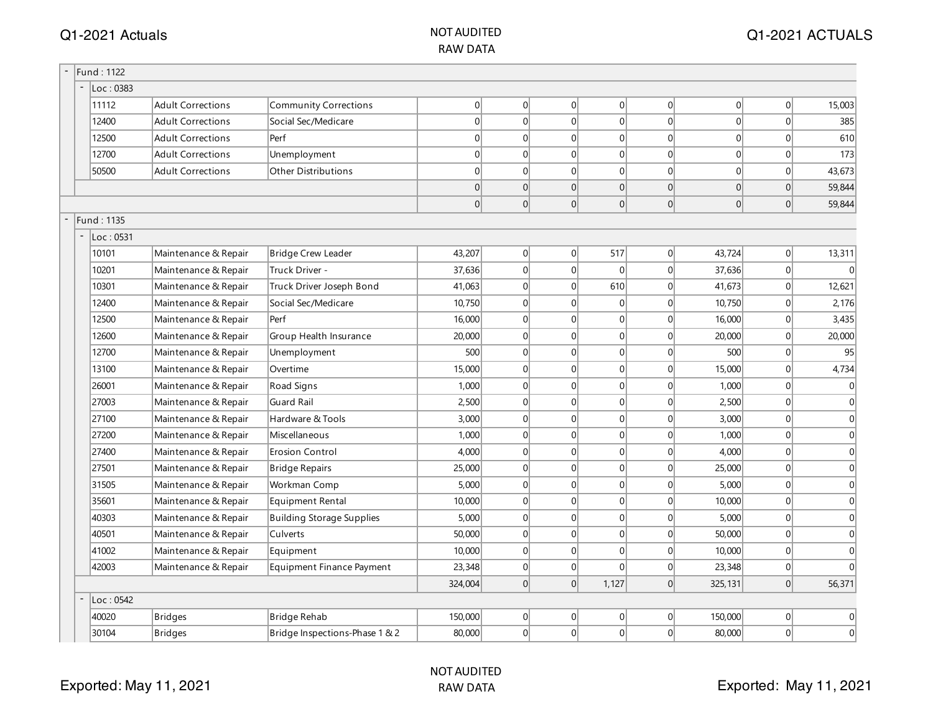#### NOT AUDITED RAW DATA

| Fund: 1122 |                          |                                  |          |                |          |           |                 |          |          |              |
|------------|--------------------------|----------------------------------|----------|----------------|----------|-----------|-----------------|----------|----------|--------------|
| Loc: 0383  |                          |                                  |          |                |          |           |                 |          |          |              |
| 11112      | <b>Adult Corrections</b> | <b>Community Corrections</b>     | 0        | 0              | 0        | 0         | 0               | 0        | 0        | 15,003       |
| 12400      | <b>Adult Corrections</b> | Social Sec/Medicare              | $\Omega$ | $\Omega$       | 0        | 0         | 0               | 0        | 0        | 385          |
| 12500      | <b>Adult Corrections</b> | Perf                             | $\Omega$ | $\Omega$       | $\Omega$ | 0         | $\Omega$        | $\Omega$ | $\Omega$ | 610          |
| 12700      | <b>Adult Corrections</b> | Unemployment                     | $\Omega$ | $\Omega$       | 0        | 0         | $\Omega$        | $\Omega$ | 0        | 173          |
| 50500      | <b>Adult Corrections</b> | <b>Other Distributions</b>       | $\Omega$ | $\Omega$       | 0        | 0         | $\Omega$        | $\Omega$ | 0        | 43,673       |
|            |                          |                                  | $\Omega$ | $\Omega$       | 0        | 0         | 0               | 0        | 0        | 59,844       |
|            |                          |                                  | $\Omega$ | $\Omega$       | 0        | 0         | 0               | 0        | 0        | 59,844       |
| Fund: 1135 |                          |                                  |          |                |          |           |                 |          |          |              |
| Loc: 0531  |                          |                                  |          |                |          |           |                 |          |          |              |
| 10101      | Maintenance & Repair     | <b>Bridge Crew Leader</b>        | 43,207   | $\overline{0}$ | 0        | 517       | 0               | 43,724   | 0        | 13,311       |
| 10201      | Maintenance & Repair     | Truck Driver -                   | 37,636   | $\Omega$       | 0        | $\vert$ 0 | 0               | 37,636   | 0        | $\Omega$     |
| 10301      | Maintenance & Repair     | Truck Driver Joseph Bond         | 41,063   | $\Omega$       | 0        | 610       | 0               | 41,673   | 0        | 12,621       |
| 12400      | Maintenance & Repair     | Social Sec/Medicare              | 10,750   | $\overline{0}$ | 0        | 0         | $\overline{0}$  | 10,750   | 0        | 2,176        |
| 12500      | Maintenance & Repair     | Perf                             | 16,000   | $\overline{0}$ | 0        | 0         | $\overline{0}$  | 16,000   | 0        | 3,435        |
| 12600      | Maintenance & Repair     | Group Health Insurance           | 20,000   | $\Omega$       | 0        | 0         | $\overline{0}$  | 20,000   | 0        | 20,000       |
| 12700      | Maintenance & Repair     | Unemployment                     | 500      | $\Omega$       | $\Omega$ | 0         | $\Omega$        | 500      | 0        | 95           |
| 13100      | Maintenance & Repair     | Overtime                         | 15,000   | $\Omega$       | 0        | 0         | $\Omega$        | 15,000   | 0        | 4,734        |
| 26001      | Maintenance & Repair     | Road Signs                       | 1,000    | $\Omega$       | 0        | 0         | 0               | 1,000    | 0        | $\Omega$     |
| 27003      | Maintenance & Repair     | <b>Guard Rail</b>                | 2,500    | $\Omega$       | 0        | 0         | 0               | 2,500    | 0        | $\Omega$     |
| 27100      | Maintenance & Repair     | Hardware & Tools                 | 3,000    | $\overline{0}$ | 0        | 0         | 0               | 3,000    | 0        | $\Omega$     |
| 27200      | Maintenance & Repair     | Miscellaneous                    | 1,000    | $\overline{0}$ | 0        | 0         | $\overline{0}$  | 1,000    | 0        | $\Omega$     |
| 27400      | Maintenance & Repair     | <b>Erosion Control</b>           | 4,000    | $\Omega$       | 0        | 0         | $\overline{0}$  | 4,000    | 0        | $\mathbf{0}$ |
| 27501      | Maintenance & Repair     | <b>Bridge Repairs</b>            | 25,000   | $\overline{0}$ | 0        | 0         | 0               | 25,000   | 0        | $\mathbf{0}$ |
| 31505      | Maintenance & Repair     | Workman Comp                     | 5,000    | $\overline{0}$ | 0        | 0         | $\overline{0}$  | 5,000    | 0        | $\mathbf{0}$ |
| 35601      | Maintenance & Repair     | Equipment Rental                 | 10,000   | $\overline{0}$ | 0        | 0         | 0               | 10,000   | 0        | $\mathbf{0}$ |
| 40303      | Maintenance & Repair     | <b>Building Storage Supplies</b> | 5,000    | $\overline{0}$ | 0        | 0         | $\overline{0}$  | 5,000    | 0        | $\mathbf{0}$ |
| 40501      | Maintenance & Repair     | Culverts                         | 50,000   | $\overline{0}$ | 0        | 0         | $\overline{0}$  | 50,000   | 0        | $\mathbf{0}$ |
| 41002      | Maintenance & Repair     | Equipment                        | 10,000   | $\overline{0}$ | 0        | 0         | $\overline{0}$  | 10,000   | 0        | $\Omega$     |
| 42003      | Maintenance & Repair     | Equipment Finance Payment        | 23,348   | 0              | 0        | 0         | 0               | 23,348   | 0        | $\cap$       |
|            |                          |                                  | 324,004  | 0              | 0        | 1,127     | 0               | 325,131  | 0        | 56,371       |
| Loc: 0542  |                          |                                  |          |                |          |           |                 |          |          |              |
| 40020      | <b>Bridges</b>           | <b>Bridge Rehab</b>              | 150,000  | $\overline{0}$ | 0        | 0         | $\vert 0 \vert$ | 150,000  | 0        | 0            |
| 30104      | <b>Bridges</b>           | Bridge Inspections-Phase 1 & 2   | 80,000   | 0              | 0        | 0         | 0               | 80,000   | 0        | $\mathbf{0}$ |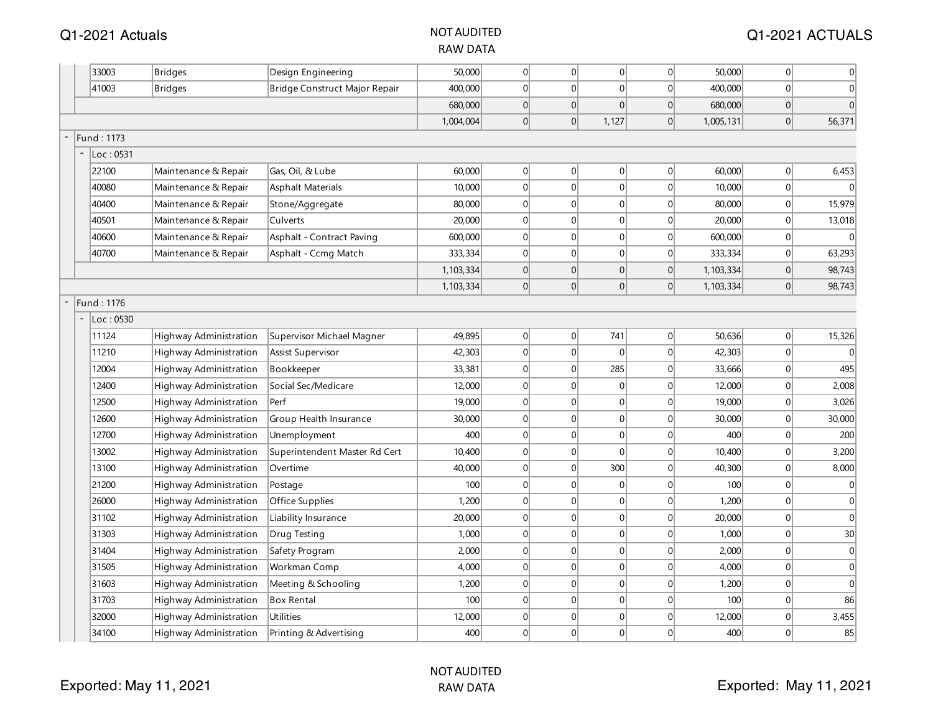#### NOT AUDITED RAW DATA

|            | 33003             | <b>Bridges</b>                | Design Engineering            | 50,000      | 0              | $\overline{0}$ | 0              | $\overline{0}$  | 50,000    | 0              | $\overline{0}$   |
|------------|-------------------|-------------------------------|-------------------------------|-------------|----------------|----------------|----------------|-----------------|-----------|----------------|------------------|
|            | 41003             | <b>Bridges</b>                | Bridge Construct Major Repair | 400,000     | 0              | 0              | 0              | 0               | 400,000   | $\mathbf 0$    | $\overline{0}$   |
|            |                   |                               |                               | 680,000     | 0              | 0              | 0              | 0               | 680,000   | 0              | $\overline{0}$   |
|            |                   |                               |                               | 1,004,004   | 0              | 0              | 1,127          | 0               | 1,005,131 | 0              | 56,371           |
|            | Fund: 1173        |                               |                               |             |                |                |                |                 |           |                |                  |
|            | Loc: 0531         |                               |                               |             |                |                |                |                 |           |                |                  |
|            | 22100             | Maintenance & Repair          | Gas, Oil, & Lube              | 60,000      | 0              | 0              | 0              | 0               | 60,000    | 0              | 6,453            |
|            | 40080             | Maintenance & Repair          | <b>Asphalt Materials</b>      | 10,000      | 0              | 0              | 0              | 0               | 10,000    | 0              | $\mathbf 0$      |
|            | 40400             | Maintenance & Repair          | Stone/Aggregate               | 80,000      | 0              | 0              | 0              | $\overline{0}$  | 80,000    | 0              | 15,979           |
|            | 40501             | Maintenance & Repair          | Culverts                      | 20,000      | 0              | 0              | 0              | $\overline{0}$  | 20,000    | 0              | 13,018           |
|            | 40600             | Maintenance & Repair          | Asphalt - Contract Paving     | 600,000     | 0              | 0              | 0              | 0               | 600,000   | 0              | $\Omega$         |
|            | 40700             | Maintenance & Repair          | Asphalt - Ccmg Match          | 333,334     | $\overline{0}$ | 0              | 0              | $\overline{0}$  | 333,334   | 0              | 63,293           |
|            |                   |                               |                               | 1, 103, 334 | 0              | 0              | 0              | 0               | 1,103,334 | 0              | 98,743           |
|            |                   |                               |                               | 1,103,334   | 0              | 0              | 0              | 0               | 1,103,334 | 0              | 98,743           |
| Fund: 1176 |                   |                               |                               |             |                |                |                |                 |           |                |                  |
|            | $\vert$ Loc: 0530 |                               |                               |             |                |                |                |                 |           |                |                  |
|            | 11124             | <b>Highway Administration</b> | Supervisor Michael Magner     | 49,895      | 0              | 0              | 741            | 0               | 50,636    | 0              | 15,326           |
|            | 11210             | Highway Administration        | Assist Supervisor             | 42,303      | 0              | 0              | $\Omega$       | 0               | 42,303    | 0              | $\Omega$         |
|            | 12004             | Highway Administration        | Bookkeeper                    | 33,381      | 0              | 0              | 285            | 0               | 33,666    | 0              | 495              |
|            | 12400             | Highway Administration        | Social Sec/Medicare           | 12,000      | 0              | 0              | 0              | 0               | 12,000    | 0              | 2,008            |
|            | 12500             | Highway Administration        | Perf                          | 19,000      | 0              | 0              | 0              | $\vert 0 \vert$ | 19,000    | 0              | 3,026            |
|            | 12600             | Highway Administration        | Group Health Insurance        | 30,000      | 0              | 0              | 0              | $\overline{0}$  | 30,000    | 0              | 30,000           |
|            | 12700             | Highway Administration        | Unemployment                  | 400         | 0              | 0              | 0              | 0               | 400       | 0              | 200              |
|            | 13002             | Highway Administration        | Superintendent Master Rd Cert | 10,400      | 0              | 0              | $\overline{0}$ | 0               | 10,400    | 0              | 3,200            |
|            | 13100             | <b>Highway Administration</b> | Overtime                      | 40,000      | 0              | 0              | 300            | 0               | 40,300    | 0              | 8,000            |
|            | 21200             | Highway Administration        | Postage                       | 100         | 0              | 0              | 0              | $\overline{0}$  | 100       | 0              | $\overline{0}$   |
|            | 26000             | Highway Administration        | Office Supplies               | 1,200       | 0              | 0              | 0              | 0               | 1,200     | 0              | $\mathbf 0$      |
|            | 31102             | Highway Administration        | Liability Insurance           | 20,000      | 0              | 0              | 0              | 0               | 20,000    | 0              | $\mathbf{0}$     |
|            | 31303             | Highway Administration        | Drug Testing                  | 1,000       | 0              | 0              | 0              | 0               | 1,000     | 0              | 30 <sup>°</sup>  |
|            | 31404             | Highway Administration        | Safety Program                | 2,000       | 0              | 0              | 0              | $\overline{0}$  | 2,000     | 0              | $\boldsymbol{0}$ |
|            | 31505             | <b>Highway Administration</b> | Workman Comp                  | 4,000       | 0              | $\overline{0}$ | 0              | $\overline{0}$  | 4,000     | 0              | $\overline{0}$   |
|            | 31603             | Highway Administration        | Meeting & Schooling           | 1,200       | 0              | 0              | 0              | $\overline{0}$  | 1,200     | $\mathbf 0$    | $\mathbf{0}$     |
|            | 31703             | Highway Administration        | <b>Box Rental</b>             | 100         | 0              | 0              | 0              | $\overline{0}$  | 100       | 0              | 86               |
|            | 32000             | Highway Administration        | <b>Utilities</b>              | 12,000      | 0              | 0              | 0              | $\overline{0}$  | 12,000    | 0              | 3,455            |
|            | 34100             | Highway Administration        | Printing & Advertising        | 400         | $\overline{0}$ | 0              | 0              | $\overline{0}$  | 400       | $\overline{0}$ | 85               |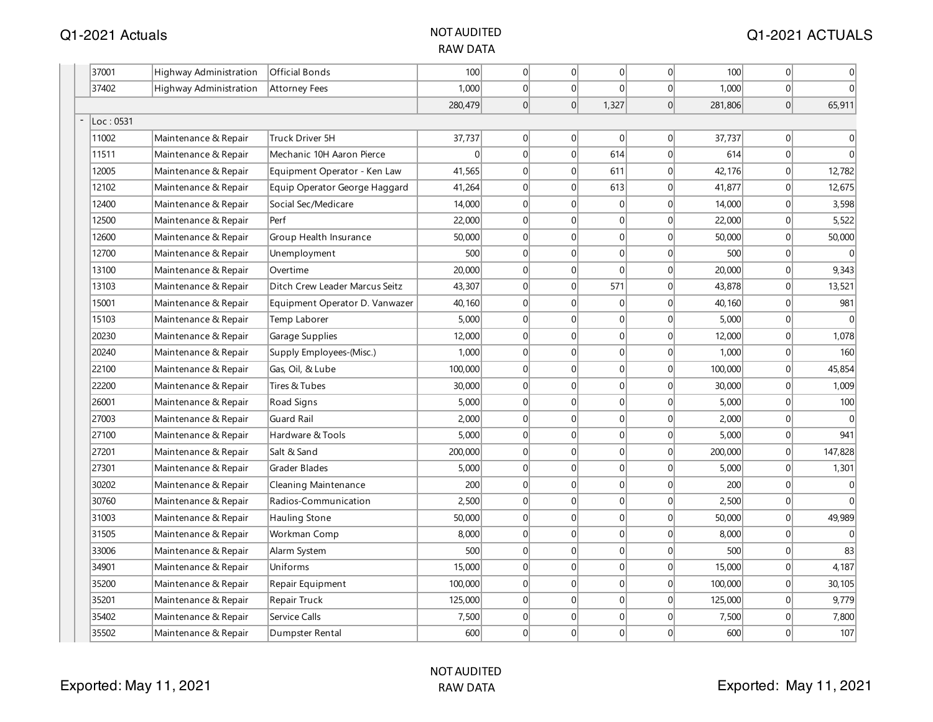| 37001     | Highway Administration        | <b>Official Bonds</b>          | 100     | $\overline{0}$ | 0              | 0        | $\Omega$        | 100     | $\overline{0}$ | 0        |
|-----------|-------------------------------|--------------------------------|---------|----------------|----------------|----------|-----------------|---------|----------------|----------|
| 37402     | <b>Highway Administration</b> | <b>Attorney Fees</b>           | 1,000   | 0              | 0              | $\Omega$ | $\Omega$        | 1,000   | 0              | $\Omega$ |
|           |                               |                                | 280,479 | 0              | $\overline{0}$ | 1,327    | 0               | 281,806 | $\overline{0}$ | 65,911   |
| Loc: 0531 |                               |                                |         |                |                |          |                 |         |                |          |
| 11002     | Maintenance & Repair          | Truck Driver 5H                | 37,737  | 0              | $\Omega$       | $\Omega$ | $\Omega$        | 37,737  | $\Omega$       | 0        |
| 11511     | Maintenance & Repair          | Mechanic 10H Aaron Pierce      | 0       | $\overline{0}$ | $\overline{0}$ | 614      | $\vert 0 \vert$ | 614     | 0              | $\Omega$ |
| 12005     | Maintenance & Repair          | Equipment Operator - Ken Law   | 41,565  | $\overline{0}$ | $\overline{0}$ | 611      | 0               | 42,176  | 0              | 12,782   |
| 12102     | Maintenance & Repair          | Equip Operator George Haggard  | 41,264  | $\overline{0}$ | $\overline{0}$ | 613      | $\overline{0}$  | 41,877  | $\overline{0}$ | 12,675   |
| 12400     | Maintenance & Repair          | Social Sec/Medicare            | 14,000  | 0              | $\overline{0}$ | 0        | $\overline{0}$  | 14,000  | 0              | 3,598    |
| 12500     | Maintenance & Repair          | Perf                           | 22,000  | 0              | $\overline{0}$ | 0        | $\overline{0}$  | 22,000  | $\overline{0}$ | 5,522    |
| 12600     | Maintenance & Repair          | Group Health Insurance         | 50,000  | 0              | $\overline{0}$ | 0        | $\Omega$        | 50,000  | $\overline{0}$ | 50,000   |
| 12700     | Maintenance & Repair          | Unemployment                   | 500     | 0              | $\Omega$       | 0        | $\Omega$        | 500     | $\Omega$       | $\Omega$ |
| 13100     | Maintenance & Repair          | Overtime                       | 20,000  | 0              | $\overline{0}$ | 0        | $\vert 0 \vert$ | 20,000  | 0              | 9,343    |
| 13103     | Maintenance & Repair          | Ditch Crew Leader Marcus Seitz | 43,307  | $\overline{0}$ | $\overline{0}$ | 571      | 0               | 43,878  | 0              | 13,521   |
| 15001     | Maintenance & Repair          | Equipment Operator D. Vanwazer | 40,160  | $\overline{0}$ | $\overline{0}$ | 0        | 0               | 40,160  | $\overline{0}$ | 981      |
| 15103     | Maintenance & Repair          | Temp Laborer                   | 5,000   | 0              | $\overline{0}$ | 0        | $\overline{0}$  | 5,000   | 0              |          |
| 20230     | Maintenance & Repair          | Garage Supplies                | 12,000  | 0              | $\overline{0}$ | 0        | $\overline{0}$  | 12,000  | $\overline{0}$ | 1,078    |
| 20240     | Maintenance & Repair          | Supply Employees-(Misc.)       | 1,000   | 0              | $\Omega$       | 0        | $\Omega$        | 1,000   | $\overline{0}$ | 160      |
| 22100     | Maintenance & Repair          | Gas, Oil, & Lube               | 100,000 | 0              | $\overline{0}$ | 0        | 0               | 100,000 | $\overline{0}$ | 45,854   |
| 22200     | Maintenance & Repair          | Tires & Tubes                  | 30,000  | 0              | $\overline{0}$ | 0        | $\overline{0}$  | 30,000  | $\overline{0}$ | 1,009    |
| 26001     | Maintenance & Repair          | Road Signs                     | 5,000   | 0              | $\Omega$       | 0        | $\Omega$        | 5,000   | 0              | 100      |
| 27003     | Maintenance & Repair          | Guard Rail                     | 2,000   | 0              | $\Omega$       | 0        | $\Omega$        | 2,000   | 0              |          |
| 27100     | Maintenance & Repair          | Hardware & Tools               | 5,000   | 0              | $\overline{0}$ | 0        | 0               | 5,000   | 0              | 941      |
| 27201     | Maintenance & Repair          | Salt & Sand                    | 200,000 | 0              | $\overline{0}$ | 0        | $\overline{0}$  | 200,000 | 0              | 147,828  |
| 27301     | Maintenance & Repair          | Grader Blades                  | 5,000   | 0              | $\Omega$       | 0        | $\Omega$        | 5,000   | $\overline{0}$ | 1,301    |
| 30202     | Maintenance & Repair          | Cleaning Maintenance           | 200     | 0              | $\overline{0}$ | 0        | $\overline{0}$  | 200     | $\overline{0}$ | 0        |
| 30760     | Maintenance & Repair          | Radios-Communication           | 2,500   | 0              | $\overline{0}$ | 0        | $\overline{0}$  | 2,500   | $\overline{0}$ | $\Omega$ |
| 31003     | Maintenance & Repair          | Hauling Stone                  | 50,000  | 0              | $\overline{0}$ | 0        | $\overline{0}$  | 50,000  | $\overline{0}$ | 49,989   |
| 31505     | Maintenance & Repair          | Workman Comp                   | 8,000   | 0              | $\Omega$       | 0        | 0               | 8,000   | 0              |          |
| 33006     | Maintenance & Repair          | Alarm System                   | 500     | 0              | $\overline{0}$ | 0        | 0               | 500     | 0              | 83       |
| 34901     | Maintenance & Repair          | Uniforms                       | 15,000  | 0              | $\overline{0}$ | 0        | 0               | 15,000  | 0              | 4,187    |
| 35200     | Maintenance & Repair          | Repair Equipment               | 100,000 | $\overline{0}$ | $\overline{0}$ | 0        | $\overline{0}$  | 100,000 | $\overline{0}$ | 30, 105  |
| 35201     | Maintenance & Repair          | Repair Truck                   | 125,000 | 0              | $\overline{0}$ | 0        | 0               | 125,000 | $\overline{0}$ | 9,779    |
| 35402     | Maintenance & Repair          | Service Calls                  | 7,500   | $\overline{0}$ | $\overline{0}$ | 0        | $\Omega$        | 7,500   | $\overline{0}$ | 7,800    |
| 35502     | Maintenance & Repair          | Dumpster Rental                | 600     | $\Omega$       | $\Omega$       | 0        | $\Omega$        | 600     | $\overline{0}$ | 107      |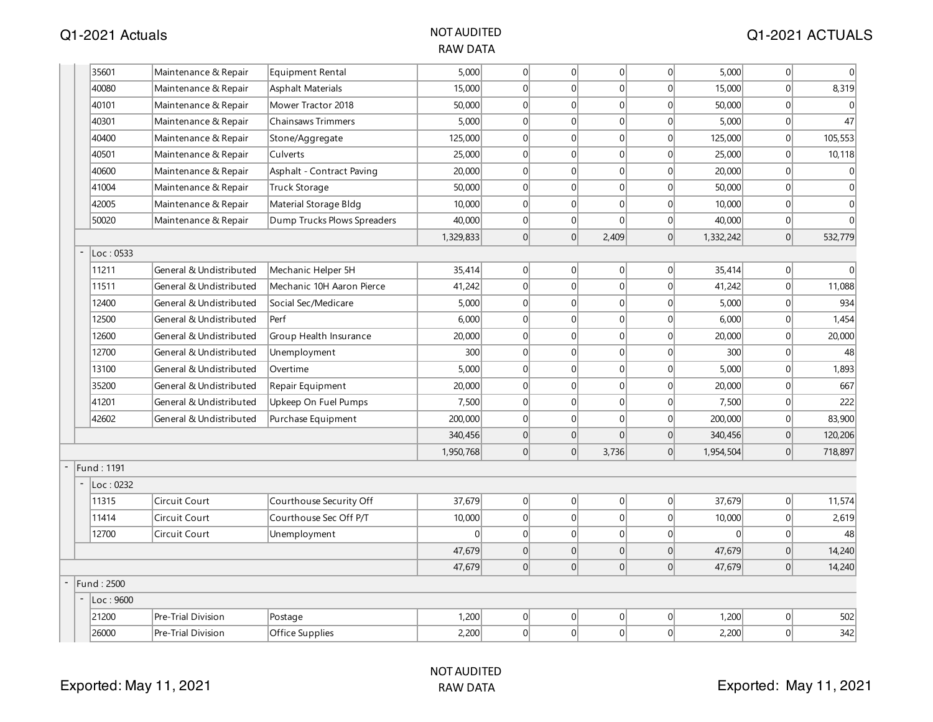| 35601      | Maintenance & Repair      | Equipment Rental            | 5,000     | 0 | 0              | 0              | 0              | 5,000     | 0                | $\theta$     |
|------------|---------------------------|-----------------------------|-----------|---|----------------|----------------|----------------|-----------|------------------|--------------|
| 40080      | Maintenance & Repair      | Asphalt Materials           | 15,000    | 0 | 0              | 0              | 0              | 15,000    | 0                | 8,319        |
| 40101      | Maintenance & Repair      | Mower Tractor 2018          | 50,000    | 0 | $\Omega$       | 0              | $\Omega$       | 50,000    | 0                |              |
| 40301      | Maintenance & Repair      | <b>Chainsaws Trimmers</b>   | 5,000     | 0 | $\overline{0}$ | 0              | 0              | 5,000     | 0                | 47           |
| 40400      | Maintenance & Repair      | Stone/Aggregate             | 125,000   | 0 | $\Omega$       | 0              | $\Omega$       | 125,000   | 0                | 105,553      |
| 40501      | Maintenance & Repair      | Culverts                    | 25,000    | 0 | $\overline{0}$ | 0              | $\overline{0}$ | 25,000    | $\boldsymbol{0}$ | 10,118       |
| 40600      | Maintenance & Repair      | Asphalt - Contract Paving   | 20,000    | 0 | $\Omega$       | 0              | $\Omega$       | 20,000    | 0                | $\theta$     |
| 41004      | Maintenance & Repair      | <b>Truck Storage</b>        | 50,000    | 0 | $\Omega$       | $\Omega$       | $\Omega$       | 50,000    | 0                | $\Omega$     |
| 42005      | Maintenance & Repair      | Material Storage Bldg       | 10,000    | 0 | $\overline{0}$ | 0              | 0              | 10,000    | 0                | $\mathbf{0}$ |
| 50020      | Maintenance & Repair      | Dump Trucks Plows Spreaders | 40,000    | 0 | 0              | $\Omega$       | 0              | 40,000    | 0                | $\Omega$     |
|            |                           |                             | 1,329,833 | 0 | $\Omega$       | 2,409          | $\vert$ 0      | 1,332,242 | 0                | 532,779      |
| Loc: 0533  |                           |                             |           |   |                |                |                |           |                  |              |
| 11211      | General & Undistributed   | Mechanic Helper 5H          | 35,414    | 0 | 0              | 0              | 0              | 35,414    | 0                | $\Omega$     |
| 11511      | General & Undistributed   | Mechanic 10H Aaron Pierce   | 41,242    | 0 | $\Omega$       | 0              | $\Omega$       | 41,242    | 0                | 11,088       |
| 12400      | General & Undistributed   | Social Sec/Medicare         | 5,000     | 0 | $\overline{0}$ | 0              | 0              | 5,000     | 0                | 934          |
| 12500      | General & Undistributed   | Perf                        | 6,000     | 0 | $\Omega$       | 0              | $\vert$ 0      | 6,000     | 0                | 1,454        |
| 12600      | General & Undistributed   | Group Health Insurance      | 20,000    | 0 | $\overline{0}$ | 0              | $\Omega$       | 20,000    | 0                | 20,000       |
| 12700      | General & Undistributed   | Unemployment                | 300       | 0 | $\Omega$       | $\Omega$       | $\Omega$       | 300       | 0                | 48           |
| 13100      | General & Undistributed   | Overtime                    | 5,000     | 0 | $\overline{0}$ | 0              | 0              | 5,000     | 0                | 1,893        |
| 35200      | General & Undistributed   | Repair Equipment            | 20,000    | 0 | $\vert$ 0      | 0              | $\Omega$       | 20,000    | 0                | 667          |
| 41201      | General & Undistributed   | Upkeep On Fuel Pumps        | 7,500     | 0 | $\overline{0}$ | 0              | 0              | 7,500     | 0                | 222          |
| 42602      | General & Undistributed   | Purchase Equipment          | 200,000   | 0 | $\vert$ 0      | 0              | $\Omega$       | 200,000   | 0                | 83,900       |
|            |                           |                             | 340,456   | 0 | $\overline{0}$ | $\overline{0}$ | 0              | 340,456   | 0                | 120,206      |
|            |                           |                             | 1,950,768 | 0 | 0              | 3,736          | $\Omega$       | 1,954,504 | 0                | 718,897      |
| Fund: 1191 |                           |                             |           |   |                |                |                |           |                  |              |
| Loc: 0232  |                           |                             |           |   |                |                |                |           |                  |              |
| 11315      | Circuit Court             | Courthouse Security Off     | 37,679    | 0 | $\Omega$       | $\overline{0}$ | 0              | 37,679    | 0                | 11,574       |
| 11414      | <b>Circuit Court</b>      | Courthouse Sec Off P/T      | 10,000    | 0 | $\Omega$       | 0              | 0              | 10,000    | 0                | 2,619        |
| 12700      | Circuit Court             | Unemployment                | $\Omega$  | 0 | $\Omega$       | 0              | 0              | $\Omega$  | 0                | 48           |
|            |                           |                             | 47,679    | 0 | $\overline{0}$ | 0              | 0              | 47,679    | 0                | 14,240       |
|            |                           |                             | 47,679    | 0 | $\overline{0}$ | 0              | $\Omega$       | 47,679    | 0                | 14,240       |
| Fund: 2500 |                           |                             |           |   |                |                |                |           |                  |              |
| Loc:9600   |                           |                             |           |   |                |                |                |           |                  |              |
| 21200      | <b>Pre-Trial Division</b> | Postage                     | 1,200     | 0 | 0              | 0              | 0              | 1,200     | 0                | 502          |
| 26000      | Pre-Trial Division        | Office Supplies             | 2,200     | 0 | $\overline{0}$ | $\Omega$       | $\Omega$       | 2,200     | 0                | 342          |
|            |                           |                             |           |   |                |                |                |           |                  |              |

-

-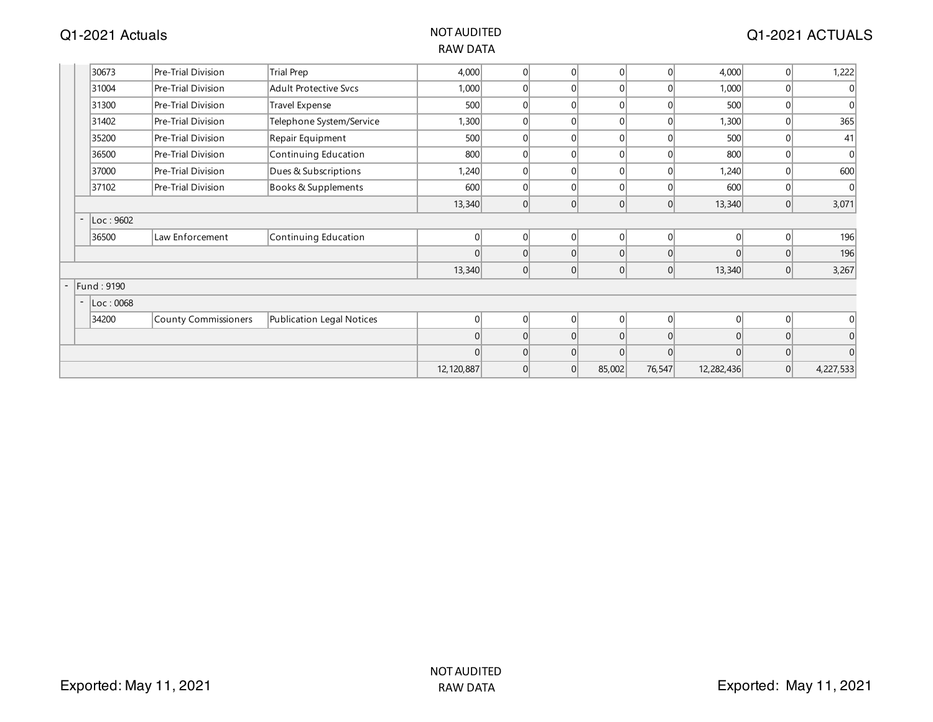#### Q1-2021 Actuals NOT AUDITED

| 30673                                 | Pre-Trial Division   | <b>Trial Prep</b>            | 4,000        | $\Omega$       | $\Omega$ | $\overline{0}$ | 0              | 4,000      | 0 | 1,222          |
|---------------------------------------|----------------------|------------------------------|--------------|----------------|----------|----------------|----------------|------------|---|----------------|
| 31004                                 | Pre-Trial Division   | <b>Adult Protective Svcs</b> | 1,000        | $\Omega$       | $\Omega$ | $\Omega$       | $\overline{0}$ | 1,000      | 0 | 0              |
| 31300                                 | Pre-Trial Division   | Travel Expense               | 500          | $\Omega$       | $\Omega$ | $\overline{0}$ | $\overline{0}$ | 500        | 0 | 0              |
| 31402                                 | Pre-Trial Division   | Telephone System/Service     | 1,300        | $\Omega$       | $\Omega$ | $\overline{0}$ | $\overline{0}$ | 1,300      | 0 | 365            |
| 35200                                 | Pre-Trial Division   | Repair Equipment             | 500          |                | $\Omega$ | $\Omega$       | $\Omega$       | 500        | 0 | 41             |
| 36500                                 | Pre-Trial Division   | Continuing Education         | 800          |                | 0        | $\Omega$       | $\Omega$       | 800        | 0 | $\mathbf{0}$   |
| 37000                                 | Pre-Trial Division   | Dues & Subscriptions         | 1,240        |                | 0        | 0              | $\Omega$       | 1,240      | 0 | 600            |
| 37102                                 | Pre-Trial Division   | Books & Supplements          | 600          |                | 0        | $\Omega$       | $\Omega$       | 600        | 0 | 0              |
|                                       |                      |                              | 13,340       | 0              | 0        | 0              | 0              | 13,340     | 0 | 3,071          |
| Loc: 9602<br>$\overline{\phantom{a}}$ |                      |                              |              |                |          |                |                |            |   |                |
| 36500                                 | Law Enforcement      | Continuing Education         | $\Omega$     | $\overline{0}$ | 0        | 0              | 0              | 01         | 0 | 196            |
|                                       |                      |                              |              |                | 0        | 0              | $\overline{0}$ |            | 0 | 196            |
|                                       |                      |                              | 13,340       | 0              | 0        | 0              | 0              | 13,340     | 0 | 3,267          |
| Fund: 9190                            |                      |                              |              |                |          |                |                |            |   |                |
| Loc: 0068<br>$\overline{\phantom{a}}$ |                      |                              |              |                |          |                |                |            |   |                |
| 34200                                 | County Commissioners | Publication Legal Notices    | $\Omega$     | $\Omega$       | $\Omega$ | 0              | 0              | $\Omega$   | 0 | $\overline{0}$ |
|                                       |                      |                              | $\Omega$     | $\Omega$       | 0        | 0              | 0              | $\Omega$   | 0 | 0              |
|                                       |                      |                              |              |                | $\Omega$ | $\Omega$       | $\Omega$       | $\Omega$   | 0 | $\vert$ 0      |
|                                       |                      |                              | 12, 120, 887 | $\Omega$       | 0        | 85,002         | 76,547         | 12,282,436 | 0 | 4,227,533      |
|                                       |                      |                              |              |                |          |                |                |            |   |                |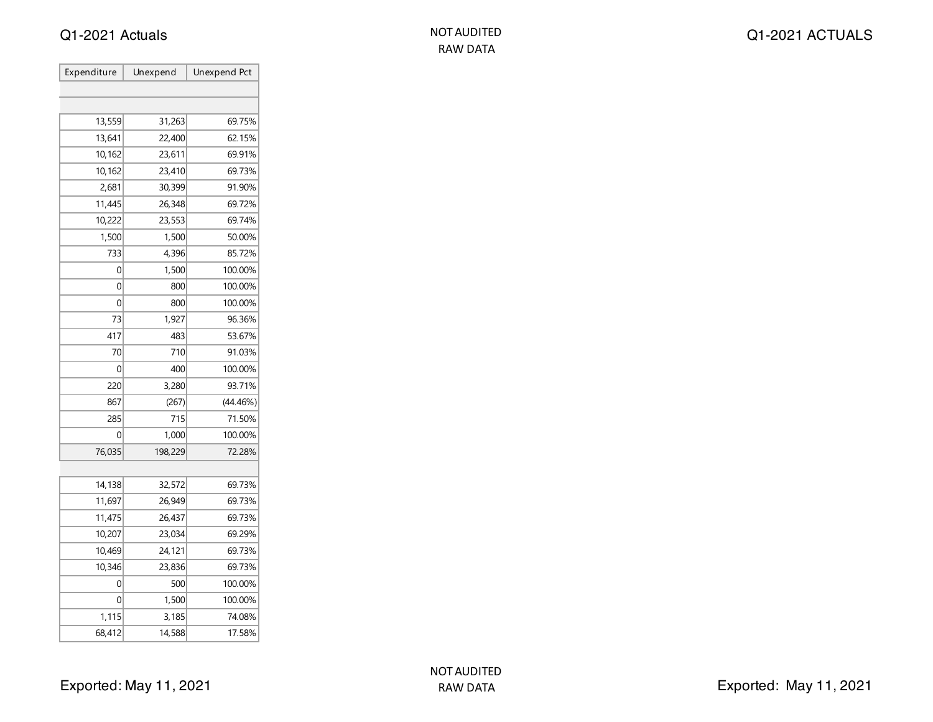| Expenditure | Unexpend | Unexpend Pct |
|-------------|----------|--------------|
|             |          |              |
|             |          |              |
| 13,559      | 31,263   | 69.75%       |
| 13,641      | 22,400   | 62.15%       |
| 10,162      | 23,611   | 69.91%       |
| 10,162      | 23,410   | 69.73%       |
| 2,681       | 30,399   | 91.90%       |
| 11,445      | 26,348   | 69.72%       |
| 10,222      | 23,553   | 69.74%       |
| 1,500       | 1,500    | 50.00%       |
| 733         | 4,396    | 85.72%       |
| 0           | 1,500    | 100.00%      |
| 0           | 800      | 100.00%      |
| 0           | 800      | 100.00%      |
| 73          | 1,927    | 96.36%       |
| 417         | 483      | 53.67%       |
| 70          | 710      | 91.03%       |
| 0           | 400      | 100.00%      |
| 220         | 3,280    | 93.71%       |
| 867         | (267)    | (44.46%)     |
| 285         | 715      | 71.50%       |
| 0           | 1,000    | 100.00%      |
| 76,035      | 198,229  | 72.28%       |
|             |          |              |
| 14,138      | 32,572   | 69.73%       |
| 11,697      | 26,949   | 69.73%       |
| 11,475      | 26,437   | 69.73%       |
| 10,207      | 23,034   | 69.29%       |
| 10,469      | 24,121   | 69.73%       |
| 10,346      | 23,836   | 69.73%       |
| 0           | 500      | 100.00%      |
| 0           | 1,500    | 100.00%      |
| 1,115       | 3,185    | 74.08%       |
| 68,412      | 14,588   | 17.58%       |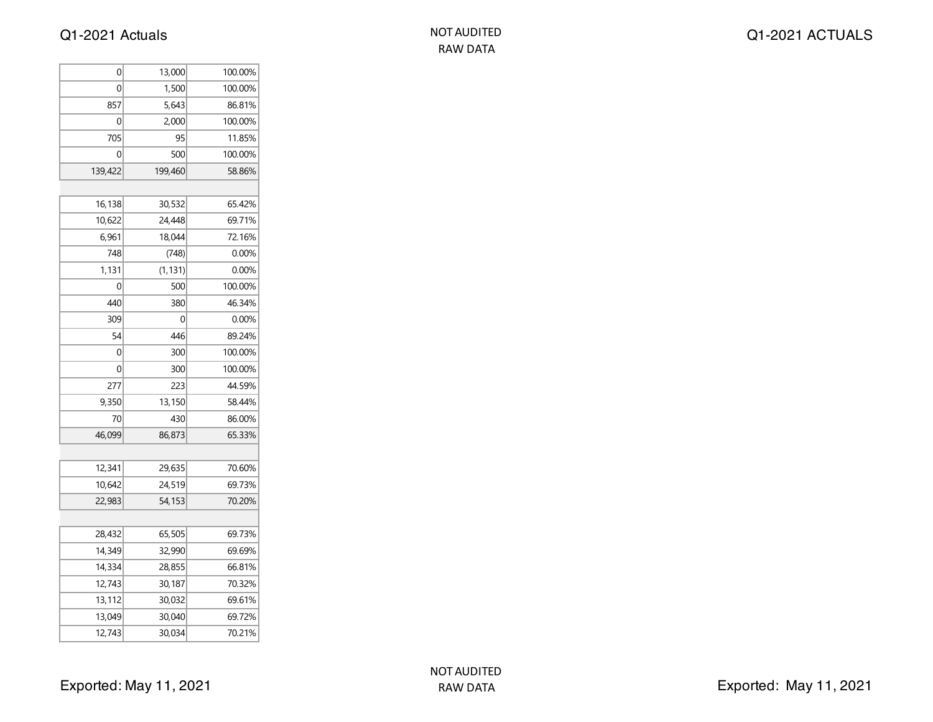| NOT AUDITED |
|-------------|
| RAW DATA    |

| 0       | 13,000   | 100.00% |
|---------|----------|---------|
| 0       | 1,500    | 100.00% |
| 857     | 5,643    | 86.81%  |
| 0       | 2,000    | 100.00% |
| 705     | 95       | 11.85%  |
| 0       | 500      | 100.00% |
| 139,422 | 199,460  | 58.86%  |
|         |          |         |
| 16,138  | 30,532   | 65.42%  |
| 10,622  | 24,448   | 69.71%  |
| 6,961   | 18,044   | 72.16%  |
| 748     | (748)    | 0.00%   |
| 1,131   | (1, 131) | 0.00%   |
| 0       | 500      | 100.00% |
| 440     | 380      | 46.34%  |
| 309     | 0        | 0.00%   |
| 54      | 446      | 89.24%  |
| 0       | 300      | 100.00% |
| 0       | 300      | 100.00% |
| 277     | 223      | 44.59%  |
| 9,350   | 13,150   | 58.44%  |
| 70      | 430      | 86.00%  |
| 46,099  | 86,873   | 65.33%  |
|         |          |         |
| 12,341  | 29,635   | 70.60%  |
| 10,642  | 24,519   | 69.73%  |
| 22,983  | 54,153   | 70.20%  |
|         |          |         |
| 28,432  | 65,505   | 69.73%  |
| 14,349  | 32,990   | 69.69%  |
| 14,334  | 28,855   | 66.81%  |
| 12,743  | 30,187   | 70.32%  |
| 13,112  | 30,032   | 69.61%  |
| 13,049  | 30,040   | 69.72%  |
| 12,743  | 30,034   | 70.21%  |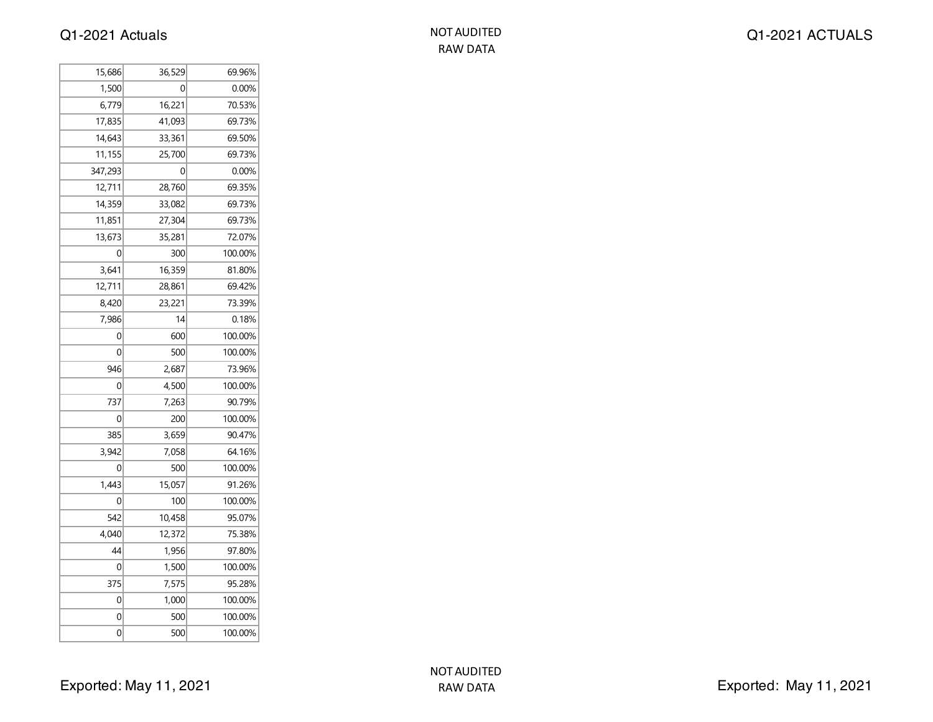| NOT AUDITED |
|-------------|
| RAW DATA    |

| 15,686  | 36,529 | 69.96%  |
|---------|--------|---------|
| 1,500   | 0      | 0.00%   |
| 6,779   | 16,221 | 70.53%  |
| 17,835  | 41,093 | 69.73%  |
| 14,643  | 33,361 | 69.50%  |
| 11,155  | 25,700 | 69.73%  |
| 347,293 | 0      | 0.00%   |
| 12,711  | 28,760 | 69.35%  |
| 14,359  | 33,082 | 69.73%  |
| 11,851  | 27,304 | 69.73%  |
| 13,673  | 35,281 | 72.07%  |
| 0       | 300    | 100.00% |
| 3,641   | 16,359 | 81.80%  |
| 12,711  | 28,861 | 69.42%  |
| 8,420   | 23,221 | 73.39%  |
| 7,986   | 14     | 0.18%   |
| 0       | 600    | 100.00% |
| 0       | 500    | 100.00% |
| 946     | 2,687  | 73.96%  |
| 0       | 4,500  | 100.00% |
| 737     | 7,263  | 90.79%  |
| 0       | 200    | 100.00% |
| 385     | 3,659  | 90.47%  |
| 3,942   | 7,058  | 64.16%  |
| 0       | 500    | 100.00% |
| 1,443   | 15,057 | 91.26%  |
| 0       | 100    | 100.00% |
| 542     | 10,458 | 95.07%  |
| 4,040   | 12,372 | 75.38%  |
| 44      | 1,956  | 97.80%  |
| 0       | 1,500  | 100.00% |
| 375     | 7,575  | 95.28%  |
| 0       | 1,000  | 100.00% |
| 0       | 500    | 100.00% |
| 0       | 500    | 100.00% |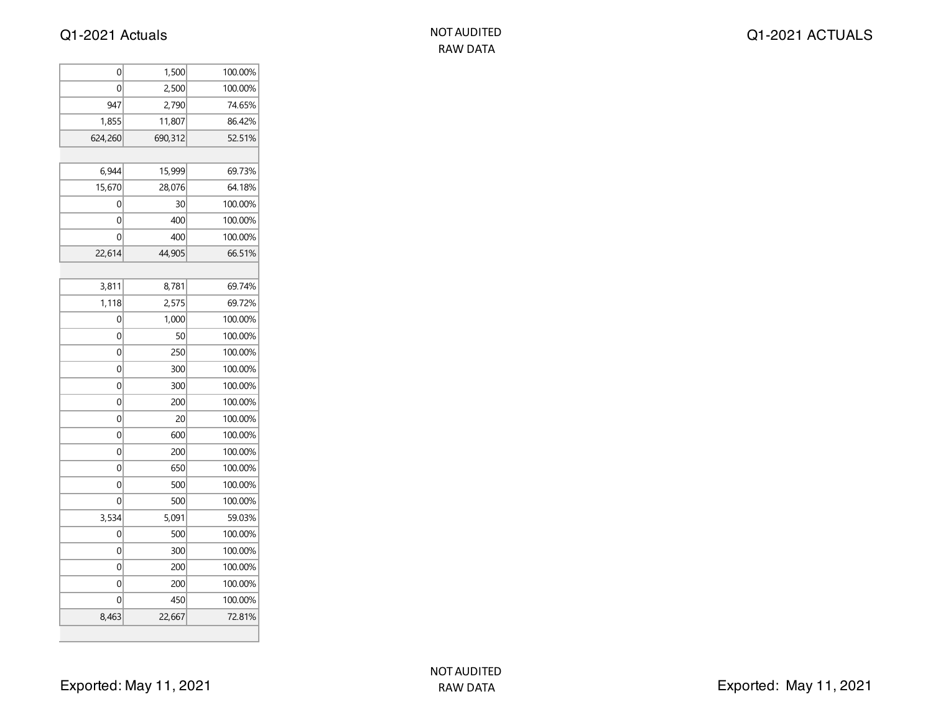| 0       | 1,500   | 100.00% |
|---------|---------|---------|
| 0       | 2,500   | 100.00% |
| 947     | 2,790   | 74.65%  |
| 1,855   | 11,807  | 86.42%  |
| 624,260 | 690,312 | 52.51%  |
|         |         |         |
| 6,944   | 15,999  | 69.73%  |
| 15,670  | 28,076  | 64.18%  |
| 0       | 30      | 100.00% |
| 0       | 400     | 100.00% |
| 0       | 400     | 100.00% |
| 22,614  | 44,905  | 66.51%  |
|         |         |         |
| 3,811   | 8,781   | 69.74%  |
| 1,118   | 2,575   | 69.72%  |
| 0       | 1,000   | 100.00% |
| 0       | 50      | 100.00% |
| 0       | 250     | 100.00% |
| 0       | 300     | 100.00% |
| 0       | 300     | 100.00% |
| 0       | 200     | 100.00% |
| 0       | 20      | 100.00% |
| 0       | 600     | 100.00% |
| 0       | 200     | 100.00% |
| 0       | 650     | 100.00% |
| 0       | 500     | 100.00% |
| 0       | 500     | 100.00% |
| 3,534   | 5,091   | 59.03%  |
| 0       | 500     | 100.00% |
| 0       | 300     | 100.00% |
| 0       | 200     | 100.00% |
| 0       | 200     | 100.00% |
| 0       | 450     | 100.00% |
| 8,463   | 22,667  | 72.81%  |
|         |         |         |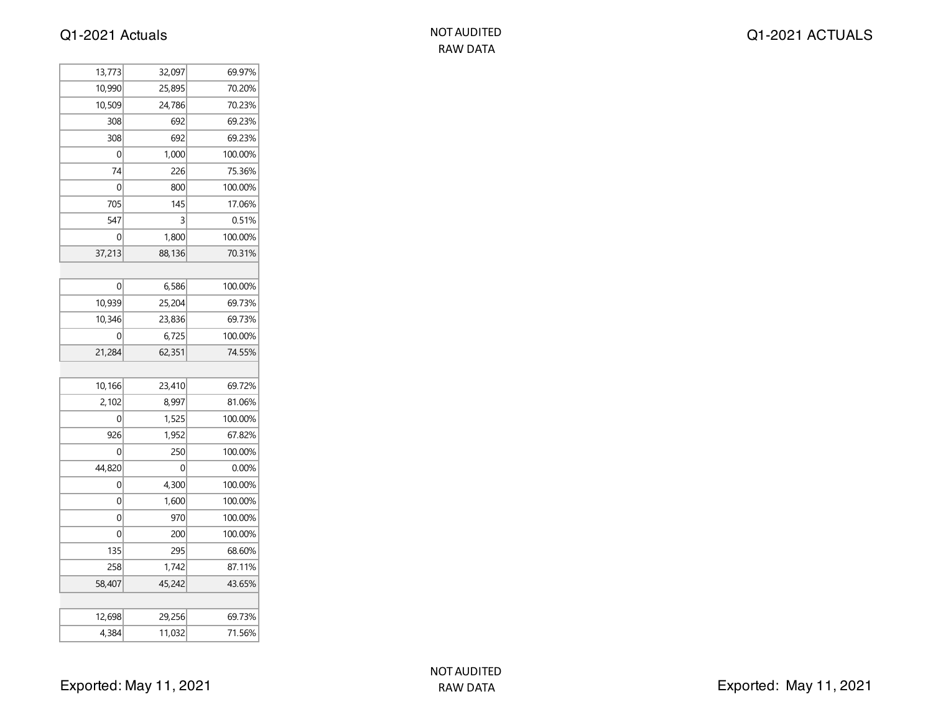| 13,773 | 32,097 | 69.97%  |
|--------|--------|---------|
| 10,990 | 25,895 | 70.20%  |
| 10,509 | 24,786 | 70.23%  |
| 308    | 692    | 69.23%  |
| 308    | 692    | 69.23%  |
| 0      | 1,000  | 100.00% |
| 74     | 226    | 75.36%  |
| 0      | 800    | 100.00% |
| 705    | 145    | 17.06%  |
| 547    | 3      | 0.51%   |
| 0      | 1,800  | 100.00% |
| 37,213 | 88,136 | 70.31%  |
|        |        |         |
| 0      | 6,586  | 100.00% |
| 10,939 | 25,204 | 69.73%  |
| 10,346 | 23,836 | 69.73%  |
| 0      | 6,725  | 100.00% |
| 21,284 | 62,351 | 74.55%  |
|        |        |         |
| 10,166 | 23,410 | 69.72%  |
| 2,102  | 8,997  | 81.06%  |
| 0      | 1,525  | 100.00% |
| 926    | 1,952  | 67.82%  |
| 0      | 250    | 100.00% |
| 44,820 | 0      | 0.00%   |
| 0      | 4,300  | 100.00% |
| 0      | 1,600  | 100.00% |
| 0      | 970    | 100.00% |
| 0      | 200    | 100.00% |
| 135    | 295    | 68.60%  |
| 258    | 1,742  | 87.11%  |
| 58,407 | 45,242 | 43.65%  |
|        |        |         |
| 12,698 | 29,256 | 69.73%  |
| 4,384  | 11,032 | 71.56%  |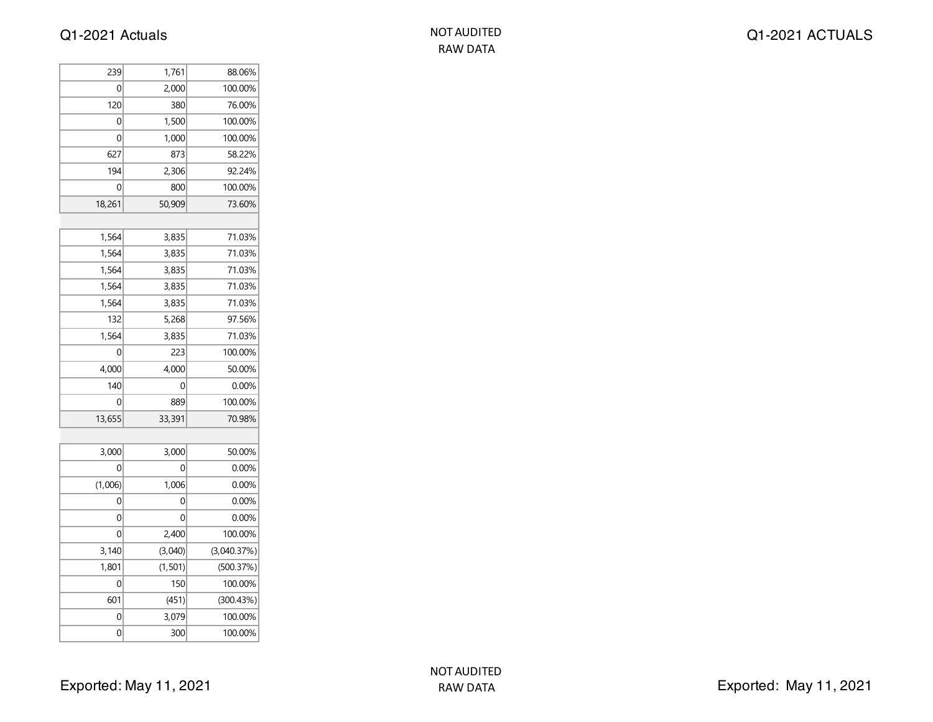| 239     | 1,761    | 88.06%      |
|---------|----------|-------------|
| 0       | 2,000    | 100.00%     |
| 120     | 380      | 76.00%      |
| 0       | 1,500    | 100.00%     |
| 0       | 1,000    | 100.00%     |
| 627     | 873      | 58.22%      |
| 194     | 2,306    | 92.24%      |
| 0       | 800      | 100.00%     |
| 18,261  | 50,909   | 73.60%      |
|         |          |             |
| 1,564   | 3,835    | 71.03%      |
| 1,564   | 3,835    | 71.03%      |
| 1,564   | 3,835    | 71.03%      |
| 1,564   | 3,835    | 71.03%      |
| 1,564   | 3,835    | 71.03%      |
| 132     | 5,268    | 97.56%      |
| 1,564   | 3,835    | 71.03%      |
| 0       | 223      | 100.00%     |
| 4,000   | 4,000    | 50.00%      |
| 140     | 0        | 0.00%       |
| 0       | 889      | 100.00%     |
| 13,655  | 33,391   | 70.98%      |
|         |          |             |
| 3,000   | 3,000    | 50.00%      |
| 0       | 0        | 0.00%       |
| (1,006) | 1,006    | 0.00%       |
| 0       | 0        | 0.00%       |
| 0       | 0        | 0.00%       |
| 0       | 2,400    | 100.00%     |
| 3,140   | (3,040)  | (3,040.37%) |
| 1,801   | (1, 501) | (500.37%)   |
| 0       | 150      | 100.00%     |
| 601     | (451)    | (300.43%)   |
| 0       | 3,079    | 100.00%     |
| 0       | 300      | 100.00%     |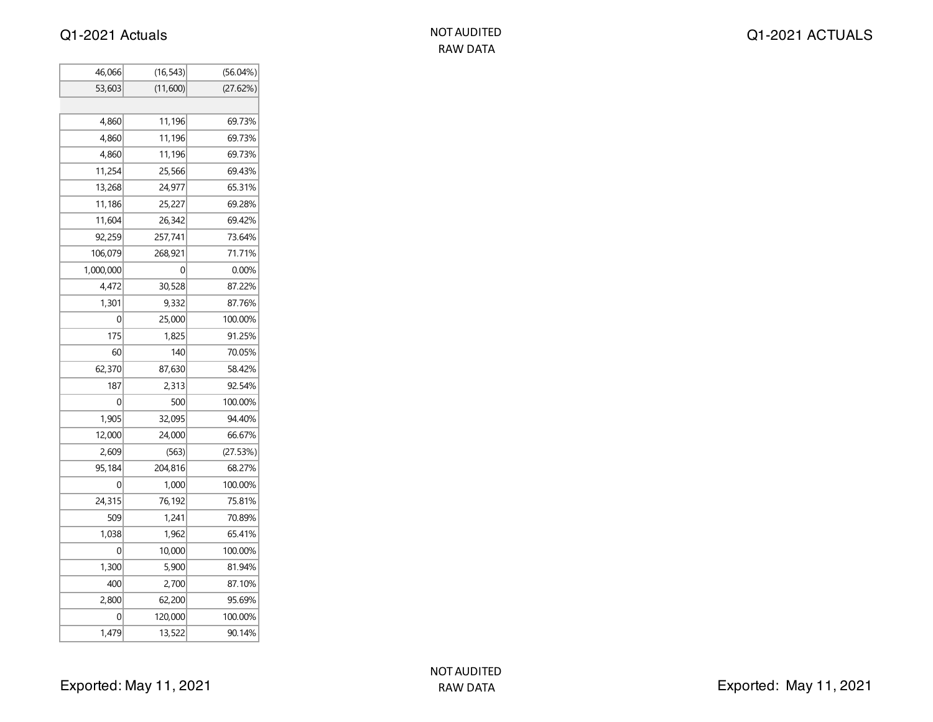| 46,066    | (16, 543) | $(56.04\%)$ |
|-----------|-----------|-------------|
| 53,603    | (11,600)  | (27.62%)    |
|           |           |             |
| 4,860     | 11,196    | 69.73%      |
| 4,860     | 11,196    | 69.73%      |
| 4,860     | 11,196    | 69.73%      |
| 11,254    | 25,566    | 69.43%      |
| 13,268    | 24,977    | 65.31%      |
| 11,186    | 25,227    | 69.28%      |
| 11,604    | 26,342    | 69.42%      |
| 92,259    | 257,741   | 73.64%      |
| 106,079   | 268,921   | 71.71%      |
| 1,000,000 | 0         | 0.00%       |
| 4,472     | 30,528    | 87.22%      |
| 1,301     | 9,332     | 87.76%      |
| 0         | 25,000    | 100.00%     |
| 175       | 1,825     | 91.25%      |
| 60        | 140       | 70.05%      |
| 62,370    | 87,630    | 58.42%      |
| 187       | 2,313     | 92.54%      |
| 0         | 500       | 100.00%     |
| 1,905     | 32,095    | 94.40%      |
| 12,000    | 24,000    | 66.67%      |
| 2,609     | (563)     | (27.53%)    |
| 95,184    | 204,816   | 68.27%      |
| 0         | 1,000     | 100.00%     |
| 24,315    | 76,192    | 75.81%      |
| 509       | 1,241     | 70.89%      |
| 1,038     | 1,962     | 65.41%      |
| 0         | 10,000    | 100.00%     |
| 1,300     | 5,900     | 81.94%      |
| 400       | 2,700     | 87.10%      |
| 2,800     | 62,200    | 95.69%      |
| 0         | 120,000   | 100.00%     |
| 1,479     | 13,522    | 90.14%      |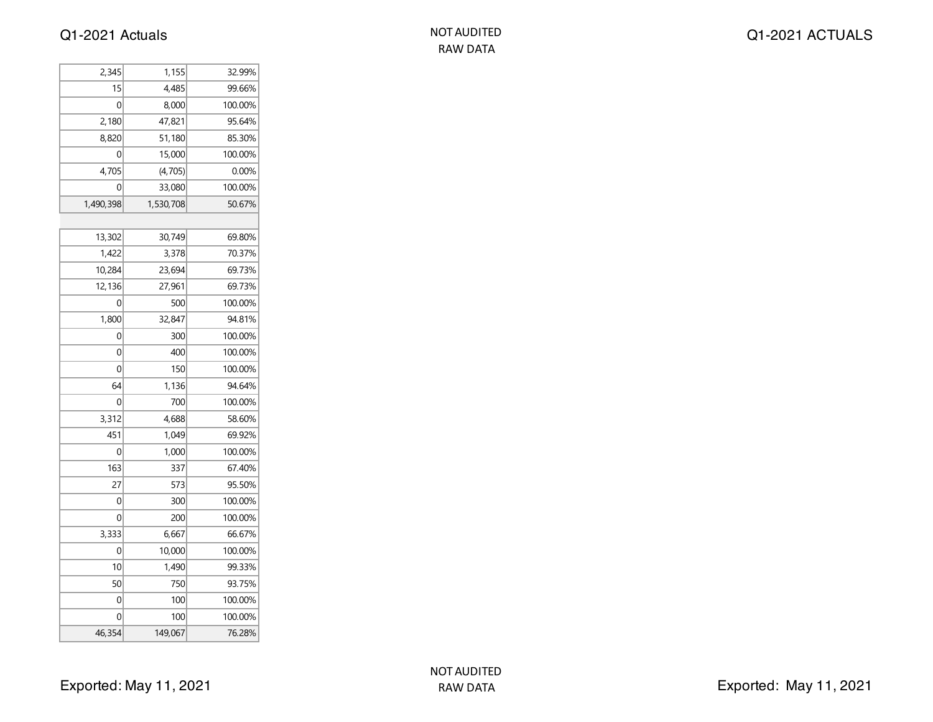| 2,345     | 1,155     | 32.99%  |
|-----------|-----------|---------|
| 15        | 4,485     | 99.66%  |
| 0         | 8,000     | 100.00% |
| 2,180     | 47,821    | 95.64%  |
| 8,820     | 51,180    | 85.30%  |
| 0         | 15,000    | 100.00% |
| 4,705     | (4, 705)  | 0.00%   |
| 0         | 33,080    | 100.00% |
| 1,490,398 | 1,530,708 | 50.67%  |
|           |           |         |
| 13,302    | 30,749    | 69.80%  |
| 1,422     | 3,378     | 70.37%  |
| 10,284    | 23,694    | 69.73%  |
| 12,136    | 27,961    | 69.73%  |
| 0         | 500       | 100.00% |
| 1,800     | 32,847    | 94.81%  |
| 0         | 300       | 100.00% |
| 0         | 400       | 100.00% |
| 0         | 150       | 100.00% |
| 64        | 1,136     | 94.64%  |
| 0         | 700       | 100.00% |
| 3,312     | 4,688     | 58.60%  |
| 451       | 1,049     | 69.92%  |
| 0         | 1,000     | 100.00% |
| 163       | 337       | 67.40%  |
| 27        | 573       | 95.50%  |
| 0         | 300       | 100.00% |
| 0         | 200       | 100.00% |
| 3,333     | 6,667     | 66.67%  |
| 0         | 10,000    | 100.00% |
| 10        | 1,490     | 99.33%  |
| 50        | 750       | 93.75%  |
| 0         | 100       | 100.00% |
| 0         | 100       | 100.00% |
| 46,354    | 149,067   | 76.28%  |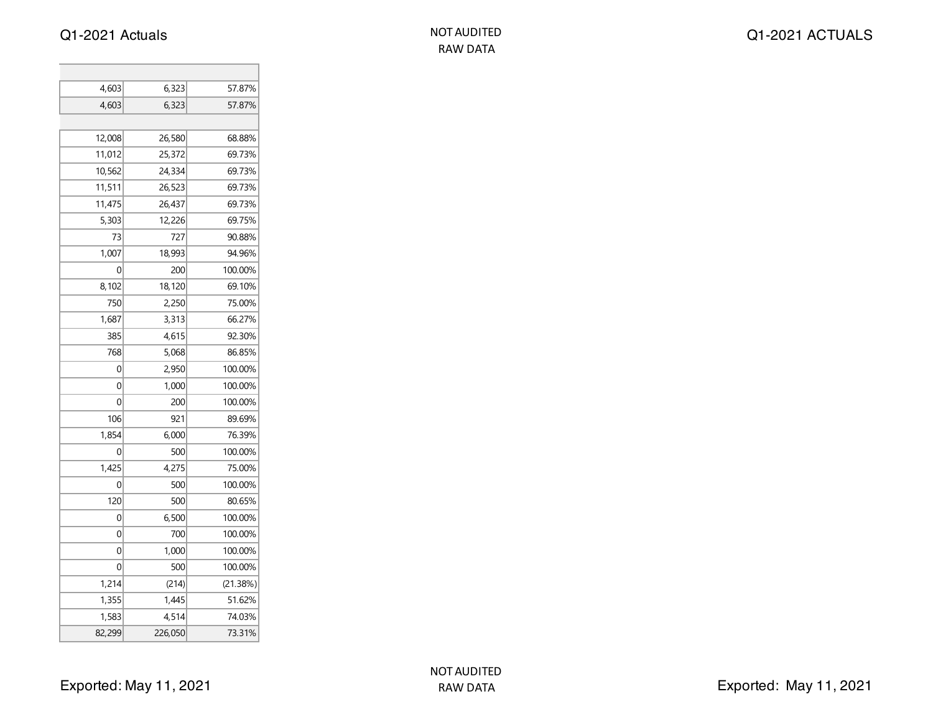| 4,603          | 6,323   | 57.87%   |
|----------------|---------|----------|
| 4,603          | 6,323   | 57.87%   |
|                |         |          |
| 12,008         | 26,580  | 68.88%   |
| 11,012         | 25,372  | 69.73%   |
| 10,562         | 24,334  | 69.73%   |
| 11,511         | 26,523  | 69.73%   |
| 11,475         | 26,437  | 69.73%   |
| 5,303          | 12,226  | 69.75%   |
| 73             | 727     | 90.88%   |
| 1,007          | 18,993  | 94.96%   |
| 0              | 200     | 100.00%  |
| 8,102          | 18,120  | 69.10%   |
| 750            | 2,250   | 75.00%   |
| 1,687          | 3,313   | 66.27%   |
| 385            | 4,615   | 92.30%   |
| 768            | 5,068   | 86.85%   |
| 0              | 2,950   | 100.00%  |
| 0              | 1,000   | 100.00%  |
| $\overline{0}$ | 200     | 100.00%  |
| 106            | 921     | 89.69%   |
| 1,854          | 6,000   | 76.39%   |
| 0              | 500     | 100.00%  |
| 1,425          | 4,275   | 75.00%   |
| 0              | 500     | 100.00%  |
| 120            | 500     | 80.65%   |
| 0              | 6,500   | 100.00%  |
| 0              | 700     | 100.00%  |
| 0              | 1,000   | 100.00%  |
| 0              | 500     | 100.00%  |
| 1,214          | (214)   | (21.38%) |
| 1,355          | 1,445   | 51.62%   |
| 1,583          | 4,514   | 74.03%   |
| 82,299         | 226,050 | 73.31%   |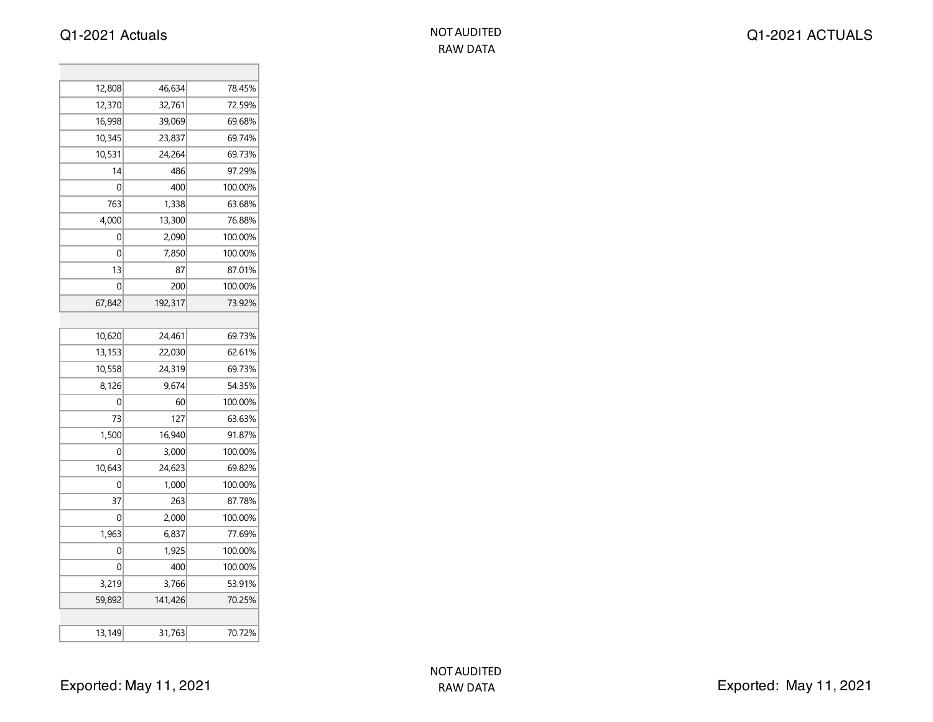T.

| 12,808 | 46,634  | 78.45%  |
|--------|---------|---------|
| 12,370 | 32,761  | 72.59%  |
| 16,998 | 39,069  | 69.68%  |
| 10,345 | 23,837  | 69.74%  |
| 10,531 | 24,264  | 69.73%  |
| 14     | 486     | 97.29%  |
| 0      | 400     | 100.00% |
| 763    | 1,338   | 63.68%  |
| 4,000  | 13,300  | 76.88%  |
| 0      | 2,090   | 100.00% |
| 0      | 7,850   | 100.00% |
| 13     | 87      | 87.01%  |
| 0      | 200     | 100.00% |
| 67,842 | 192,317 | 73.92%  |
|        |         |         |
| 10,620 | 24,461  | 69.73%  |
| 13,153 | 22,030  | 62.61%  |
| 10,558 | 24,319  | 69.73%  |
| 8,126  | 9,674   | 54.35%  |
| 0      | 60      | 100.00% |
| 73     | 127     | 63.63%  |
| 1,500  | 16,940  | 91.87%  |
| 0      | 3,000   | 100.00% |
| 10,643 | 24,623  | 69.82%  |
| 0      | 1,000   | 100.00% |
| 37     | 263     | 87.78%  |
| 0      | 2,000   | 100.00% |
| 1,963  | 6,837   | 77.69%  |
| 0      | 1,925   | 100.00% |
| 0      | 400     | 100.00% |
| 3,219  | 3,766   | 53.91%  |
| 59,892 | 141,426 | 70.25%  |
|        |         |         |
| 13,149 | 31,763  | 70.72%  |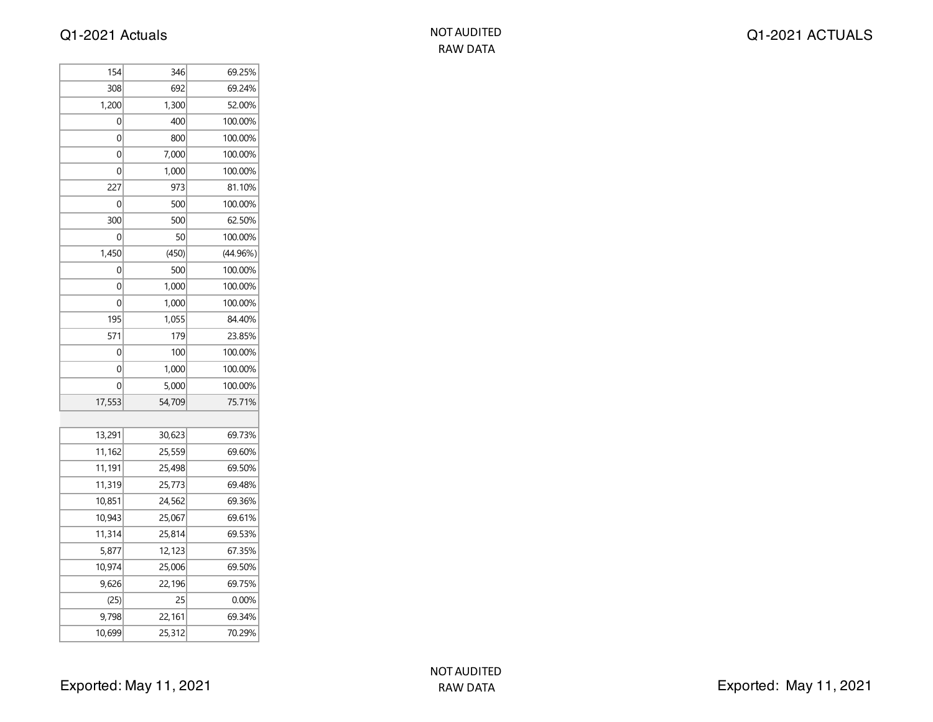| <b>NOT AUDITED</b> |
|--------------------|
| RAW DATA           |

| 154    | 346    | 69.25%   |
|--------|--------|----------|
| 308    | 692    | 69.24%   |
| 1,200  | 1,300  | 52.00%   |
| 0      | 400    | 100.00%  |
| 0      | 800    | 100.00%  |
| 0      | 7,000  | 100.00%  |
| 0      | 1,000  | 100.00%  |
| 227    | 973    | 81.10%   |
| 0      | 500    | 100.00%  |
| 300    | 500    | 62.50%   |
| 0      | 50     | 100.00%  |
| 1,450  | (450)  | (44.96%) |
| 0      | 500    | 100.00%  |
| 0      | 1,000  | 100.00%  |
| 0      | 1,000  | 100.00%  |
| 195    | 1,055  | 84.40%   |
| 571    | 179    | 23.85%   |
| 0      | 100    | 100.00%  |
| 0      | 1,000  | 100.00%  |
| 0      | 5,000  | 100.00%  |
| 17,553 | 54,709 | 75.71%   |
|        |        |          |
| 13,291 | 30,623 | 69.73%   |
| 11,162 | 25,559 | 69.60%   |
| 11,191 | 25,498 | 69.50%   |
| 11,319 | 25,773 | 69.48%   |
| 10,851 | 24,562 | 69.36%   |
| 10,943 | 25,067 | 69.61%   |
| 11,314 | 25,814 | 69.53%   |
| 5,877  | 12,123 | 67.35%   |
| 10,974 | 25,006 | 69.50%   |
| 9,626  | 22,196 | 69.75%   |
| (25)   | 25     | 0.00%    |
| 9,798  | 22,161 | 69.34%   |
| 10,699 | 25,312 | 70.29%   |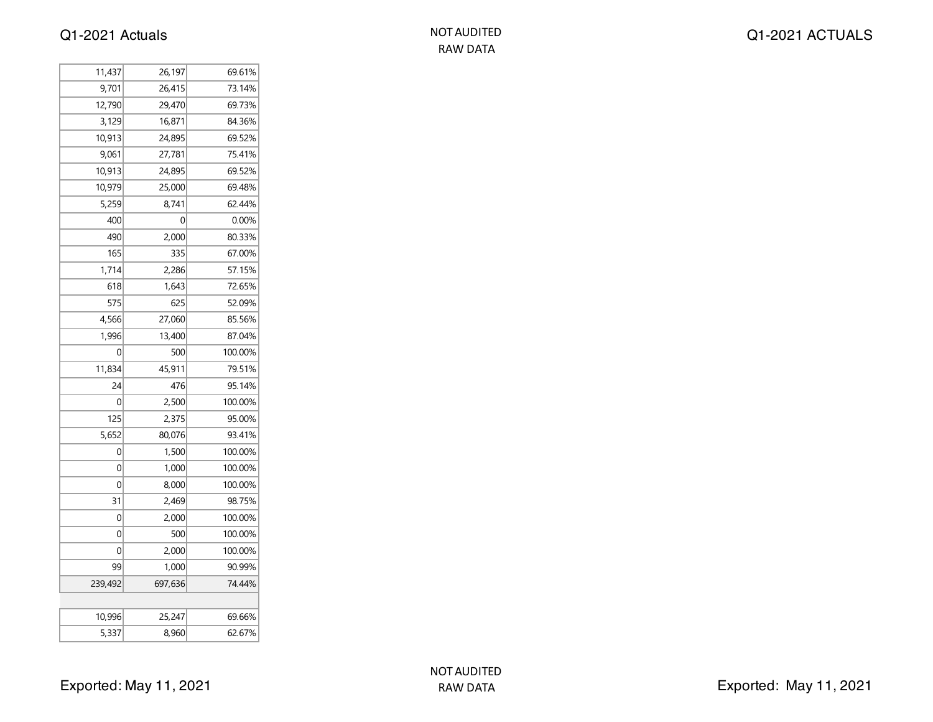| NOT AUDITED |
|-------------|
| RAW DATA    |

| 11,437  | 26,197  | 69.61%  |
|---------|---------|---------|
| 9,701   | 26,415  | 73.14%  |
| 12,790  | 29,470  | 69.73%  |
| 3,129   | 16,871  | 84.36%  |
| 10,913  | 24,895  | 69.52%  |
| 9,061   | 27,781  | 75.41%  |
| 10,913  | 24,895  | 69.52%  |
| 10,979  | 25,000  | 69.48%  |
| 5,259   | 8,741   | 62.44%  |
| 400     | 0       | 0.00%   |
| 490     | 2,000   | 80.33%  |
| 165     | 335     | 67.00%  |
| 1,714   | 2,286   | 57.15%  |
| 618     | 1,643   | 72.65%  |
| 575     | 625     | 52.09%  |
| 4,566   | 27,060  | 85.56%  |
| 1,996   | 13,400  | 87.04%  |
| 0       | 500     | 100.00% |
| 11,834  | 45,911  | 79.51%  |
| 24      | 476     | 95.14%  |
| 0       | 2,500   | 100.00% |
| 125     | 2,375   | 95.00%  |
| 5,652   | 80,076  | 93.41%  |
| 0       | 1,500   | 100.00% |
| 0       | 1,000   | 100.00% |
| 0       | 8,000   | 100.00% |
| 31      | 2,469   | 98.75%  |
| 0       | 2,000   | 100.00% |
| 0       | 500     | 100.00% |
| 0       | 2,000   | 100.00% |
| 99      | 1,000   | 90.99%  |
| 239,492 | 697,636 | 74.44%  |
|         |         |         |
| 10,996  | 25,247  | 69.66%  |
| 5,337   | 8,960   | 62.67%  |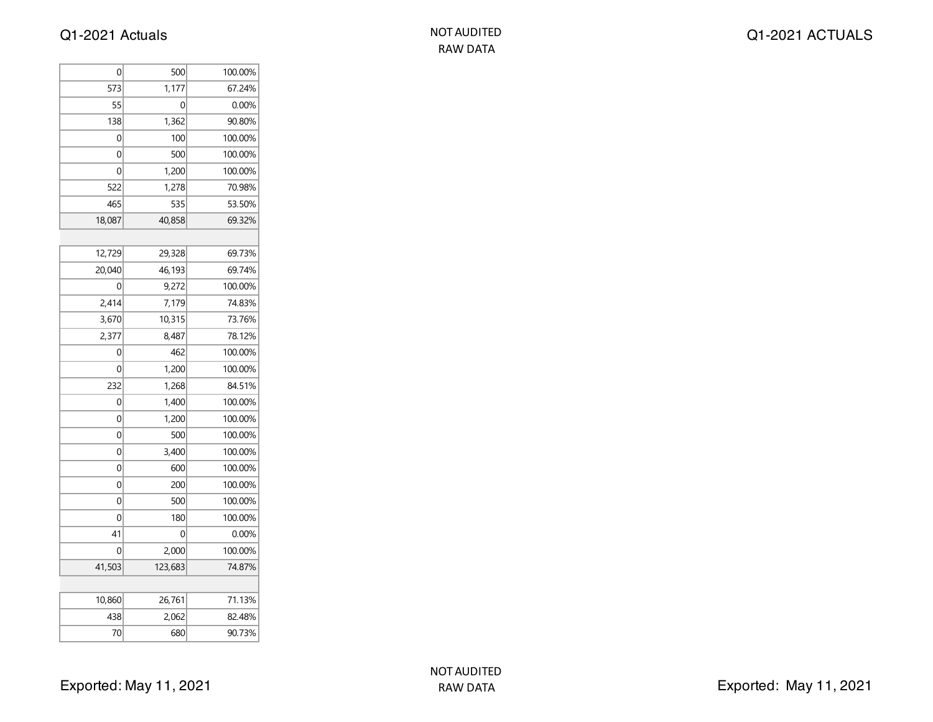| 0           | 500     | 100.00% |
|-------------|---------|---------|
| 573         | 1,177   | 67.24%  |
| 55          | 0       | 0.00%   |
| 138         | 1,362   | 90.80%  |
| 0           | 100     | 100.00% |
| 0           | 500     | 100.00% |
| 0           | 1,200   | 100.00% |
| 522         | 1,278   | 70.98%  |
| 465         | 535     | 53.50%  |
| 18,087      | 40,858  | 69.32%  |
|             |         |         |
| 12,729      | 29,328  | 69.73%  |
| 20,040      | 46,193  | 69.74%  |
| 0           | 9,272   | 100.00% |
| 2,414       | 7,179   | 74.83%  |
| 3,670       | 10,315  | 73.76%  |
| 2,377       | 8,487   | 78.12%  |
| 0           | 462     | 100.00% |
| 0           | 1,200   | 100.00% |
| 232         | 1,268   | 84.51%  |
| 0           | 1,400   | 100.00% |
| 0           | 1,200   | 100.00% |
| 0           | 500     | 100.00% |
| 0           | 3,400   | 100.00% |
| 0           | 600     | 100.00% |
| $\mathbf 0$ | 200     | 100.00% |
| 0           | 500     | 100.00% |
| 0           | 180     | 100.00% |
| 41          | 0       | 0.00%   |
| 0           | 2,000   | 100.00% |
| 41,503      | 123,683 | 74.87%  |
|             |         |         |
| 10,860      | 26,761  | 71.13%  |
| 438         | 2,062   | 82.48%  |
| 70          | 680     | 90.73%  |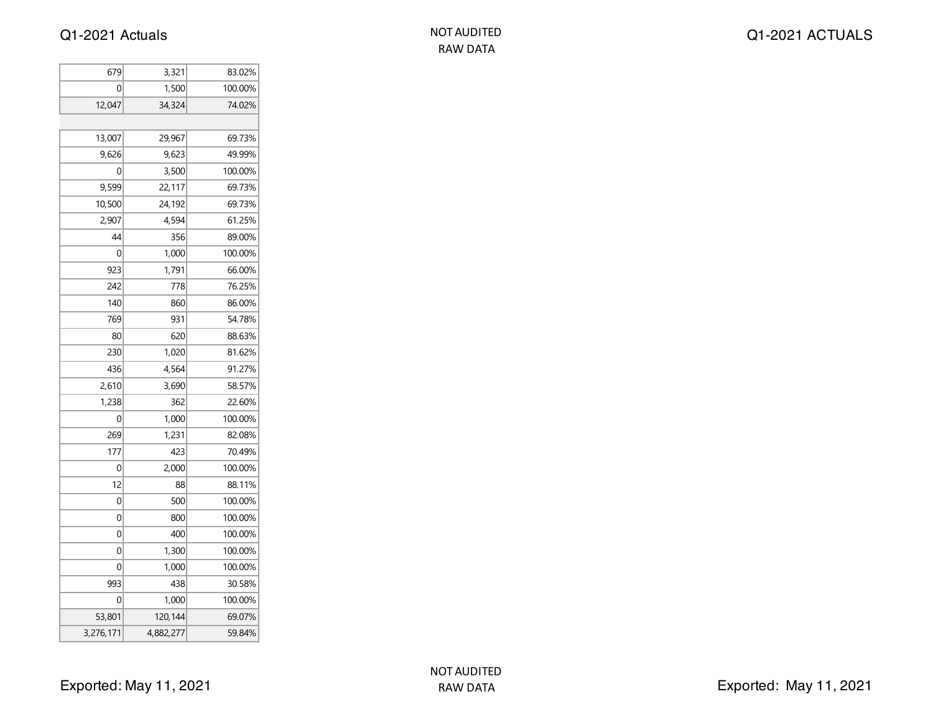| 679       | 3,321     | 83.02%  |
|-----------|-----------|---------|
| 0         | 1,500     | 100.00% |
| 12,047    | 34,324    | 74.02%  |
|           |           |         |
| 13,007    | 29,967    | 69.73%  |
| 9,626     | 9,623     | 49.99%  |
| 0         | 3,500     | 100.00% |
| 9,599     | 22,117    | 69.73%  |
| 10,500    | 24,192    | 69.73%  |
| 2,907     | 4,594     | 61.25%  |
| 44        | 356       | 89.00%  |
| 0         | 1,000     | 100.00% |
| 923       | 1,791     | 66.00%  |
| 242       | 778       | 76.25%  |
| 140       | 860       | 86.00%  |
| 769       | 931       | 54.78%  |
| 80        | 620       | 88.63%  |
| 230       | 1,020     | 81.62%  |
| 436       | 4,564     | 91.27%  |
| 2,610     | 3,690     | 58.57%  |
| 1,238     | 362       | 22.60%  |
| 0         | 1,000     | 100.00% |
| 269       | 1,231     | 82.08%  |
| 177       | 423       | 70.49%  |
| 0         | 2,000     | 100.00% |
| 12        | 88        | 88.11%  |
| 0         | 500       | 100.00% |
| 0         | 800       | 100.00% |
| 0         | 400       | 100.00% |
| 0         | 1,300     | 100.00% |
| 0         | 1,000     | 100.00% |
| 993       | 438       | 30.58%  |
| 0         | 1,000     | 100.00% |
| 53,801    | 120, 144  | 69.07%  |
| 3,276,171 | 4,882,277 | 59.84%  |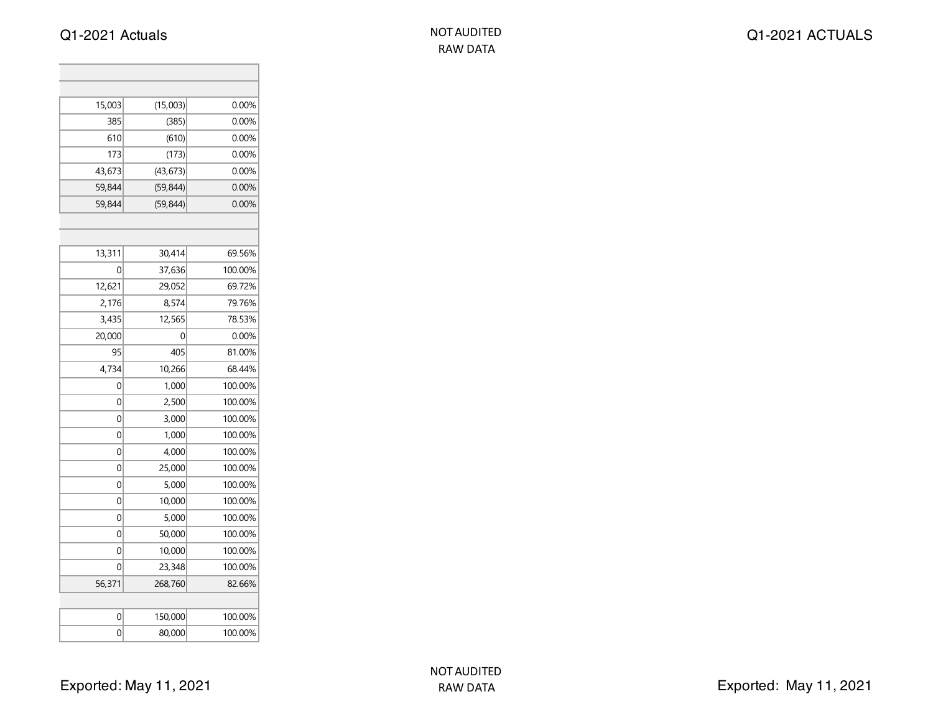Q1-2021 Actuals NOT AUDITED

| 15,003 | (15,003)  | 0.00%   |
|--------|-----------|---------|
| 385    | (385)     | 0.00%   |
| 610    | (610)     | 0.00%   |
| 173    | (173)     | 0.00%   |
| 43,673 | (43, 673) | 0.00%   |
| 59,844 | (59, 844) | 0.00%   |
| 59,844 | (59, 844) | 0.00%   |
|        |           |         |
|        |           |         |
| 13,311 | 30,414    | 69.56%  |
| 0      | 37,636    | 100.00% |
| 12,621 | 29,052    | 69.72%  |
| 2,176  | 8,574     | 79.76%  |
| 3,435  | 12,565    | 78.53%  |
| 20,000 | 0         | 0.00%   |
| 95     | 405       | 81.00%  |
| 4,734  | 10,266    | 68.44%  |
| 0      | 1,000     | 100.00% |
| 0      | 2,500     | 100.00% |
| 0      | 3,000     | 100.00% |
| 0      | 1,000     | 100.00% |
| 0      | 4,000     | 100.00% |
| 0      | 25,000    | 100.00% |
| 0      | 5,000     | 100.00% |
| 0      | 10,000    | 100.00% |
| 0      | 5,000     | 100.00% |
| 0      | 50,000    | 100.00% |
| 0      | 10,000    | 100.00% |
| 0      | 23,348    | 100.00% |
| 56,371 | 268,760   | 82.66%  |
|        |           |         |
| 0      | 150,000   | 100.00% |
| 0      | 80,000    | 100.00% |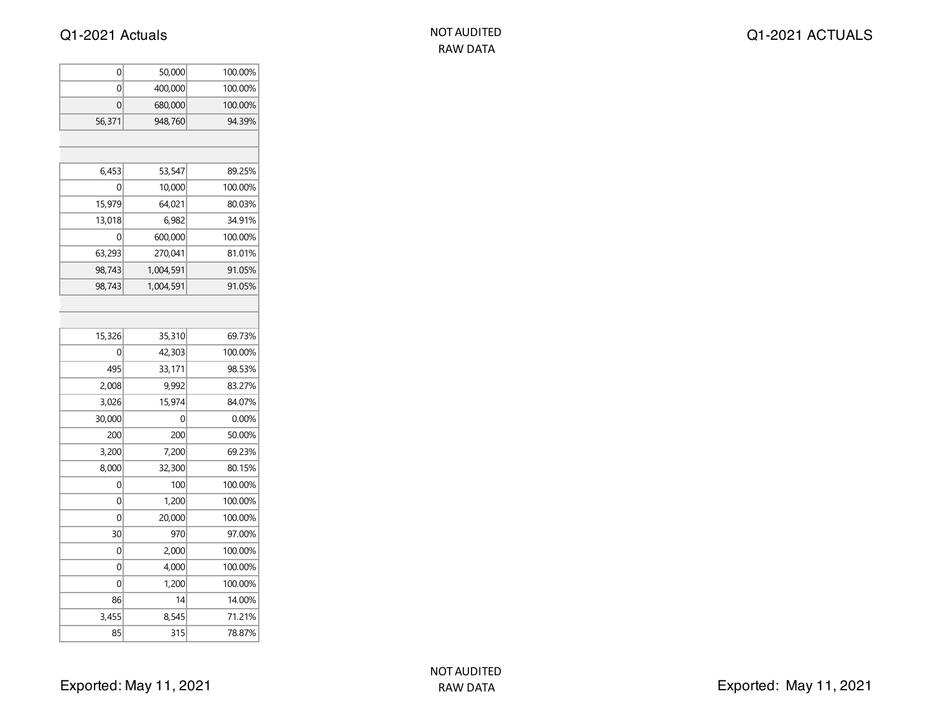| 0      | 50,000    | 100.00% |
|--------|-----------|---------|
| 0      | 400,000   | 100.00% |
| 0      | 680,000   | 100.00% |
| 56,371 | 948,760   | 94.39%  |
|        |           |         |
|        |           |         |
| 6,453  | 53,547    | 89.25%  |
| 0      | 10,000    | 100.00% |
| 15,979 | 64,021    | 80.03%  |
| 13,018 | 6,982     | 34.91%  |
| 0      | 600,000   | 100.00% |
| 63,293 | 270,041   | 81.01%  |
| 98,743 | 1,004,591 | 91.05%  |
| 98,743 | 1,004,591 | 91.05%  |
|        |           |         |
|        |           |         |
| 15,326 | 35,310    | 69.73%  |
| 0      | 42,303    | 100.00% |
| 495    | 33,171    | 98.53%  |
| 2,008  | 9,992     | 83.27%  |
| 3,026  | 15,974    | 84.07%  |
| 30,000 | 0         | 0.00%   |
| 200    | 200       | 50.00%  |
| 3,200  | 7,200     | 69.23%  |
| 8,000  | 32,300    | 80.15%  |
| 0      | 100       | 100.00% |
| 0      | 1,200     | 100.00% |
| 0      | 20,000    | 100.00% |
| 30     | 970       | 97.00%  |
| 0      | 2,000     | 100.00% |
| 0      | 4,000     | 100.00% |
| 0      | 1,200     | 100.00% |
| 86     | 14        | 14.00%  |
| 3,455  | 8,545     | 71.21%  |
| 85     | 315       | 78.87%  |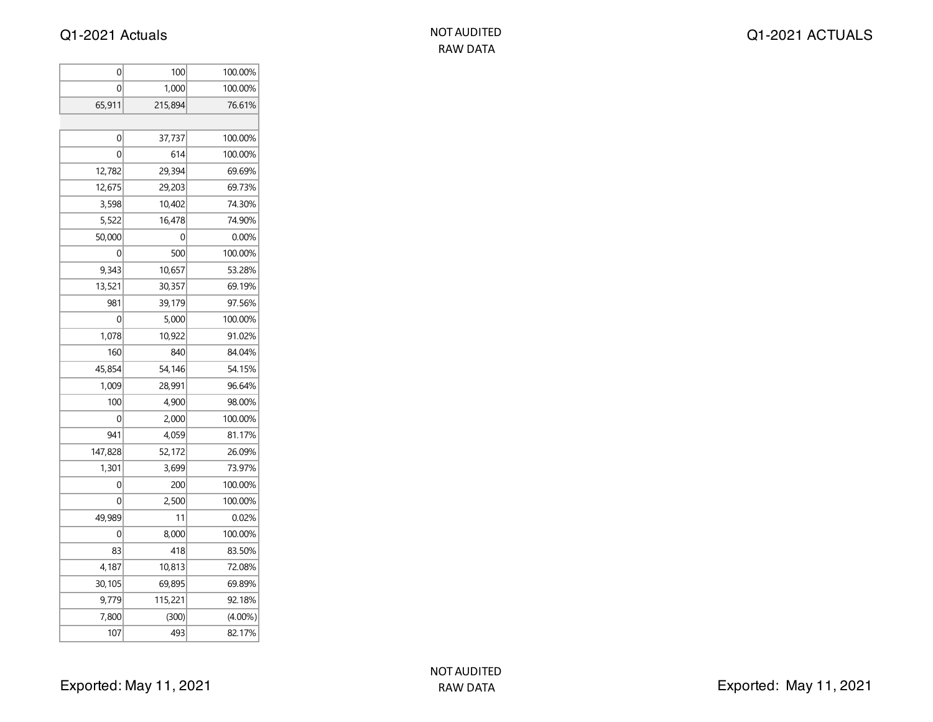| 0       | 100     | 100.00%    |
|---------|---------|------------|
| 0       | 1,000   | 100.00%    |
| 65,911  | 215,894 | 76.61%     |
|         |         |            |
| 0       | 37,737  | 100.00%    |
| 0       | 614     | 100.00%    |
| 12,782  | 29,394  | 69.69%     |
| 12,675  | 29,203  | 69.73%     |
| 3,598   | 10,402  | 74.30%     |
| 5,522   | 16,478  | 74.90%     |
| 50,000  | 0       | $0.00\%$   |
| 0       | 500     | 100.00%    |
| 9,343   | 10,657  | 53.28%     |
| 13,521  | 30,357  | 69.19%     |
| 981     | 39,179  | 97.56%     |
| 0       | 5,000   | 100.00%    |
| 1,078   | 10,922  | 91.02%     |
| 160     | 840     | 84.04%     |
| 45,854  | 54,146  | 54.15%     |
| 1,009   | 28,991  | 96.64%     |
| 100     | 4,900   | 98.00%     |
| 0       | 2,000   | 100.00%    |
| 941     | 4,059   | 81.17%     |
| 147,828 | 52,172  | 26.09%     |
| 1,301   | 3,699   | 73.97%     |
| 0       | 200     | 100.00%    |
| 0       | 2,500   | 100.00%    |
| 49,989  | 11      | 0.02%      |
| 0       | 8,000   | 100.00%    |
| 83      | 418     | 83.50%     |
| 4,187   | 10,813  | 72.08%     |
| 30,105  | 69,895  | 69.89%     |
| 9,779   | 115,221 | 92.18%     |
| 7,800   | (300)   | $(4.00\%)$ |
| 107     | 493     | 82.17%     |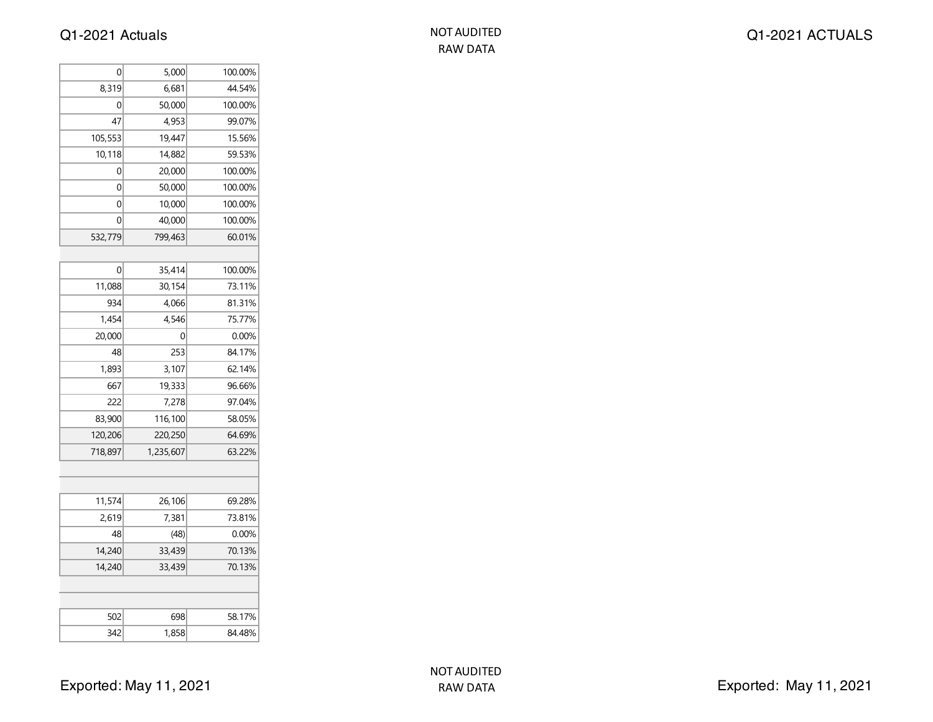| NOT AUDITED |  |  |
|-------------|--|--|
| RAW DATA    |  |  |

| 0       | 5,000     | 100.00% |
|---------|-----------|---------|
| 8,319   | 6,681     | 44.54%  |
| 0       | 50,000    | 100.00% |
| 47      | 4,953     | 99.07%  |
| 105,553 | 19,447    | 15.56%  |
| 10,118  | 14,882    | 59.53%  |
| 0       | 20,000    | 100.00% |
| 0       | 50,000    | 100.00% |
| 0       | 10,000    | 100.00% |
| 0       | 40,000    | 100.00% |
| 532,779 | 799,463   | 60.01%  |
|         |           |         |
| 0       | 35,414    | 100.00% |
| 11,088  | 30,154    | 73.11%  |
| 934     | 4,066     | 81.31%  |
| 1,454   | 4,546     | 75.77%  |
| 20,000  | 0         | 0.00%   |
| 48      | 253       | 84.17%  |
| 1,893   | 3,107     | 62.14%  |
| 667     | 19,333    | 96.66%  |
| 222     | 7,278     | 97.04%  |
| 83,900  | 116,100   | 58.05%  |
| 120,206 | 220,250   | 64.69%  |
| 718,897 | 1,235,607 | 63.22%  |
|         |           |         |
|         |           |         |
| 11,574  | 26,106    | 69.28%  |
| 2,619   | 7,381     | 73.81%  |
| 48      | (48)      | 0.00%   |
| 14,240  | 33,439    | 70.13%  |
| 14,240  | 33,439    | 70.13%  |
|         |           |         |
|         |           |         |
| 502     | 698       | 58.17%  |
| 342     | 1,858     | 84.48%  |